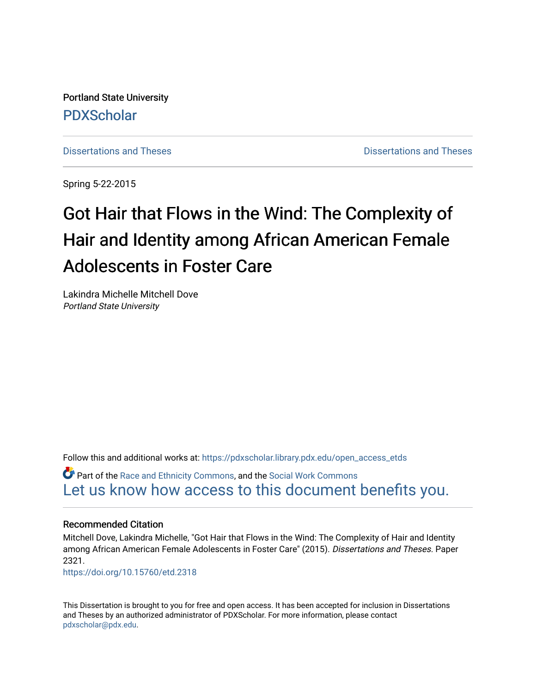Portland State University [PDXScholar](https://pdxscholar.library.pdx.edu/)

[Dissertations and Theses](https://pdxscholar.library.pdx.edu/open_access_etds) **Distributions** and Theses **Distributions** and Theses

Spring 5-22-2015

# Got Hair that Flows in the Wind: The Complexity of Hair and Identity among African American Female Adolescents in Foster Care

Lakindra Michelle Mitchell Dove Portland State University

Follow this and additional works at: [https://pdxscholar.library.pdx.edu/open\\_access\\_etds](https://pdxscholar.library.pdx.edu/open_access_etds?utm_source=pdxscholar.library.pdx.edu%2Fopen_access_etds%2F2321&utm_medium=PDF&utm_campaign=PDFCoverPages)

Part of the [Race and Ethnicity Commons,](http://network.bepress.com/hgg/discipline/426?utm_source=pdxscholar.library.pdx.edu%2Fopen_access_etds%2F2321&utm_medium=PDF&utm_campaign=PDFCoverPages) and the [Social Work Commons](http://network.bepress.com/hgg/discipline/713?utm_source=pdxscholar.library.pdx.edu%2Fopen_access_etds%2F2321&utm_medium=PDF&utm_campaign=PDFCoverPages)  [Let us know how access to this document benefits you.](http://library.pdx.edu/services/pdxscholar-services/pdxscholar-feedback/) 

# Recommended Citation

Mitchell Dove, Lakindra Michelle, "Got Hair that Flows in the Wind: The Complexity of Hair and Identity among African American Female Adolescents in Foster Care" (2015). Dissertations and Theses. Paper 2321.

<https://doi.org/10.15760/etd.2318>

This Dissertation is brought to you for free and open access. It has been accepted for inclusion in Dissertations and Theses by an authorized administrator of PDXScholar. For more information, please contact [pdxscholar@pdx.edu.](mailto:pdxscholar@pdx.edu)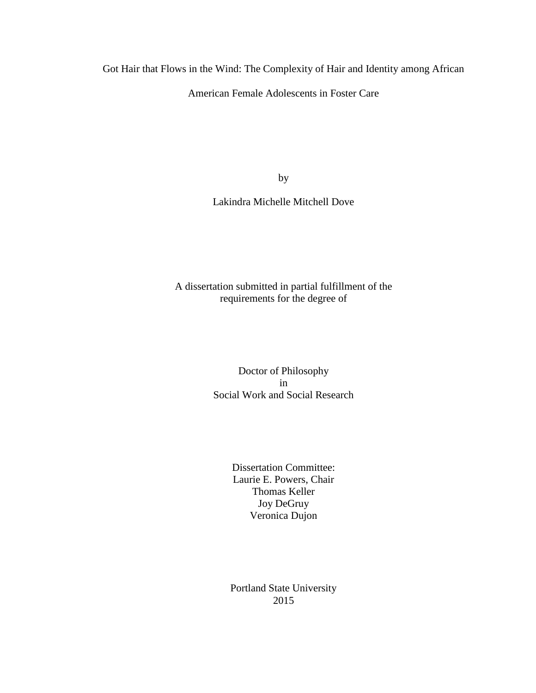Got Hair that Flows in the Wind: The Complexity of Hair and Identity among African

American Female Adolescents in Foster Care

by

Lakindra Michelle Mitchell Dove

A dissertation submitted in partial fulfillment of the requirements for the degree of

> Doctor of Philosophy in Social Work and Social Research

> > Dissertation Committee: Laurie E. Powers, Chair Thomas Keller Joy DeGruy Veronica Dujon

Portland State University 2015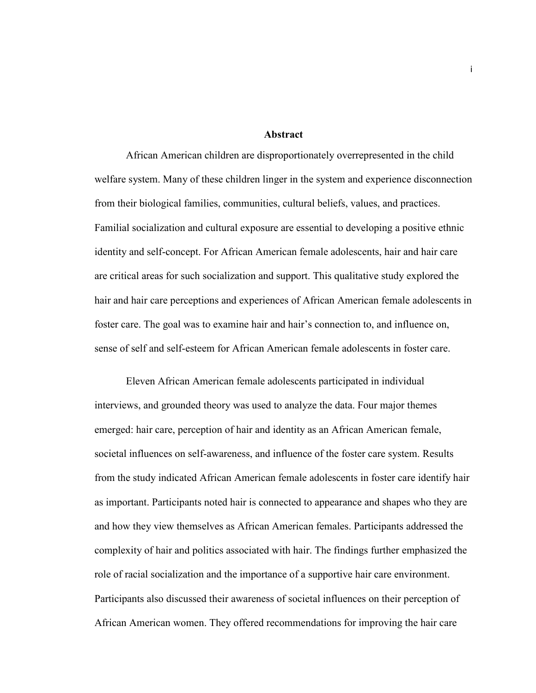# **Abstract**

African American children are disproportionately overrepresented in the child welfare system. Many of these children linger in the system and experience disconnection from their biological families, communities, cultural beliefs, values, and practices. Familial socialization and cultural exposure are essential to developing a positive ethnic identity and self-concept. For African American female adolescents, hair and hair care are critical areas for such socialization and support. This qualitative study explored the hair and hair care perceptions and experiences of African American female adolescents in foster care. The goal was to examine hair and hair's connection to, and influence on, sense of self and self-esteem for African American female adolescents in foster care.

Eleven African American female adolescents participated in individual interviews, and grounded theory was used to analyze the data. Four major themes emerged: hair care, perception of hair and identity as an African American female, societal influences on self-awareness, and influence of the foster care system. Results from the study indicated African American female adolescents in foster care identify hair as important. Participants noted hair is connected to appearance and shapes who they are and how they view themselves as African American females. Participants addressed the complexity of hair and politics associated with hair. The findings further emphasized the role of racial socialization and the importance of a supportive hair care environment. Participants also discussed their awareness of societal influences on their perception of African American women. They offered recommendations for improving the hair care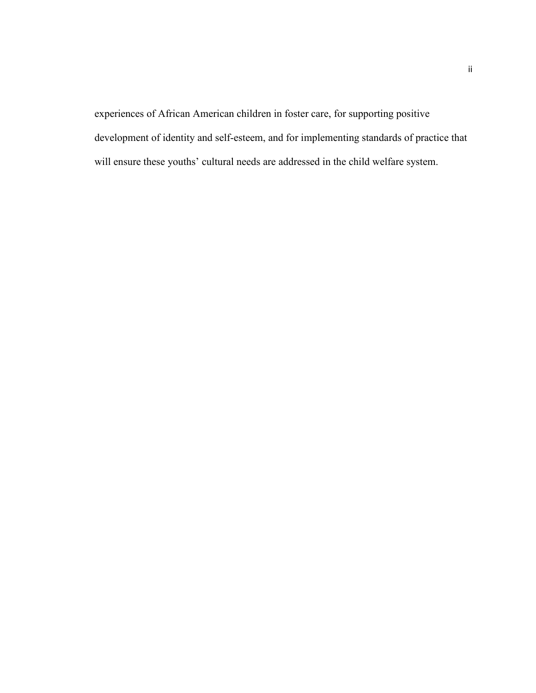experiences of African American children in foster care, for supporting positive development of identity and self-esteem, and for implementing standards of practice that will ensure these youths' cultural needs are addressed in the child welfare system.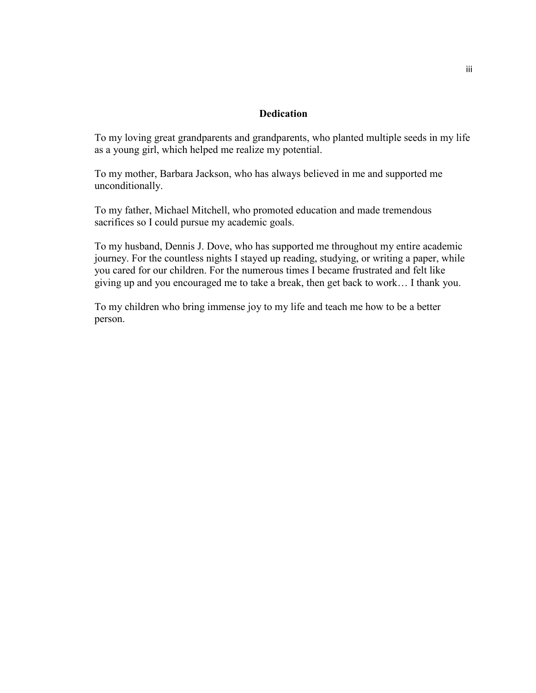# **Dedication**

To my loving great grandparents and grandparents, who planted multiple seeds in my life as a young girl, which helped me realize my potential.

To my mother, Barbara Jackson, who has always believed in me and supported me unconditionally.

To my father, Michael Mitchell, who promoted education and made tremendous sacrifices so I could pursue my academic goals.

To my husband, Dennis J. Dove, who has supported me throughout my entire academic journey. For the countless nights I stayed up reading, studying, or writing a paper, while you cared for our children. For the numerous times I became frustrated and felt like giving up and you encouraged me to take a break, then get back to work… I thank you.

To my children who bring immense joy to my life and teach me how to be a better person.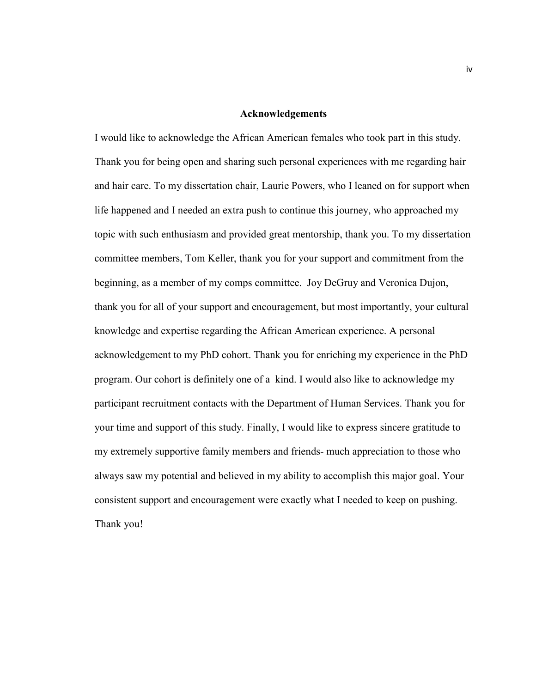### **Acknowledgements**

I would like to acknowledge the African American females who took part in this study. Thank you for being open and sharing such personal experiences with me regarding hair and hair care. To my dissertation chair, Laurie Powers, who I leaned on for support when life happened and I needed an extra push to continue this journey, who approached my topic with such enthusiasm and provided great mentorship, thank you. To my dissertation committee members, Tom Keller, thank you for your support and commitment from the beginning, as a member of my comps committee. Joy DeGruy and Veronica Dujon, thank you for all of your support and encouragement, but most importantly, your cultural knowledge and expertise regarding the African American experience. A personal acknowledgement to my PhD cohort. Thank you for enriching my experience in the PhD program. Our cohort is definitely one of a kind. I would also like to acknowledge my participant recruitment contacts with the Department of Human Services. Thank you for your time and support of this study. Finally, I would like to express sincere gratitude to my extremely supportive family members and friends- much appreciation to those who always saw my potential and believed in my ability to accomplish this major goal. Your consistent support and encouragement were exactly what I needed to keep on pushing. Thank you!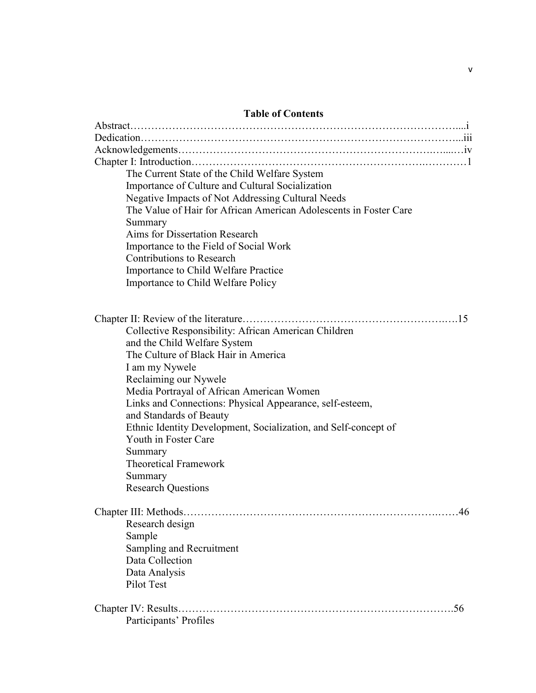# **Table of Contents**

| The Current State of the Child Welfare System                     |
|-------------------------------------------------------------------|
| Importance of Culture and Cultural Socialization                  |
| Negative Impacts of Not Addressing Cultural Needs                 |
| The Value of Hair for African American Adolescents in Foster Care |
| Summary                                                           |
| Aims for Dissertation Research                                    |
| Importance to the Field of Social Work                            |
| <b>Contributions to Research</b>                                  |
| Importance to Child Welfare Practice                              |
| Importance to Child Welfare Policy                                |
|                                                                   |
|                                                                   |
|                                                                   |
| Collective Responsibility: African American Children              |
| and the Child Welfare System                                      |
| The Culture of Black Hair in America                              |
| I am my Nywele                                                    |
| Reclaiming our Nywele                                             |
| Media Portrayal of African American Women                         |
| Links and Connections: Physical Appearance, self-esteem,          |
| and Standards of Beauty                                           |
| Ethnic Identity Development, Socialization, and Self-concept of   |
| Youth in Foster Care                                              |
| Summary                                                           |
| <b>Theoretical Framework</b>                                      |
| Summary                                                           |
| <b>Research Questions</b>                                         |
|                                                                   |
| Chapter III: Methods<br>46                                        |
| Research design                                                   |
| Sample                                                            |
| Sampling and Recruitment                                          |
| Data Collection                                                   |
| Data Analysis                                                     |
| Pilot Test                                                        |
|                                                                   |
| Chapter IV: Results.<br>.56                                       |
| Participants' Profiles                                            |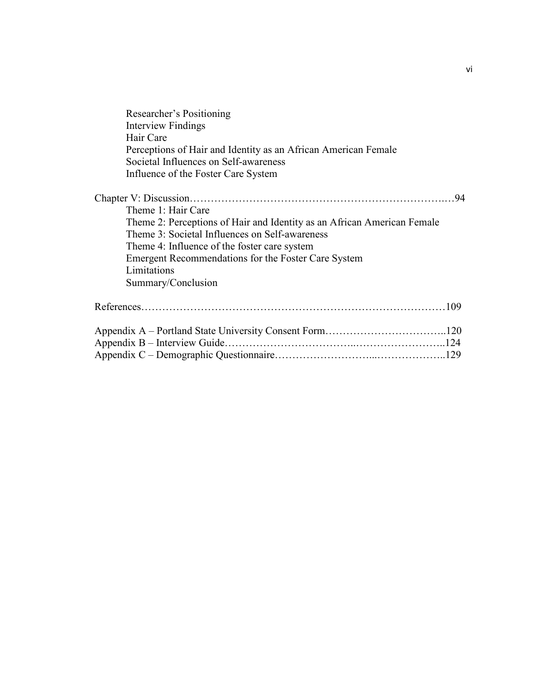| Interview Findings<br>Hair Care<br>Perceptions of Hair and Identity as an African American Female<br>Societal Influences on Self-awareness<br>Influence of the Foster Care System<br>94<br>Theme 1: Hair Care<br>Theme 2: Perceptions of Hair and Identity as an African American Female<br>Theme 3: Societal Influences on Self-awareness<br>Theme 4: Influence of the foster care system<br>Emergent Recommendations for the Foster Care System<br>Limitations<br>Summary/Conclusion | Researcher's Positioning |  |
|----------------------------------------------------------------------------------------------------------------------------------------------------------------------------------------------------------------------------------------------------------------------------------------------------------------------------------------------------------------------------------------------------------------------------------------------------------------------------------------|--------------------------|--|
|                                                                                                                                                                                                                                                                                                                                                                                                                                                                                        |                          |  |
|                                                                                                                                                                                                                                                                                                                                                                                                                                                                                        |                          |  |
|                                                                                                                                                                                                                                                                                                                                                                                                                                                                                        |                          |  |
|                                                                                                                                                                                                                                                                                                                                                                                                                                                                                        |                          |  |
|                                                                                                                                                                                                                                                                                                                                                                                                                                                                                        |                          |  |
|                                                                                                                                                                                                                                                                                                                                                                                                                                                                                        |                          |  |
|                                                                                                                                                                                                                                                                                                                                                                                                                                                                                        |                          |  |
|                                                                                                                                                                                                                                                                                                                                                                                                                                                                                        |                          |  |
|                                                                                                                                                                                                                                                                                                                                                                                                                                                                                        |                          |  |
|                                                                                                                                                                                                                                                                                                                                                                                                                                                                                        |                          |  |
|                                                                                                                                                                                                                                                                                                                                                                                                                                                                                        |                          |  |
|                                                                                                                                                                                                                                                                                                                                                                                                                                                                                        |                          |  |
|                                                                                                                                                                                                                                                                                                                                                                                                                                                                                        |                          |  |
|                                                                                                                                                                                                                                                                                                                                                                                                                                                                                        |                          |  |
|                                                                                                                                                                                                                                                                                                                                                                                                                                                                                        |                          |  |
|                                                                                                                                                                                                                                                                                                                                                                                                                                                                                        |                          |  |
|                                                                                                                                                                                                                                                                                                                                                                                                                                                                                        |                          |  |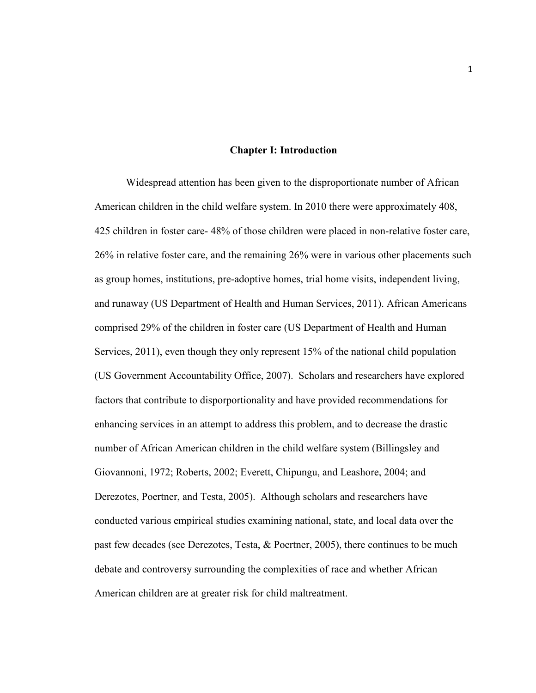## **Chapter I: Introduction**

Widespread attention has been given to the disproportionate number of African American children in the child welfare system. In 2010 there were approximately 408, 425 children in foster care- 48% of those children were placed in non-relative foster care, 26% in relative foster care, and the remaining 26% were in various other placements such as group homes, institutions, pre-adoptive homes, trial home visits, independent living, and runaway (US Department of Health and Human Services, 2011). African Americans comprised 29% of the children in foster care (US Department of Health and Human Services, 2011), even though they only represent 15% of the national child population (US Government Accountability Office, 2007). Scholars and researchers have explored factors that contribute to disporportionality and have provided recommendations for enhancing services in an attempt to address this problem, and to decrease the drastic number of African American children in the child welfare system (Billingsley and Giovannoni, 1972; Roberts, 2002; Everett, Chipungu, and Leashore, 2004; and Derezotes, Poertner, and Testa, 2005). Although scholars and researchers have conducted various empirical studies examining national, state, and local data over the past few decades (see Derezotes, Testa, & Poertner, 2005), there continues to be much debate and controversy surrounding the complexities of race and whether African American children are at greater risk for child maltreatment.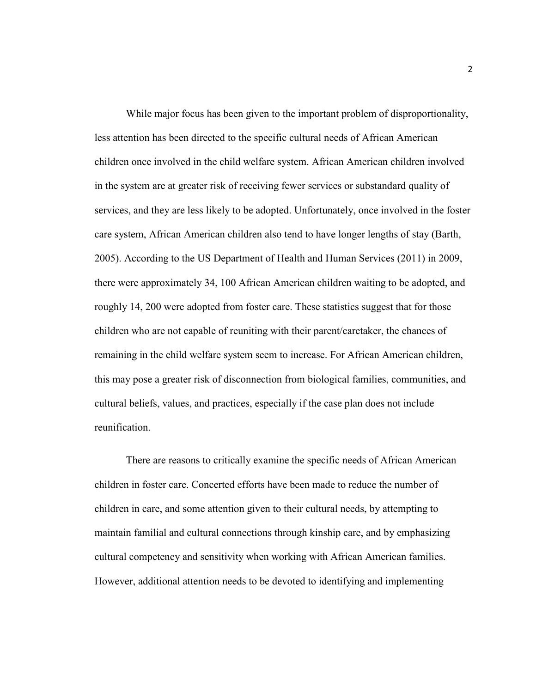While major focus has been given to the important problem of disproportionality, less attention has been directed to the specific cultural needs of African American children once involved in the child welfare system. African American children involved in the system are at greater risk of receiving fewer services or substandard quality of services, and they are less likely to be adopted. Unfortunately, once involved in the foster care system, African American children also tend to have longer lengths of stay (Barth, 2005). According to the US Department of Health and Human Services (2011) in 2009, there were approximately 34, 100 African American children waiting to be adopted, and roughly 14, 200 were adopted from foster care. These statistics suggest that for those children who are not capable of reuniting with their parent/caretaker, the chances of remaining in the child welfare system seem to increase. For African American children, this may pose a greater risk of disconnection from biological families, communities, and cultural beliefs, values, and practices, especially if the case plan does not include reunification.

There are reasons to critically examine the specific needs of African American children in foster care. Concerted efforts have been made to reduce the number of children in care, and some attention given to their cultural needs, by attempting to maintain familial and cultural connections through kinship care, and by emphasizing cultural competency and sensitivity when working with African American families. However, additional attention needs to be devoted to identifying and implementing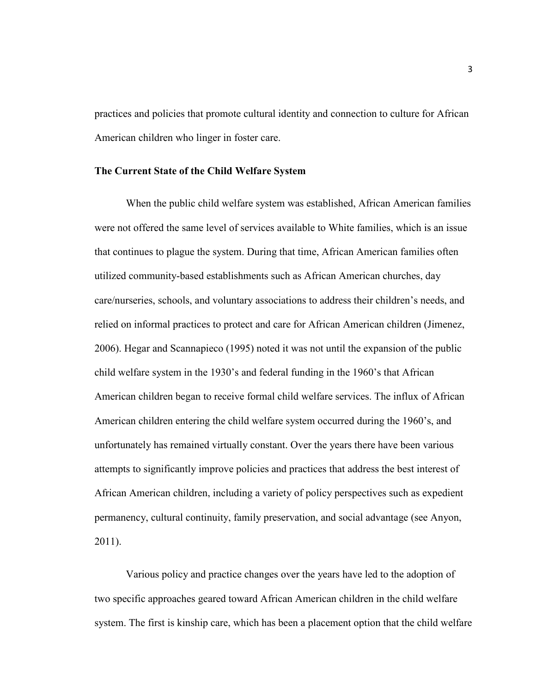practices and policies that promote cultural identity and connection to culture for African American children who linger in foster care.

# **The Current State of the Child Welfare System**

When the public child welfare system was established, African American families were not offered the same level of services available to White families, which is an issue that continues to plague the system. During that time, African American families often utilized community-based establishments such as African American churches, day care/nurseries, schools, and voluntary associations to address their children's needs, and relied on informal practices to protect and care for African American children (Jimenez, 2006). Hegar and Scannapieco (1995) noted it was not until the expansion of the public child welfare system in the 1930's and federal funding in the 1960's that African American children began to receive formal child welfare services. The influx of African American children entering the child welfare system occurred during the 1960's, and unfortunately has remained virtually constant. Over the years there have been various attempts to significantly improve policies and practices that address the best interest of African American children, including a variety of policy perspectives such as expedient permanency, cultural continuity, family preservation, and social advantage (see Anyon, 2011).

Various policy and practice changes over the years have led to the adoption of two specific approaches geared toward African American children in the child welfare system. The first is kinship care, which has been a placement option that the child welfare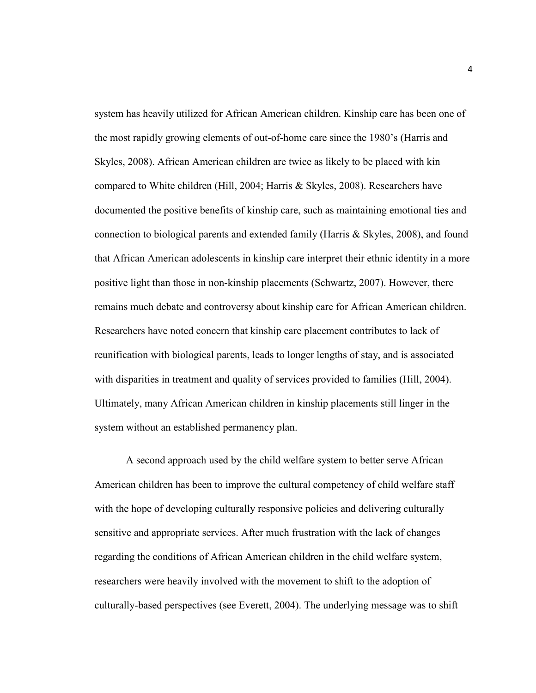system has heavily utilized for African American children. Kinship care has been one of the most rapidly growing elements of out-of-home care since the 1980's (Harris and Skyles, 2008). African American children are twice as likely to be placed with kin compared to White children (Hill, 2004; Harris & Skyles, 2008). Researchers have documented the positive benefits of kinship care, such as maintaining emotional ties and connection to biological parents and extended family (Harris & Skyles, 2008), and found that African American adolescents in kinship care interpret their ethnic identity in a more positive light than those in non-kinship placements (Schwartz, 2007). However, there remains much debate and controversy about kinship care for African American children. Researchers have noted concern that kinship care placement contributes to lack of reunification with biological parents, leads to longer lengths of stay, and is associated with disparities in treatment and quality of services provided to families (Hill, 2004). Ultimately, many African American children in kinship placements still linger in the system without an established permanency plan.

A second approach used by the child welfare system to better serve African American children has been to improve the cultural competency of child welfare staff with the hope of developing culturally responsive policies and delivering culturally sensitive and appropriate services. After much frustration with the lack of changes regarding the conditions of African American children in the child welfare system, researchers were heavily involved with the movement to shift to the adoption of culturally-based perspectives (see Everett, 2004). The underlying message was to shift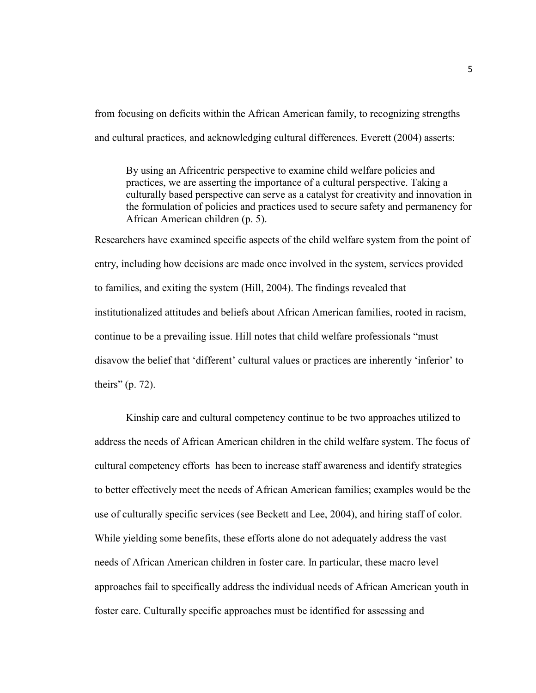from focusing on deficits within the African American family, to recognizing strengths and cultural practices, and acknowledging cultural differences. Everett (2004) asserts:

By using an Africentric perspective to examine child welfare policies and practices, we are asserting the importance of a cultural perspective. Taking a culturally based perspective can serve as a catalyst for creativity and innovation in the formulation of policies and practices used to secure safety and permanency for African American children (p. 5).

Researchers have examined specific aspects of the child welfare system from the point of entry, including how decisions are made once involved in the system, services provided to families, and exiting the system (Hill, 2004). The findings revealed that institutionalized attitudes and beliefs about African American families, rooted in racism, continue to be a prevailing issue. Hill notes that child welfare professionals "must disavow the belief that 'different' cultural values or practices are inherently 'inferior' to theirs" (p. 72).

Kinship care and cultural competency continue to be two approaches utilized to address the needs of African American children in the child welfare system. The focus of cultural competency efforts has been to increase staff awareness and identify strategies to better effectively meet the needs of African American families; examples would be the use of culturally specific services (see Beckett and Lee, 2004), and hiring staff of color. While yielding some benefits, these efforts alone do not adequately address the vast needs of African American children in foster care. In particular, these macro level approaches fail to specifically address the individual needs of African American youth in foster care. Culturally specific approaches must be identified for assessing and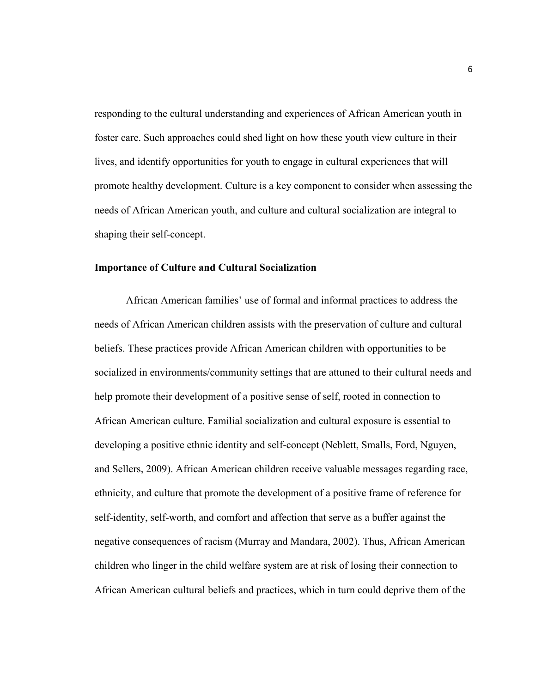responding to the cultural understanding and experiences of African American youth in foster care. Such approaches could shed light on how these youth view culture in their lives, and identify opportunities for youth to engage in cultural experiences that will promote healthy development. Culture is a key component to consider when assessing the needs of African American youth, and culture and cultural socialization are integral to shaping their self-concept.

#### **Importance of Culture and Cultural Socialization**

African American families' use of formal and informal practices to address the needs of African American children assists with the preservation of culture and cultural beliefs. These practices provide African American children with opportunities to be socialized in environments/community settings that are attuned to their cultural needs and help promote their development of a positive sense of self, rooted in connection to African American culture. Familial socialization and cultural exposure is essential to developing a positive ethnic identity and self-concept (Neblett, Smalls, Ford, Nguyen, and Sellers, 2009). African American children receive valuable messages regarding race, ethnicity, and culture that promote the development of a positive frame of reference for self-identity, self-worth, and comfort and affection that serve as a buffer against the negative consequences of racism (Murray and Mandara, 2002). Thus, African American children who linger in the child welfare system are at risk of losing their connection to African American cultural beliefs and practices, which in turn could deprive them of the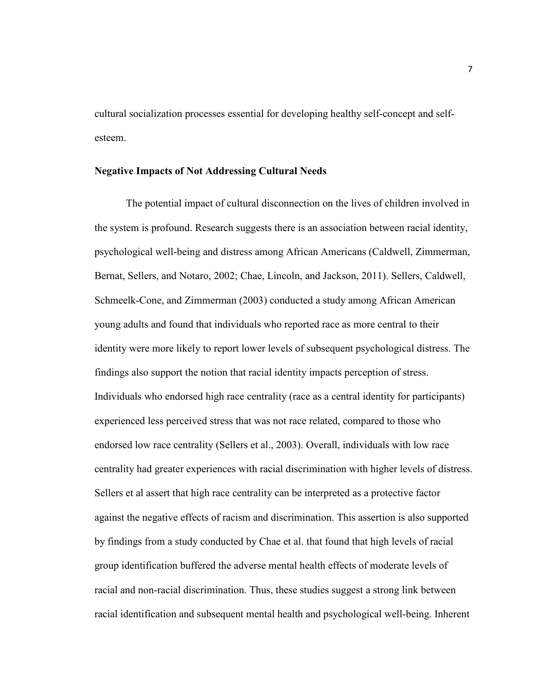cultural socialization processes essential for developing healthy self-concept and selfesteem.

# **Negative Impacts of Not Addressing Cultural Needs**

The potential impact of cultural disconnection on the lives of children involved in the system is profound. Research suggests there is an association between racial identity, psychological well-being and distress among African Americans (Caldwell, Zimmerman, Bernat, Sellers, and Notaro, 2002; Chae, Lincoln, and Jackson, 2011). Sellers, Caldwell, Schmeelk-Cone, and Zimmerman (2003) conducted a study among African American young adults and found that individuals who reported race as more central to their identity were more likely to report lower levels of subsequent psychological distress. The findings also support the notion that racial identity impacts perception of stress. Individuals who endorsed high race centrality (race as a central identity for participants) experienced less perceived stress that was not race related, compared to those who endorsed low race centrality (Sellers et al., 2003). Overall, individuals with low race centrality had greater experiences with racial discrimination with higher levels of distress. Sellers et al assert that high race centrality can be interpreted as a protective factor against the negative effects of racism and discrimination. This assertion is also supported by findings from a study conducted by Chae et al. that found that high levels of racial group identification buffered the adverse mental health effects of moderate levels of racial and non-racial discrimination. Thus, these studies suggest a strong link between racial identification and subsequent mental health and psychological well-being. Inherent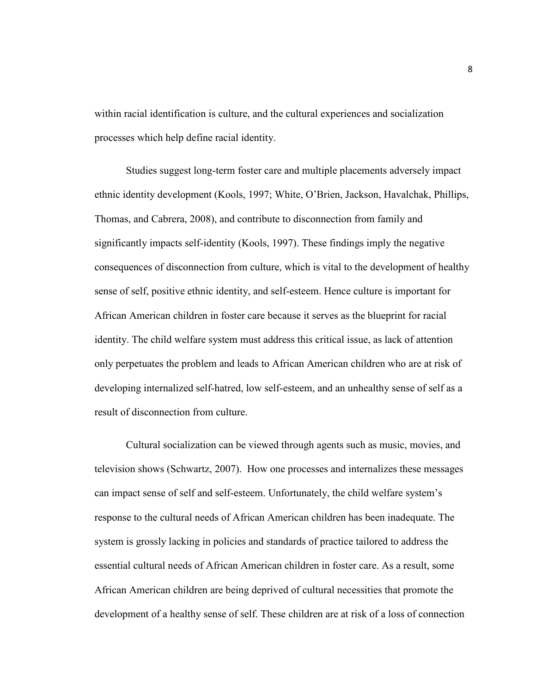within racial identification is culture, and the cultural experiences and socialization processes which help define racial identity.

Studies suggest long-term foster care and multiple placements adversely impact ethnic identity development (Kools, 1997; White, O'Brien, Jackson, Havalchak, Phillips, Thomas, and Cabrera, 2008), and contribute to disconnection from family and significantly impacts self-identity (Kools, 1997). These findings imply the negative consequences of disconnection from culture, which is vital to the development of healthy sense of self, positive ethnic identity, and self-esteem. Hence culture is important for African American children in foster care because it serves as the blueprint for racial identity. The child welfare system must address this critical issue, as lack of attention only perpetuates the problem and leads to African American children who are at risk of developing internalized self-hatred, low self-esteem, and an unhealthy sense of self as a result of disconnection from culture.

Cultural socialization can be viewed through agents such as music, movies, and television shows (Schwartz, 2007). How one processes and internalizes these messages can impact sense of self and self-esteem. Unfortunately, the child welfare system's response to the cultural needs of African American children has been inadequate. The system is grossly lacking in policies and standards of practice tailored to address the essential cultural needs of African American children in foster care. As a result, some African American children are being deprived of cultural necessities that promote the development of a healthy sense of self. These children are at risk of a loss of connection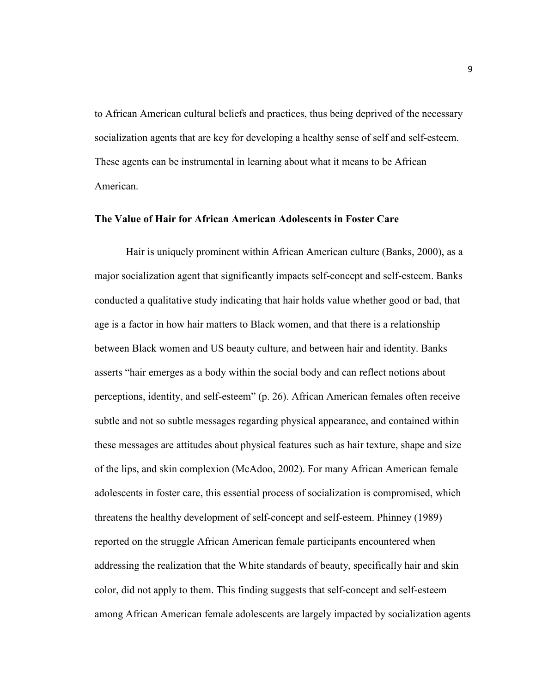to African American cultural beliefs and practices, thus being deprived of the necessary socialization agents that are key for developing a healthy sense of self and self-esteem. These agents can be instrumental in learning about what it means to be African American.

# **The Value of Hair for African American Adolescents in Foster Care**

Hair is uniquely prominent within African American culture (Banks, 2000), as a major socialization agent that significantly impacts self-concept and self-esteem. Banks conducted a qualitative study indicating that hair holds value whether good or bad, that age is a factor in how hair matters to Black women, and that there is a relationship between Black women and US beauty culture, and between hair and identity. Banks asserts "hair emerges as a body within the social body and can reflect notions about perceptions, identity, and self-esteem" (p. 26). African American females often receive subtle and not so subtle messages regarding physical appearance, and contained within these messages are attitudes about physical features such as hair texture, shape and size of the lips, and skin complexion (McAdoo, 2002). For many African American female adolescents in foster care, this essential process of socialization is compromised, which threatens the healthy development of self-concept and self-esteem. Phinney (1989) reported on the struggle African American female participants encountered when addressing the realization that the White standards of beauty, specifically hair and skin color, did not apply to them. This finding suggests that self-concept and self-esteem among African American female adolescents are largely impacted by socialization agents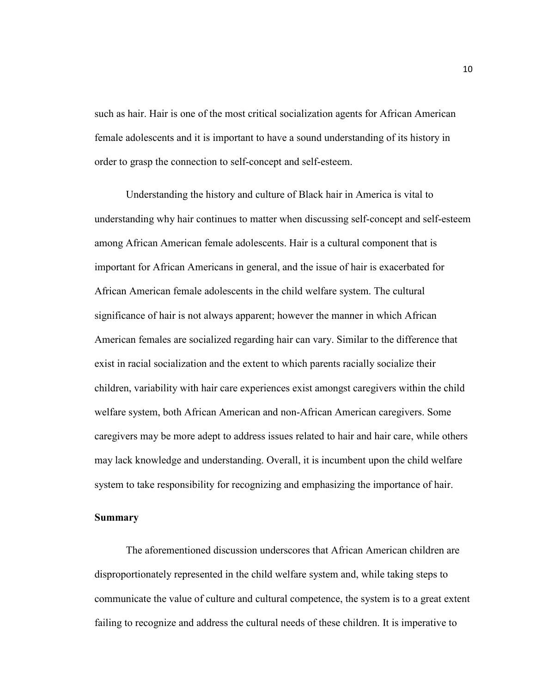such as hair. Hair is one of the most critical socialization agents for African American female adolescents and it is important to have a sound understanding of its history in order to grasp the connection to self-concept and self-esteem.

Understanding the history and culture of Black hair in America is vital to understanding why hair continues to matter when discussing self-concept and self-esteem among African American female adolescents. Hair is a cultural component that is important for African Americans in general, and the issue of hair is exacerbated for African American female adolescents in the child welfare system. The cultural significance of hair is not always apparent; however the manner in which African American females are socialized regarding hair can vary. Similar to the difference that exist in racial socialization and the extent to which parents racially socialize their children, variability with hair care experiences exist amongst caregivers within the child welfare system, both African American and non-African American caregivers. Some caregivers may be more adept to address issues related to hair and hair care, while others may lack knowledge and understanding. Overall, it is incumbent upon the child welfare system to take responsibility for recognizing and emphasizing the importance of hair.

#### **Summary**

The aforementioned discussion underscores that African American children are disproportionately represented in the child welfare system and, while taking steps to communicate the value of culture and cultural competence, the system is to a great extent failing to recognize and address the cultural needs of these children. It is imperative to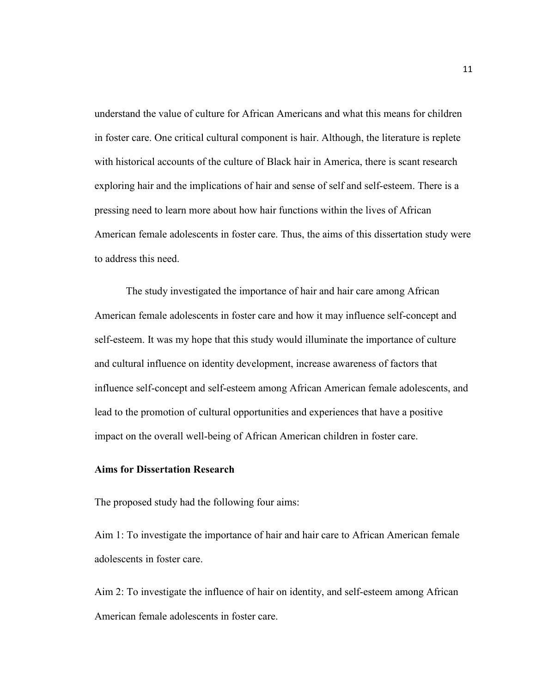understand the value of culture for African Americans and what this means for children in foster care. One critical cultural component is hair. Although, the literature is replete with historical accounts of the culture of Black hair in America, there is scant research exploring hair and the implications of hair and sense of self and self-esteem. There is a pressing need to learn more about how hair functions within the lives of African American female adolescents in foster care. Thus, the aims of this dissertation study were to address this need.

The study investigated the importance of hair and hair care among African American female adolescents in foster care and how it may influence self-concept and self-esteem. It was my hope that this study would illuminate the importance of culture and cultural influence on identity development, increase awareness of factors that influence self-concept and self-esteem among African American female adolescents, and lead to the promotion of cultural opportunities and experiences that have a positive impact on the overall well-being of African American children in foster care.

# **Aims for Dissertation Research**

The proposed study had the following four aims:

Aim 1: To investigate the importance of hair and hair care to African American female adolescents in foster care.

Aim 2: To investigate the influence of hair on identity, and self-esteem among African American female adolescents in foster care.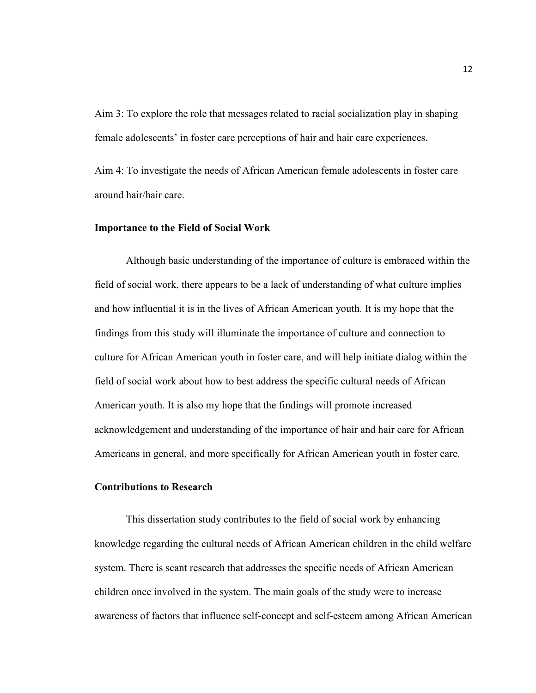Aim 3: To explore the role that messages related to racial socialization play in shaping female adolescents' in foster care perceptions of hair and hair care experiences.

Aim 4: To investigate the needs of African American female adolescents in foster care around hair/hair care.

### **Importance to the Field of Social Work**

 Although basic understanding of the importance of culture is embraced within the field of social work, there appears to be a lack of understanding of what culture implies and how influential it is in the lives of African American youth. It is my hope that the findings from this study will illuminate the importance of culture and connection to culture for African American youth in foster care, and will help initiate dialog within the field of social work about how to best address the specific cultural needs of African American youth. It is also my hope that the findings will promote increased acknowledgement and understanding of the importance of hair and hair care for African Americans in general, and more specifically for African American youth in foster care.

# **Contributions to Research**

This dissertation study contributes to the field of social work by enhancing knowledge regarding the cultural needs of African American children in the child welfare system. There is scant research that addresses the specific needs of African American children once involved in the system. The main goals of the study were to increase awareness of factors that influence self-concept and self-esteem among African American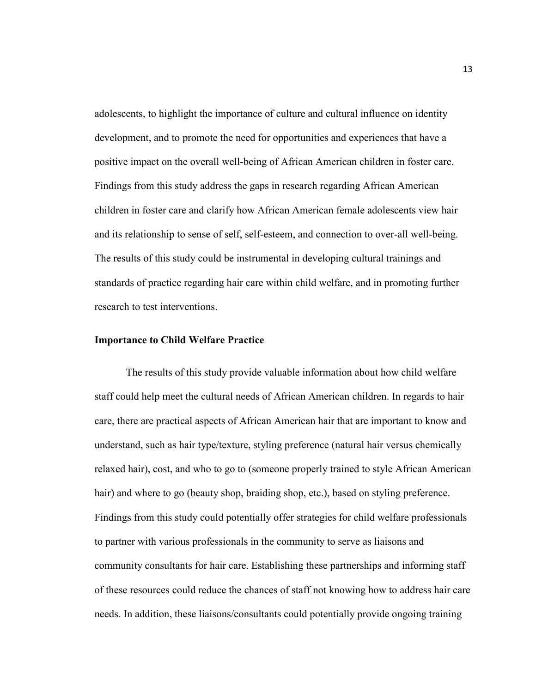adolescents, to highlight the importance of culture and cultural influence on identity development, and to promote the need for opportunities and experiences that have a positive impact on the overall well-being of African American children in foster care. Findings from this study address the gaps in research regarding African American children in foster care and clarify how African American female adolescents view hair and its relationship to sense of self, self-esteem, and connection to over-all well-being. The results of this study could be instrumental in developing cultural trainings and standards of practice regarding hair care within child welfare, and in promoting further research to test interventions.

# **Importance to Child Welfare Practice**

The results of this study provide valuable information about how child welfare staff could help meet the cultural needs of African American children. In regards to hair care, there are practical aspects of African American hair that are important to know and understand, such as hair type/texture, styling preference (natural hair versus chemically relaxed hair), cost, and who to go to (someone properly trained to style African American hair) and where to go (beauty shop, braiding shop, etc.), based on styling preference. Findings from this study could potentially offer strategies for child welfare professionals to partner with various professionals in the community to serve as liaisons and community consultants for hair care. Establishing these partnerships and informing staff of these resources could reduce the chances of staff not knowing how to address hair care needs. In addition, these liaisons/consultants could potentially provide ongoing training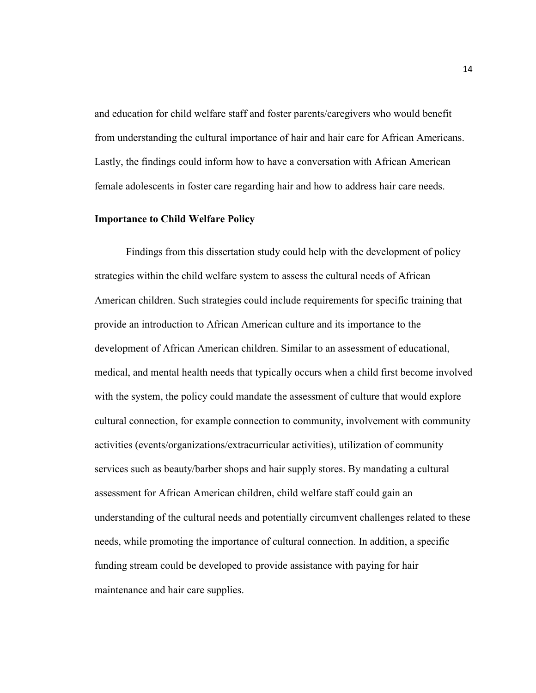and education for child welfare staff and foster parents/caregivers who would benefit from understanding the cultural importance of hair and hair care for African Americans. Lastly, the findings could inform how to have a conversation with African American female adolescents in foster care regarding hair and how to address hair care needs.

# **Importance to Child Welfare Policy**

Findings from this dissertation study could help with the development of policy strategies within the child welfare system to assess the cultural needs of African American children. Such strategies could include requirements for specific training that provide an introduction to African American culture and its importance to the development of African American children. Similar to an assessment of educational, medical, and mental health needs that typically occurs when a child first become involved with the system, the policy could mandate the assessment of culture that would explore cultural connection, for example connection to community, involvement with community activities (events/organizations/extracurricular activities), utilization of community services such as beauty/barber shops and hair supply stores. By mandating a cultural assessment for African American children, child welfare staff could gain an understanding of the cultural needs and potentially circumvent challenges related to these needs, while promoting the importance of cultural connection. In addition, a specific funding stream could be developed to provide assistance with paying for hair maintenance and hair care supplies.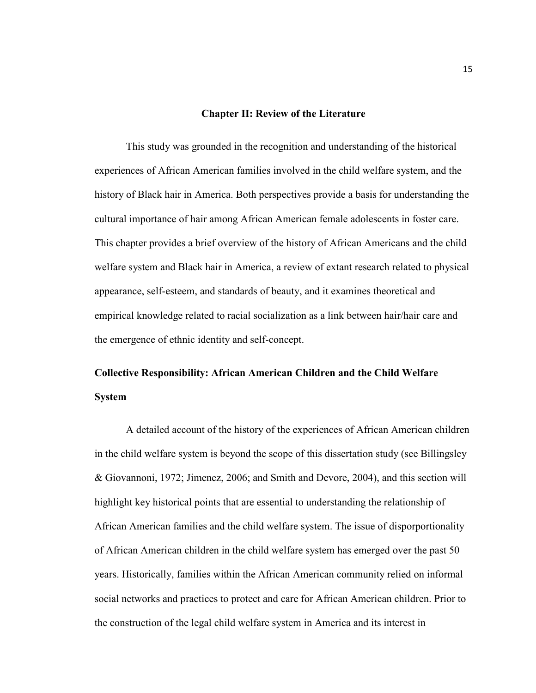# **Chapter II: Review of the Literature**

This study was grounded in the recognition and understanding of the historical experiences of African American families involved in the child welfare system, and the history of Black hair in America. Both perspectives provide a basis for understanding the cultural importance of hair among African American female adolescents in foster care. This chapter provides a brief overview of the history of African Americans and the child welfare system and Black hair in America, a review of extant research related to physical appearance, self-esteem, and standards of beauty, and it examines theoretical and empirical knowledge related to racial socialization as a link between hair/hair care and the emergence of ethnic identity and self-concept.

# **Collective Responsibility: African American Children and the Child Welfare System**

A detailed account of the history of the experiences of African American children in the child welfare system is beyond the scope of this dissertation study (see Billingsley & Giovannoni, 1972; Jimenez, 2006; and Smith and Devore, 2004), and this section will highlight key historical points that are essential to understanding the relationship of African American families and the child welfare system. The issue of disporportionality of African American children in the child welfare system has emerged over the past 50 years. Historically, families within the African American community relied on informal social networks and practices to protect and care for African American children. Prior to the construction of the legal child welfare system in America and its interest in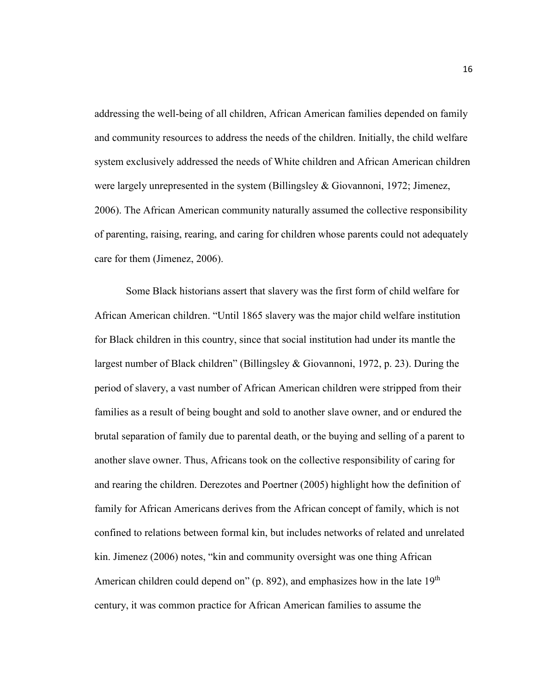addressing the well-being of all children, African American families depended on family and community resources to address the needs of the children. Initially, the child welfare system exclusively addressed the needs of White children and African American children were largely unrepresented in the system (Billingsley & Giovannoni, 1972; Jimenez, 2006). The African American community naturally assumed the collective responsibility of parenting, raising, rearing, and caring for children whose parents could not adequately care for them (Jimenez, 2006).

 Some Black historians assert that slavery was the first form of child welfare for African American children. "Until 1865 slavery was the major child welfare institution for Black children in this country, since that social institution had under its mantle the largest number of Black children" (Billingsley & Giovannoni, 1972, p. 23). During the period of slavery, a vast number of African American children were stripped from their families as a result of being bought and sold to another slave owner, and or endured the brutal separation of family due to parental death, or the buying and selling of a parent to another slave owner. Thus, Africans took on the collective responsibility of caring for and rearing the children. Derezotes and Poertner (2005) highlight how the definition of family for African Americans derives from the African concept of family, which is not confined to relations between formal kin, but includes networks of related and unrelated kin. Jimenez (2006) notes, "kin and community oversight was one thing African American children could depend on" (p. 892), and emphasizes how in the late  $19<sup>th</sup>$ century, it was common practice for African American families to assume the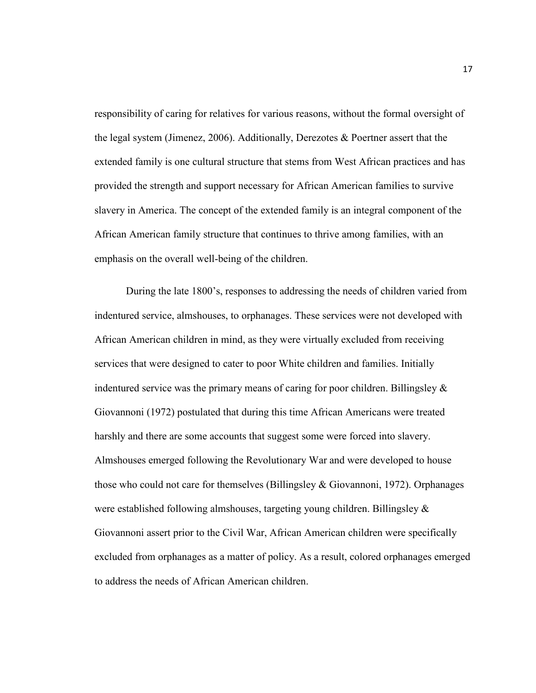responsibility of caring for relatives for various reasons, without the formal oversight of the legal system (Jimenez, 2006). Additionally, Derezotes & Poertner assert that the extended family is one cultural structure that stems from West African practices and has provided the strength and support necessary for African American families to survive slavery in America. The concept of the extended family is an integral component of the African American family structure that continues to thrive among families, with an emphasis on the overall well-being of the children.

 During the late 1800's, responses to addressing the needs of children varied from indentured service, almshouses, to orphanages. These services were not developed with African American children in mind, as they were virtually excluded from receiving services that were designed to cater to poor White children and families. Initially indentured service was the primary means of caring for poor children. Billingsley  $\&$ Giovannoni (1972) postulated that during this time African Americans were treated harshly and there are some accounts that suggest some were forced into slavery. Almshouses emerged following the Revolutionary War and were developed to house those who could not care for themselves (Billingsley & Giovannoni, 1972). Orphanages were established following almshouses, targeting young children. Billingsley  $\&$ Giovannoni assert prior to the Civil War, African American children were specifically excluded from orphanages as a matter of policy. As a result, colored orphanages emerged to address the needs of African American children.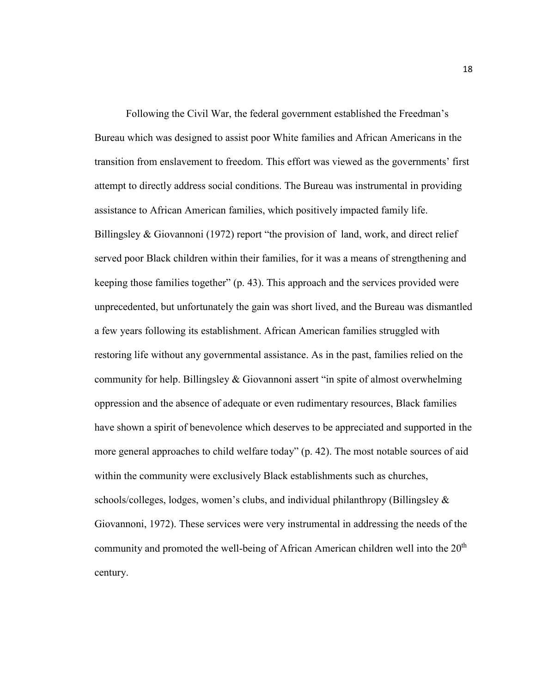Following the Civil War, the federal government established the Freedman's Bureau which was designed to assist poor White families and African Americans in the transition from enslavement to freedom. This effort was viewed as the governments' first attempt to directly address social conditions. The Bureau was instrumental in providing assistance to African American families, which positively impacted family life. Billingsley & Giovannoni (1972) report "the provision of land, work, and direct relief served poor Black children within their families, for it was a means of strengthening and keeping those families together" (p. 43). This approach and the services provided were unprecedented, but unfortunately the gain was short lived, and the Bureau was dismantled a few years following its establishment. African American families struggled with restoring life without any governmental assistance. As in the past, families relied on the community for help. Billingsley & Giovannoni assert "in spite of almost overwhelming oppression and the absence of adequate or even rudimentary resources, Black families have shown a spirit of benevolence which deserves to be appreciated and supported in the more general approaches to child welfare today" (p. 42). The most notable sources of aid within the community were exclusively Black establishments such as churches, schools/colleges, lodges, women's clubs, and individual philanthropy (Billingsley & Giovannoni, 1972). These services were very instrumental in addressing the needs of the community and promoted the well-being of African American children well into the  $20<sup>th</sup>$ century.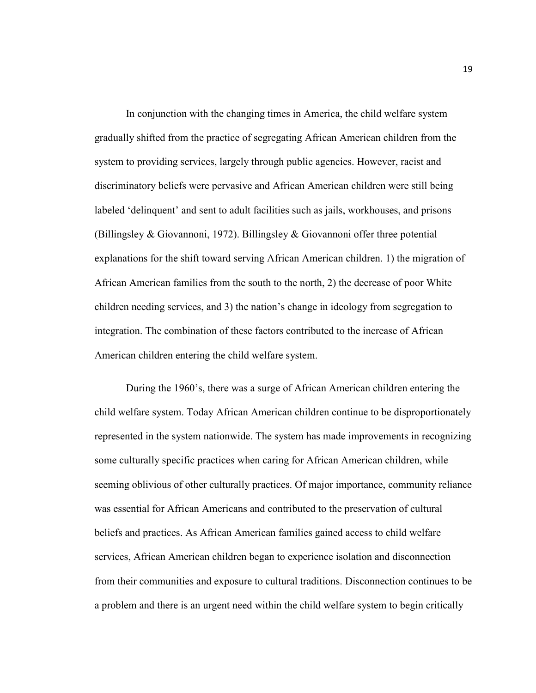In conjunction with the changing times in America, the child welfare system gradually shifted from the practice of segregating African American children from the system to providing services, largely through public agencies. However, racist and discriminatory beliefs were pervasive and African American children were still being labeled 'delinquent' and sent to adult facilities such as jails, workhouses, and prisons (Billingsley & Giovannoni, 1972). Billingsley & Giovannoni offer three potential explanations for the shift toward serving African American children. 1) the migration of African American families from the south to the north, 2) the decrease of poor White children needing services, and 3) the nation's change in ideology from segregation to integration. The combination of these factors contributed to the increase of African American children entering the child welfare system.

During the 1960's, there was a surge of African American children entering the child welfare system. Today African American children continue to be disproportionately represented in the system nationwide. The system has made improvements in recognizing some culturally specific practices when caring for African American children, while seeming oblivious of other culturally practices. Of major importance, community reliance was essential for African Americans and contributed to the preservation of cultural beliefs and practices. As African American families gained access to child welfare services, African American children began to experience isolation and disconnection from their communities and exposure to cultural traditions. Disconnection continues to be a problem and there is an urgent need within the child welfare system to begin critically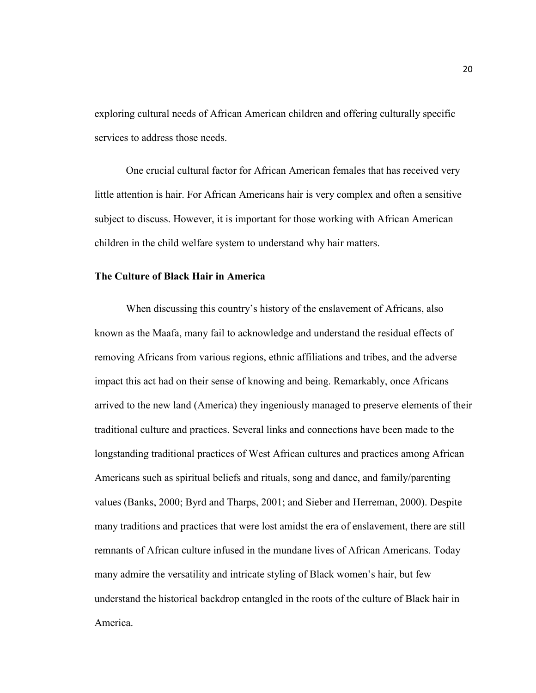exploring cultural needs of African American children and offering culturally specific services to address those needs.

One crucial cultural factor for African American females that has received very little attention is hair. For African Americans hair is very complex and often a sensitive subject to discuss. However, it is important for those working with African American children in the child welfare system to understand why hair matters.

# **The Culture of Black Hair in America**

When discussing this country's history of the enslavement of Africans, also known as the Maafa, many fail to acknowledge and understand the residual effects of removing Africans from various regions, ethnic affiliations and tribes, and the adverse impact this act had on their sense of knowing and being. Remarkably, once Africans arrived to the new land (America) they ingeniously managed to preserve elements of their traditional culture and practices. Several links and connections have been made to the longstanding traditional practices of West African cultures and practices among African Americans such as spiritual beliefs and rituals, song and dance, and family/parenting values (Banks, 2000; Byrd and Tharps, 2001; and Sieber and Herreman, 2000). Despite many traditions and practices that were lost amidst the era of enslavement, there are still remnants of African culture infused in the mundane lives of African Americans. Today many admire the versatility and intricate styling of Black women's hair, but few understand the historical backdrop entangled in the roots of the culture of Black hair in America.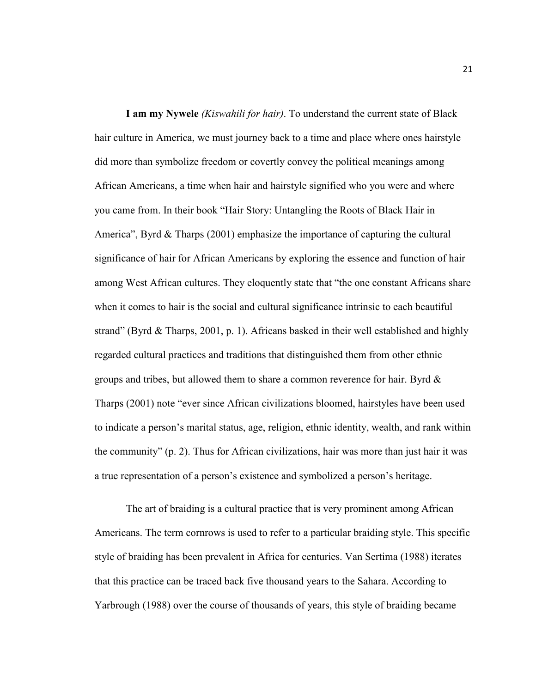**I am my Nywele** *(Kiswahili for hair)*. To understand the current state of Black hair culture in America, we must journey back to a time and place where ones hairstyle did more than symbolize freedom or covertly convey the political meanings among African Americans, a time when hair and hairstyle signified who you were and where you came from. In their book "Hair Story: Untangling the Roots of Black Hair in America", Byrd  $\&$  Tharps (2001) emphasize the importance of capturing the cultural significance of hair for African Americans by exploring the essence and function of hair among West African cultures. They eloquently state that "the one constant Africans share when it comes to hair is the social and cultural significance intrinsic to each beautiful strand" (Byrd & Tharps, 2001, p. 1). Africans basked in their well established and highly regarded cultural practices and traditions that distinguished them from other ethnic groups and tribes, but allowed them to share a common reverence for hair. Byrd  $\&$ Tharps (2001) note "ever since African civilizations bloomed, hairstyles have been used to indicate a person's marital status, age, religion, ethnic identity, wealth, and rank within the community" (p. 2). Thus for African civilizations, hair was more than just hair it was a true representation of a person's existence and symbolized a person's heritage.

 The art of braiding is a cultural practice that is very prominent among African Americans. The term cornrows is used to refer to a particular braiding style. This specific style of braiding has been prevalent in Africa for centuries. Van Sertima (1988) iterates that this practice can be traced back five thousand years to the Sahara. According to Yarbrough (1988) over the course of thousands of years, this style of braiding became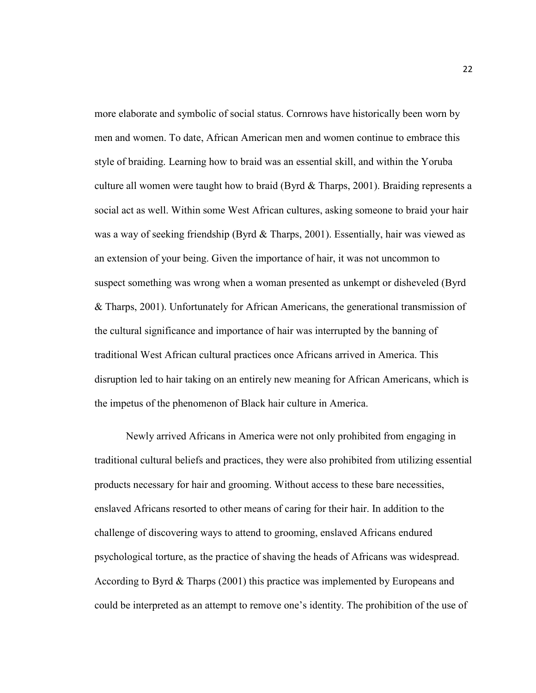more elaborate and symbolic of social status. Cornrows have historically been worn by men and women. To date, African American men and women continue to embrace this style of braiding. Learning how to braid was an essential skill, and within the Yoruba culture all women were taught how to braid (Byrd  $\&$  Tharps, 2001). Braiding represents a social act as well. Within some West African cultures, asking someone to braid your hair was a way of seeking friendship (Byrd & Tharps, 2001). Essentially, hair was viewed as an extension of your being. Given the importance of hair, it was not uncommon to suspect something was wrong when a woman presented as unkempt or disheveled (Byrd & Tharps, 2001). Unfortunately for African Americans, the generational transmission of the cultural significance and importance of hair was interrupted by the banning of traditional West African cultural practices once Africans arrived in America. This disruption led to hair taking on an entirely new meaning for African Americans, which is the impetus of the phenomenon of Black hair culture in America.

 Newly arrived Africans in America were not only prohibited from engaging in traditional cultural beliefs and practices, they were also prohibited from utilizing essential products necessary for hair and grooming. Without access to these bare necessities, enslaved Africans resorted to other means of caring for their hair. In addition to the challenge of discovering ways to attend to grooming, enslaved Africans endured psychological torture, as the practice of shaving the heads of Africans was widespread. According to Byrd & Tharps (2001) this practice was implemented by Europeans and could be interpreted as an attempt to remove one's identity. The prohibition of the use of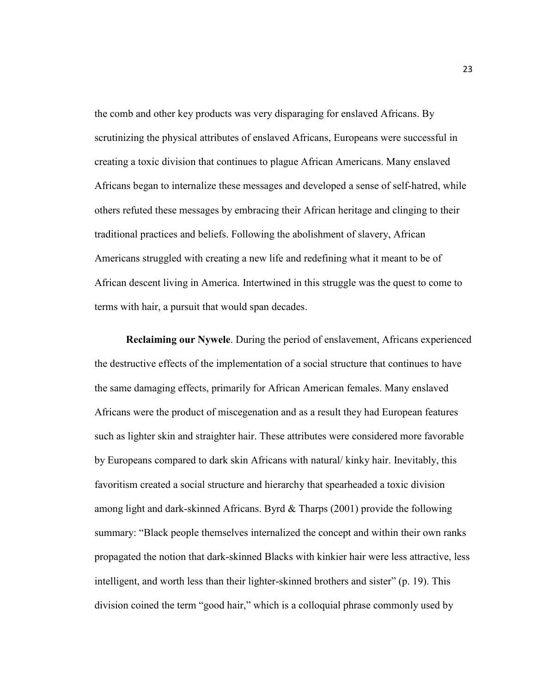the comb and other key products was very disparaging for enslaved Africans. By scrutinizing the physical attributes of enslaved Africans, Europeans were successful in creating a toxic division that continues to plague African Americans. Many enslaved Africans began to internalize these messages and developed a sense of self-hatred, while others refuted these messages by embracing their African heritage and clinging to their traditional practices and beliefs. Following the abolishment of slavery, African Americans struggled with creating a new life and redefining what it meant to be of African descent living in America. Intertwined in this struggle was the quest to come to terms with hair, a pursuit that would span decades.

**Reclaiming our Nywele**. During the period of enslavement, Africans experienced the destructive effects of the implementation of a social structure that continues to have the same damaging effects, primarily for African American females. Many enslaved Africans were the product of miscegenation and as a result they had European features such as lighter skin and straighter hair. These attributes were considered more favorable by Europeans compared to dark skin Africans with natural/ kinky hair. Inevitably, this favoritism created a social structure and hierarchy that spearheaded a toxic division among light and dark-skinned Africans. Byrd & Tharps (2001) provide the following summary: "Black people themselves internalized the concept and within their own ranks propagated the notion that dark-skinned Blacks with kinkier hair were less attractive, less intelligent, and worth less than their lighter-skinned brothers and sister" (p. 19). This division coined the term "good hair," which is a colloquial phrase commonly used by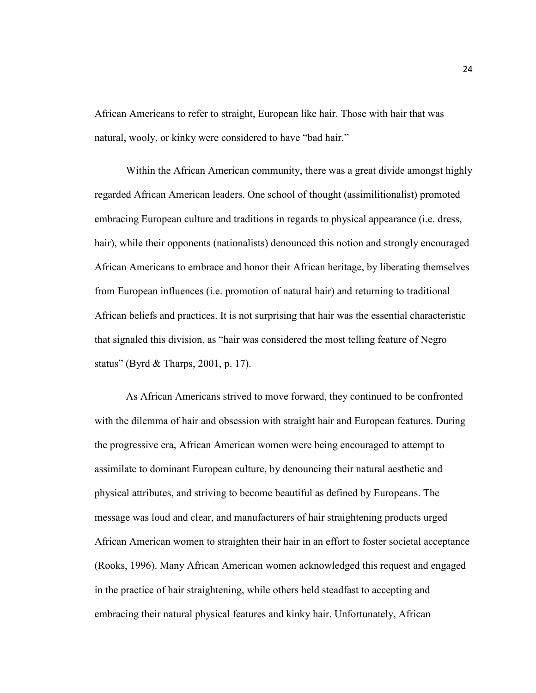African Americans to refer to straight, European like hair. Those with hair that was natural, wooly, or kinky were considered to have "bad hair."

Within the African American community, there was a great divide amongst highly regarded African American leaders. One school of thought (assimilitionalist) promoted embracing European culture and traditions in regards to physical appearance (i.e. dress, hair), while their opponents (nationalists) denounced this notion and strongly encouraged African Americans to embrace and honor their African heritage, by liberating themselves from European influences (i.e. promotion of natural hair) and returning to traditional African beliefs and practices. It is not surprising that hair was the essential characteristic that signaled this division, as "hair was considered the most telling feature of Negro status" (Byrd & Tharps, 2001, p. 17).

As African Americans strived to move forward, they continued to be confronted with the dilemma of hair and obsession with straight hair and European features. During the progressive era, African American women were being encouraged to attempt to assimilate to dominant European culture, by denouncing their natural aesthetic and physical attributes, and striving to become beautiful as defined by Europeans. The message was loud and clear, and manufacturers of hair straightening products urged African American women to straighten their hair in an effort to foster societal acceptance (Rooks, 1996). Many African American women acknowledged this request and engaged in the practice of hair straightening, while others held steadfast to accepting and embracing their natural physical features and kinky hair. Unfortunately, African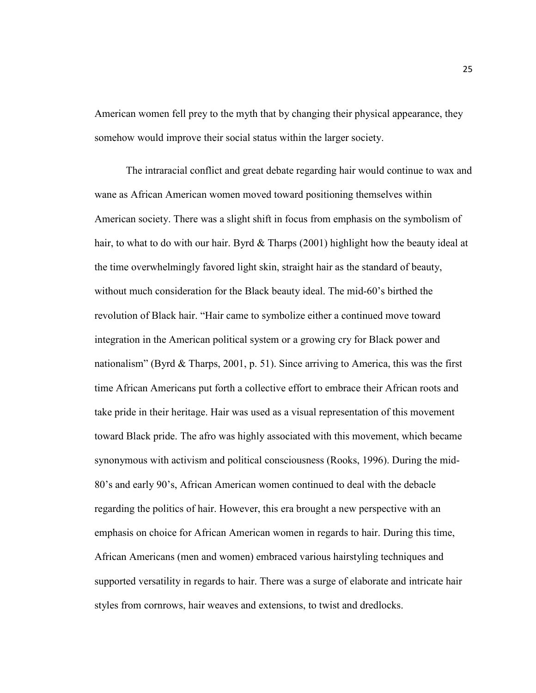American women fell prey to the myth that by changing their physical appearance, they somehow would improve their social status within the larger society.

The intraracial conflict and great debate regarding hair would continue to wax and wane as African American women moved toward positioning themselves within American society. There was a slight shift in focus from emphasis on the symbolism of hair, to what to do with our hair. Byrd & Tharps (2001) highlight how the beauty ideal at the time overwhelmingly favored light skin, straight hair as the standard of beauty, without much consideration for the Black beauty ideal. The mid-60's birthed the revolution of Black hair. "Hair came to symbolize either a continued move toward integration in the American political system or a growing cry for Black power and nationalism" (Byrd & Tharps, 2001, p. 51). Since arriving to America, this was the first time African Americans put forth a collective effort to embrace their African roots and take pride in their heritage. Hair was used as a visual representation of this movement toward Black pride. The afro was highly associated with this movement, which became synonymous with activism and political consciousness (Rooks, 1996). During the mid-80's and early 90's, African American women continued to deal with the debacle regarding the politics of hair. However, this era brought a new perspective with an emphasis on choice for African American women in regards to hair. During this time, African Americans (men and women) embraced various hairstyling techniques and supported versatility in regards to hair. There was a surge of elaborate and intricate hair styles from cornrows, hair weaves and extensions, to twist and dredlocks.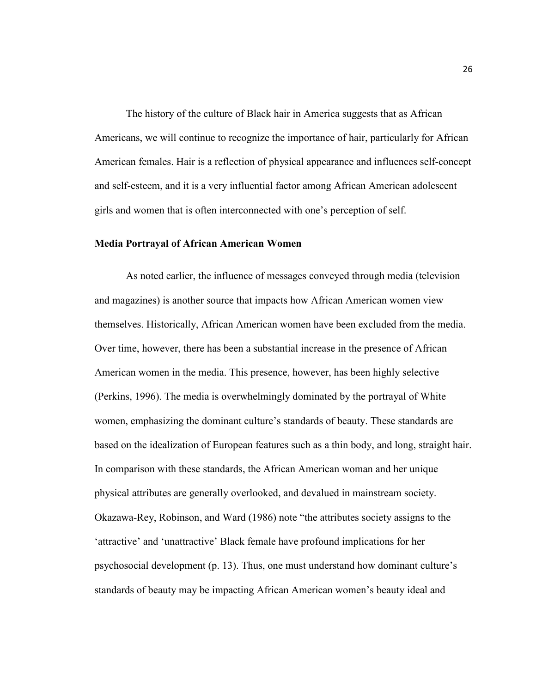The history of the culture of Black hair in America suggests that as African Americans, we will continue to recognize the importance of hair, particularly for African American females. Hair is a reflection of physical appearance and influences self-concept and self-esteem, and it is a very influential factor among African American adolescent girls and women that is often interconnected with one's perception of self.

# **Media Portrayal of African American Women**

 As noted earlier, the influence of messages conveyed through media (television and magazines) is another source that impacts how African American women view themselves. Historically, African American women have been excluded from the media. Over time, however, there has been a substantial increase in the presence of African American women in the media. This presence, however, has been highly selective (Perkins, 1996). The media is overwhelmingly dominated by the portrayal of White women, emphasizing the dominant culture's standards of beauty. These standards are based on the idealization of European features such as a thin body, and long, straight hair. In comparison with these standards, the African American woman and her unique physical attributes are generally overlooked, and devalued in mainstream society. Okazawa-Rey, Robinson, and Ward (1986) note "the attributes society assigns to the 'attractive' and 'unattractive' Black female have profound implications for her psychosocial development (p. 13). Thus, one must understand how dominant culture's standards of beauty may be impacting African American women's beauty ideal and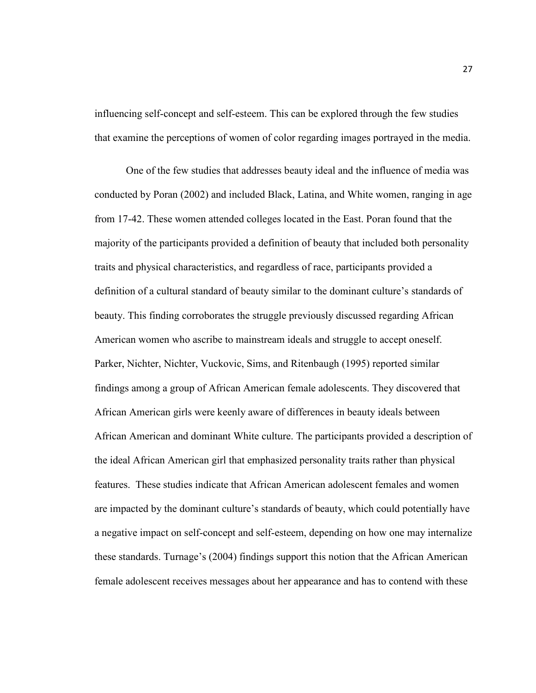influencing self-concept and self-esteem. This can be explored through the few studies that examine the perceptions of women of color regarding images portrayed in the media.

One of the few studies that addresses beauty ideal and the influence of media was conducted by Poran (2002) and included Black, Latina, and White women, ranging in age from 17-42. These women attended colleges located in the East. Poran found that the majority of the participants provided a definition of beauty that included both personality traits and physical characteristics, and regardless of race, participants provided a definition of a cultural standard of beauty similar to the dominant culture's standards of beauty. This finding corroborates the struggle previously discussed regarding African American women who ascribe to mainstream ideals and struggle to accept oneself. Parker, Nichter, Nichter, Vuckovic, Sims, and Ritenbaugh (1995) reported similar findings among a group of African American female adolescents. They discovered that African American girls were keenly aware of differences in beauty ideals between African American and dominant White culture. The participants provided a description of the ideal African American girl that emphasized personality traits rather than physical features. These studies indicate that African American adolescent females and women are impacted by the dominant culture's standards of beauty, which could potentially have a negative impact on self-concept and self-esteem, depending on how one may internalize these standards. Turnage's (2004) findings support this notion that the African American female adolescent receives messages about her appearance and has to contend with these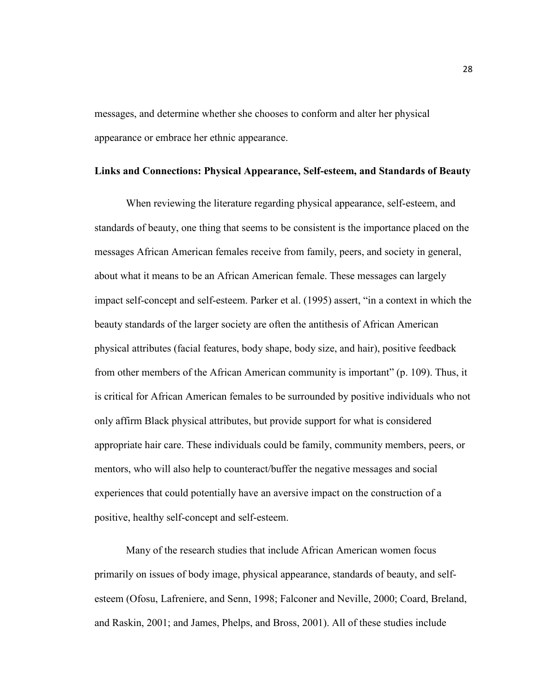messages, and determine whether she chooses to conform and alter her physical appearance or embrace her ethnic appearance.

# **Links and Connections: Physical Appearance, Self-esteem, and Standards of Beauty**

 When reviewing the literature regarding physical appearance, self-esteem, and standards of beauty, one thing that seems to be consistent is the importance placed on the messages African American females receive from family, peers, and society in general, about what it means to be an African American female. These messages can largely impact self-concept and self-esteem. Parker et al. (1995) assert, "in a context in which the beauty standards of the larger society are often the antithesis of African American physical attributes (facial features, body shape, body size, and hair), positive feedback from other members of the African American community is important" (p. 109). Thus, it is critical for African American females to be surrounded by positive individuals who not only affirm Black physical attributes, but provide support for what is considered appropriate hair care. These individuals could be family, community members, peers, or mentors, who will also help to counteract/buffer the negative messages and social experiences that could potentially have an aversive impact on the construction of a positive, healthy self-concept and self-esteem.

Many of the research studies that include African American women focus primarily on issues of body image, physical appearance, standards of beauty, and selfesteem (Ofosu, Lafreniere, and Senn, 1998; Falconer and Neville, 2000; Coard, Breland, and Raskin, 2001; and James, Phelps, and Bross, 2001). All of these studies include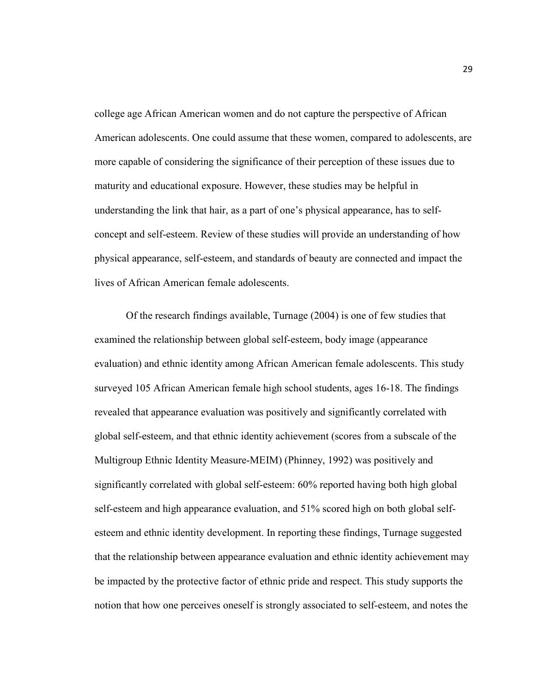college age African American women and do not capture the perspective of African American adolescents. One could assume that these women, compared to adolescents, are more capable of considering the significance of their perception of these issues due to maturity and educational exposure. However, these studies may be helpful in understanding the link that hair, as a part of one's physical appearance, has to selfconcept and self-esteem. Review of these studies will provide an understanding of how physical appearance, self-esteem, and standards of beauty are connected and impact the lives of African American female adolescents.

Of the research findings available, Turnage (2004) is one of few studies that examined the relationship between global self-esteem, body image (appearance evaluation) and ethnic identity among African American female adolescents. This study surveyed 105 African American female high school students, ages 16-18. The findings revealed that appearance evaluation was positively and significantly correlated with global self-esteem, and that ethnic identity achievement (scores from a subscale of the Multigroup Ethnic Identity Measure-MEIM) (Phinney, 1992) was positively and significantly correlated with global self-esteem: 60% reported having both high global self-esteem and high appearance evaluation, and 51% scored high on both global selfesteem and ethnic identity development. In reporting these findings, Turnage suggested that the relationship between appearance evaluation and ethnic identity achievement may be impacted by the protective factor of ethnic pride and respect. This study supports the notion that how one perceives oneself is strongly associated to self-esteem, and notes the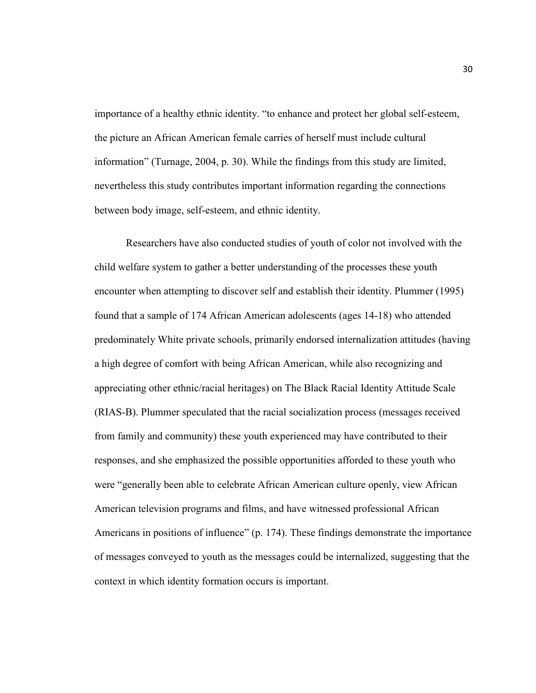importance of a healthy ethnic identity. "to enhance and protect her global self-esteem, the picture an African American female carries of herself must include cultural information" (Turnage, 2004, p. 30). While the findings from this study are limited, nevertheless this study contributes important information regarding the connections between body image, self-esteem, and ethnic identity.

Researchers have also conducted studies of youth of color not involved with the child welfare system to gather a better understanding of the processes these youth encounter when attempting to discover self and establish their identity. Plummer (1995) found that a sample of 174 African American adolescents (ages 14-18) who attended predominately White private schools, primarily endorsed internalization attitudes (having a high degree of comfort with being African American, while also recognizing and appreciating other ethnic/racial heritages) on The Black Racial Identity Attitude Scale (RIAS-B). Plummer speculated that the racial socialization process (messages received from family and community) these youth experienced may have contributed to their responses, and she emphasized the possible opportunities afforded to these youth who were "generally been able to celebrate African American culture openly, view African American television programs and films, and have witnessed professional African Americans in positions of influence" (p. 174). These findings demonstrate the importance of messages conveyed to youth as the messages could be internalized, suggesting that the context in which identity formation occurs is important.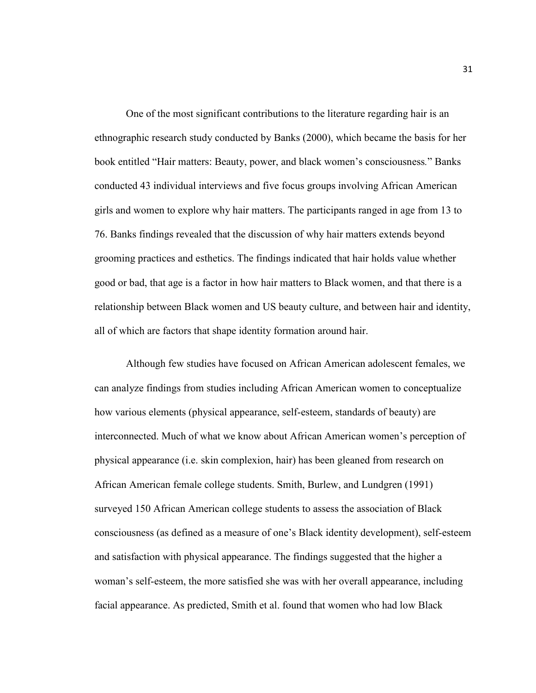One of the most significant contributions to the literature regarding hair is an ethnographic research study conducted by Banks (2000), which became the basis for her book entitled "Hair matters: Beauty, power, and black women's consciousness*.*" Banks conducted 43 individual interviews and five focus groups involving African American girls and women to explore why hair matters. The participants ranged in age from 13 to 76. Banks findings revealed that the discussion of why hair matters extends beyond grooming practices and esthetics. The findings indicated that hair holds value whether good or bad, that age is a factor in how hair matters to Black women, and that there is a relationship between Black women and US beauty culture, and between hair and identity, all of which are factors that shape identity formation around hair.

Although few studies have focused on African American adolescent females, we can analyze findings from studies including African American women to conceptualize how various elements (physical appearance, self-esteem, standards of beauty) are interconnected. Much of what we know about African American women's perception of physical appearance (i.e. skin complexion, hair) has been gleaned from research on African American female college students. Smith, Burlew, and Lundgren (1991) surveyed 150 African American college students to assess the association of Black consciousness (as defined as a measure of one's Black identity development), self-esteem and satisfaction with physical appearance. The findings suggested that the higher a woman's self-esteem, the more satisfied she was with her overall appearance, including facial appearance. As predicted, Smith et al. found that women who had low Black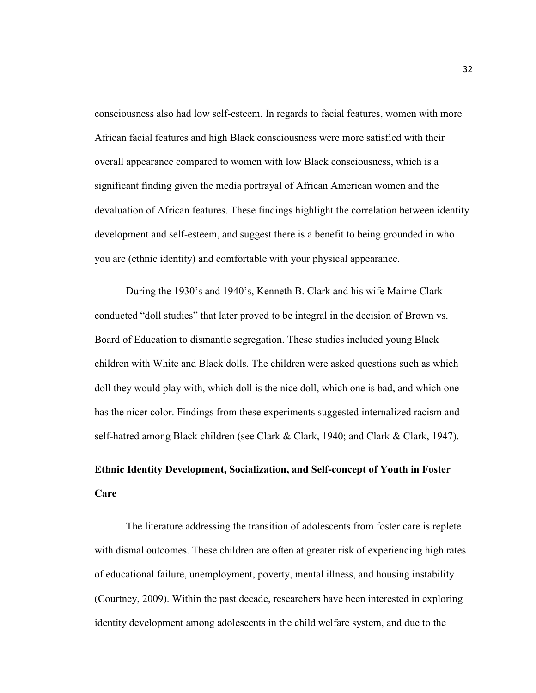consciousness also had low self-esteem. In regards to facial features, women with more African facial features and high Black consciousness were more satisfied with their overall appearance compared to women with low Black consciousness, which is a significant finding given the media portrayal of African American women and the devaluation of African features. These findings highlight the correlation between identity development and self-esteem, and suggest there is a benefit to being grounded in who you are (ethnic identity) and comfortable with your physical appearance.

During the 1930's and 1940's, Kenneth B. Clark and his wife Maime Clark conducted "doll studies" that later proved to be integral in the decision of Brown vs. Board of Education to dismantle segregation. These studies included young Black children with White and Black dolls. The children were asked questions such as which doll they would play with, which doll is the nice doll, which one is bad, and which one has the nicer color. Findings from these experiments suggested internalized racism and self-hatred among Black children (see Clark & Clark, 1940; and Clark & Clark, 1947).

# **Ethnic Identity Development, Socialization, and Self-concept of Youth in Foster Care**

The literature addressing the transition of adolescents from foster care is replete with dismal outcomes. These children are often at greater risk of experiencing high rates of educational failure, unemployment, poverty, mental illness, and housing instability (Courtney, 2009). Within the past decade, researchers have been interested in exploring identity development among adolescents in the child welfare system, and due to the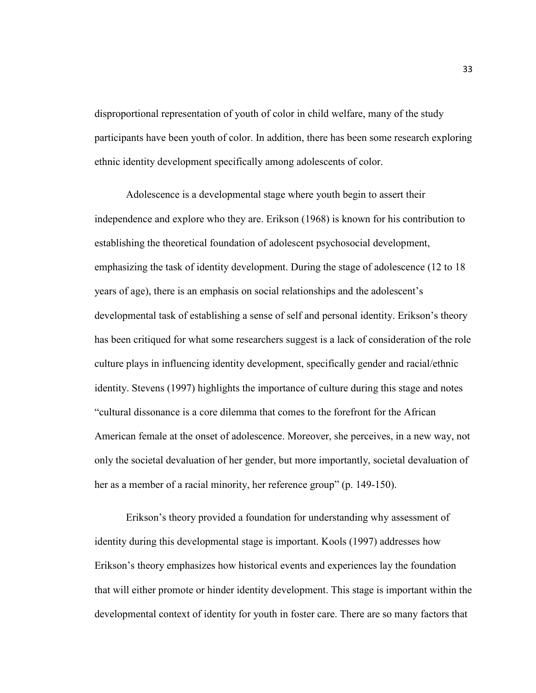disproportional representation of youth of color in child welfare, many of the study participants have been youth of color. In addition, there has been some research exploring ethnic identity development specifically among adolescents of color.

 Adolescence is a developmental stage where youth begin to assert their independence and explore who they are. Erikson (1968) is known for his contribution to establishing the theoretical foundation of adolescent psychosocial development, emphasizing the task of identity development. During the stage of adolescence (12 to 18 years of age), there is an emphasis on social relationships and the adolescent's developmental task of establishing a sense of self and personal identity. Erikson's theory has been critiqued for what some researchers suggest is a lack of consideration of the role culture plays in influencing identity development, specifically gender and racial/ethnic identity. Stevens (1997) highlights the importance of culture during this stage and notes "cultural dissonance is a core dilemma that comes to the forefront for the African American female at the onset of adolescence. Moreover, she perceives, in a new way, not only the societal devaluation of her gender, but more importantly, societal devaluation of her as a member of a racial minority, her reference group" (p. 149-150).

 Erikson's theory provided a foundation for understanding why assessment of identity during this developmental stage is important. Kools (1997) addresses how Erikson's theory emphasizes how historical events and experiences lay the foundation that will either promote or hinder identity development. This stage is important within the developmental context of identity for youth in foster care. There are so many factors that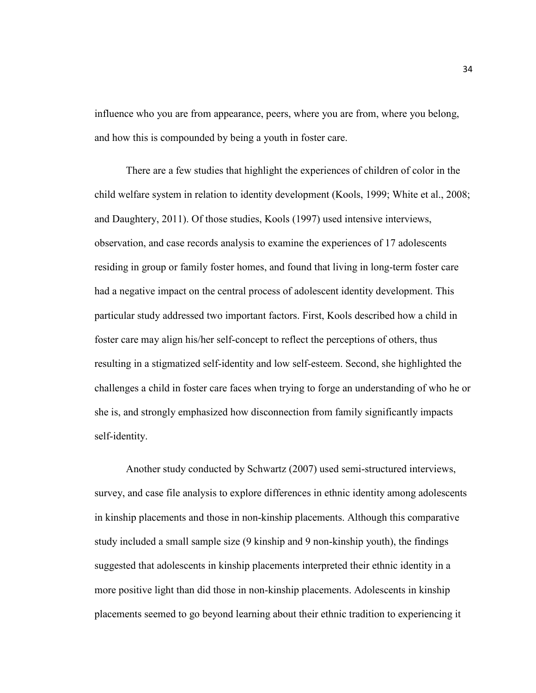influence who you are from appearance, peers, where you are from, where you belong, and how this is compounded by being a youth in foster care.

 There are a few studies that highlight the experiences of children of color in the child welfare system in relation to identity development (Kools, 1999; White et al., 2008; and Daughtery, 2011). Of those studies, Kools (1997) used intensive interviews, observation, and case records analysis to examine the experiences of 17 adolescents residing in group or family foster homes, and found that living in long-term foster care had a negative impact on the central process of adolescent identity development. This particular study addressed two important factors. First, Kools described how a child in foster care may align his/her self-concept to reflect the perceptions of others, thus resulting in a stigmatized self-identity and low self-esteem. Second, she highlighted the challenges a child in foster care faces when trying to forge an understanding of who he or she is, and strongly emphasized how disconnection from family significantly impacts self-identity.

 Another study conducted by Schwartz (2007) used semi-structured interviews, survey, and case file analysis to explore differences in ethnic identity among adolescents in kinship placements and those in non-kinship placements. Although this comparative study included a small sample size (9 kinship and 9 non-kinship youth), the findings suggested that adolescents in kinship placements interpreted their ethnic identity in a more positive light than did those in non-kinship placements. Adolescents in kinship placements seemed to go beyond learning about their ethnic tradition to experiencing it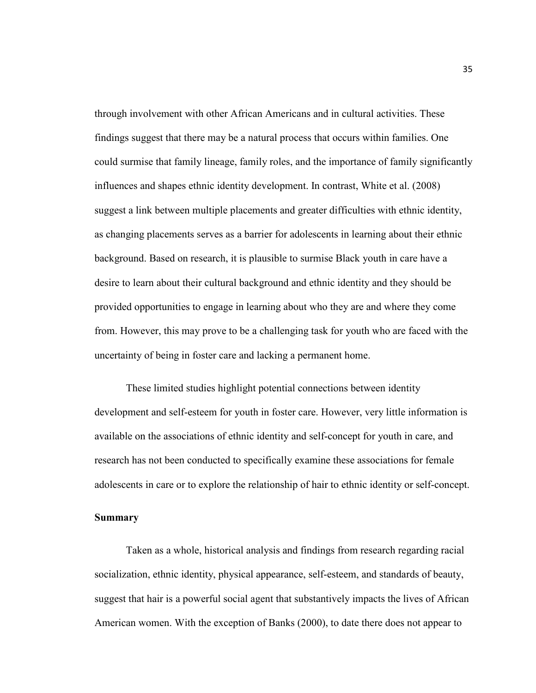through involvement with other African Americans and in cultural activities. These findings suggest that there may be a natural process that occurs within families. One could surmise that family lineage, family roles, and the importance of family significantly influences and shapes ethnic identity development. In contrast, White et al. (2008) suggest a link between multiple placements and greater difficulties with ethnic identity, as changing placements serves as a barrier for adolescents in learning about their ethnic background. Based on research, it is plausible to surmise Black youth in care have a desire to learn about their cultural background and ethnic identity and they should be provided opportunities to engage in learning about who they are and where they come from. However, this may prove to be a challenging task for youth who are faced with the uncertainty of being in foster care and lacking a permanent home.

 These limited studies highlight potential connections between identity development and self-esteem for youth in foster care. However, very little information is available on the associations of ethnic identity and self-concept for youth in care, and research has not been conducted to specifically examine these associations for female adolescents in care or to explore the relationship of hair to ethnic identity or self-concept.

#### **Summary**

 Taken as a whole, historical analysis and findings from research regarding racial socialization, ethnic identity, physical appearance, self-esteem, and standards of beauty, suggest that hair is a powerful social agent that substantively impacts the lives of African American women. With the exception of Banks (2000), to date there does not appear to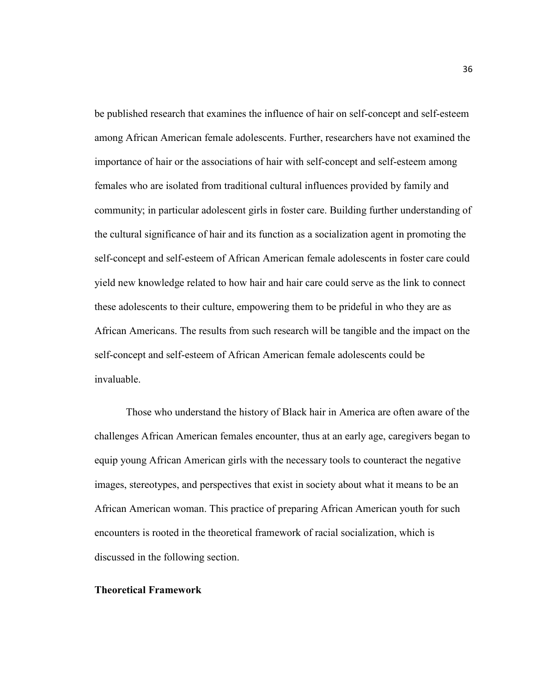be published research that examines the influence of hair on self-concept and self-esteem among African American female adolescents. Further, researchers have not examined the importance of hair or the associations of hair with self-concept and self-esteem among females who are isolated from traditional cultural influences provided by family and community; in particular adolescent girls in foster care. Building further understanding of the cultural significance of hair and its function as a socialization agent in promoting the self-concept and self-esteem of African American female adolescents in foster care could yield new knowledge related to how hair and hair care could serve as the link to connect these adolescents to their culture, empowering them to be prideful in who they are as African Americans. The results from such research will be tangible and the impact on the self-concept and self-esteem of African American female adolescents could be invaluable.

 Those who understand the history of Black hair in America are often aware of the challenges African American females encounter, thus at an early age, caregivers began to equip young African American girls with the necessary tools to counteract the negative images, stereotypes, and perspectives that exist in society about what it means to be an African American woman. This practice of preparing African American youth for such encounters is rooted in the theoretical framework of racial socialization, which is discussed in the following section.

### **Theoretical Framework**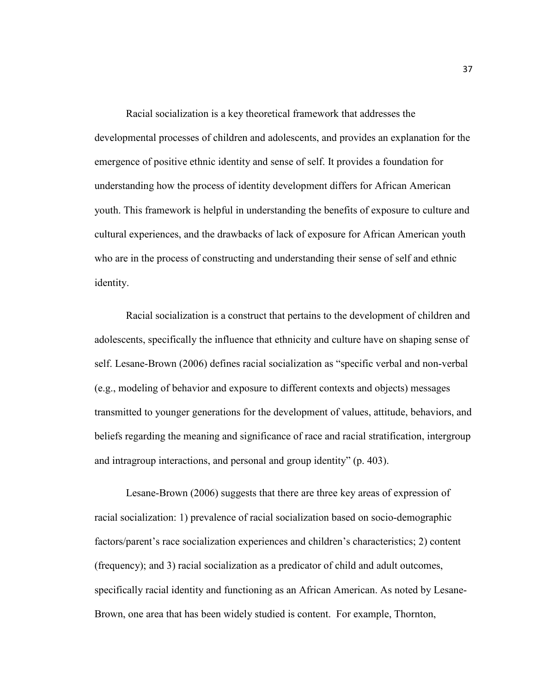Racial socialization is a key theoretical framework that addresses the developmental processes of children and adolescents, and provides an explanation for the emergence of positive ethnic identity and sense of self. It provides a foundation for understanding how the process of identity development differs for African American youth. This framework is helpful in understanding the benefits of exposure to culture and cultural experiences, and the drawbacks of lack of exposure for African American youth who are in the process of constructing and understanding their sense of self and ethnic identity.

Racial socialization is a construct that pertains to the development of children and adolescents, specifically the influence that ethnicity and culture have on shaping sense of self. Lesane-Brown (2006) defines racial socialization as "specific verbal and non-verbal (e.g., modeling of behavior and exposure to different contexts and objects) messages transmitted to younger generations for the development of values, attitude, behaviors, and beliefs regarding the meaning and significance of race and racial stratification, intergroup and intragroup interactions, and personal and group identity" (p. 403).

Lesane-Brown (2006) suggests that there are three key areas of expression of racial socialization: 1) prevalence of racial socialization based on socio-demographic factors/parent's race socialization experiences and children's characteristics; 2) content (frequency); and 3) racial socialization as a predicator of child and adult outcomes, specifically racial identity and functioning as an African American. As noted by Lesane-Brown, one area that has been widely studied is content. For example, Thornton,

37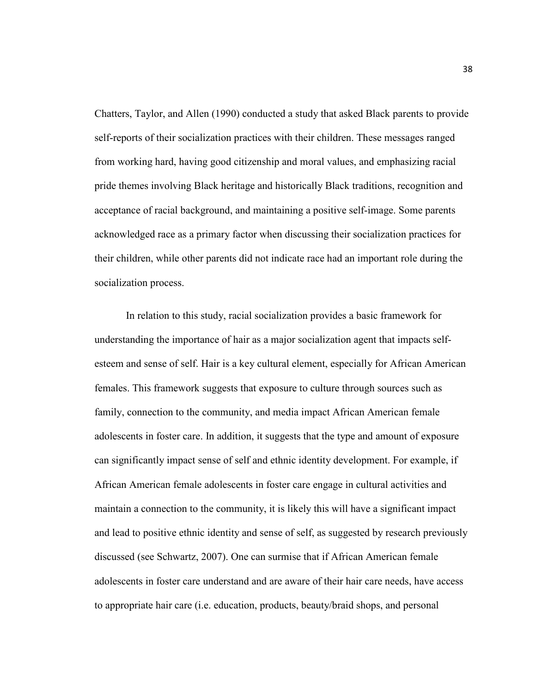Chatters, Taylor, and Allen (1990) conducted a study that asked Black parents to provide self-reports of their socialization practices with their children. These messages ranged from working hard, having good citizenship and moral values, and emphasizing racial pride themes involving Black heritage and historically Black traditions, recognition and acceptance of racial background, and maintaining a positive self-image. Some parents acknowledged race as a primary factor when discussing their socialization practices for their children, while other parents did not indicate race had an important role during the socialization process.

In relation to this study, racial socialization provides a basic framework for understanding the importance of hair as a major socialization agent that impacts selfesteem and sense of self. Hair is a key cultural element, especially for African American females. This framework suggests that exposure to culture through sources such as family, connection to the community, and media impact African American female adolescents in foster care. In addition, it suggests that the type and amount of exposure can significantly impact sense of self and ethnic identity development. For example, if African American female adolescents in foster care engage in cultural activities and maintain a connection to the community, it is likely this will have a significant impact and lead to positive ethnic identity and sense of self, as suggested by research previously discussed (see Schwartz, 2007). One can surmise that if African American female adolescents in foster care understand and are aware of their hair care needs, have access to appropriate hair care (i.e. education, products, beauty/braid shops, and personal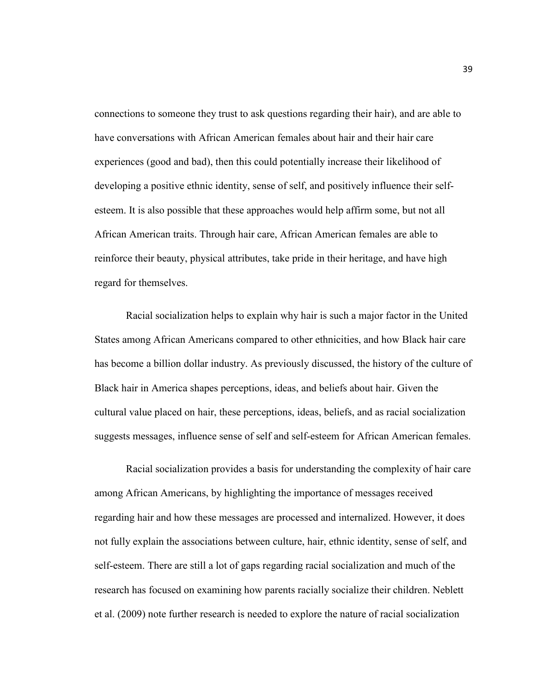connections to someone they trust to ask questions regarding their hair), and are able to have conversations with African American females about hair and their hair care experiences (good and bad), then this could potentially increase their likelihood of developing a positive ethnic identity, sense of self, and positively influence their selfesteem. It is also possible that these approaches would help affirm some, but not all African American traits. Through hair care, African American females are able to reinforce their beauty, physical attributes, take pride in their heritage, and have high regard for themselves.

Racial socialization helps to explain why hair is such a major factor in the United States among African Americans compared to other ethnicities, and how Black hair care has become a billion dollar industry. As previously discussed, the history of the culture of Black hair in America shapes perceptions, ideas, and beliefs about hair. Given the cultural value placed on hair, these perceptions, ideas, beliefs, and as racial socialization suggests messages, influence sense of self and self-esteem for African American females.

Racial socialization provides a basis for understanding the complexity of hair care among African Americans, by highlighting the importance of messages received regarding hair and how these messages are processed and internalized. However, it does not fully explain the associations between culture, hair, ethnic identity, sense of self, and self-esteem. There are still a lot of gaps regarding racial socialization and much of the research has focused on examining how parents racially socialize their children. Neblett et al. (2009) note further research is needed to explore the nature of racial socialization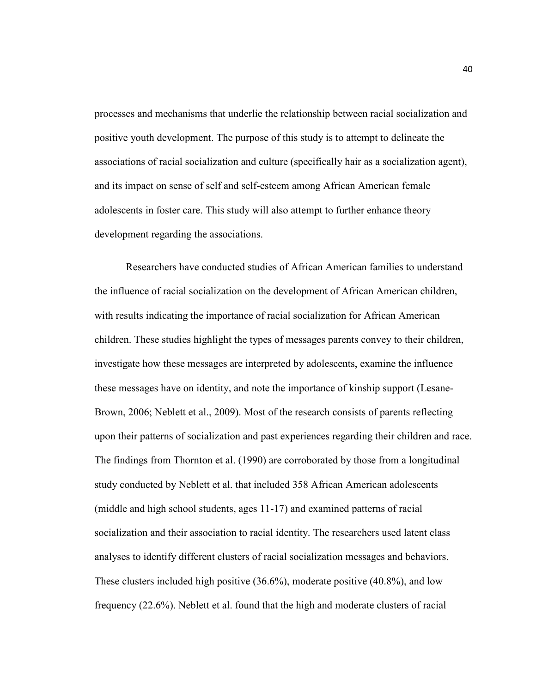processes and mechanisms that underlie the relationship between racial socialization and positive youth development. The purpose of this study is to attempt to delineate the associations of racial socialization and culture (specifically hair as a socialization agent), and its impact on sense of self and self-esteem among African American female adolescents in foster care. This study will also attempt to further enhance theory development regarding the associations.

Researchers have conducted studies of African American families to understand the influence of racial socialization on the development of African American children, with results indicating the importance of racial socialization for African American children. These studies highlight the types of messages parents convey to their children, investigate how these messages are interpreted by adolescents, examine the influence these messages have on identity, and note the importance of kinship support (Lesane-Brown, 2006; Neblett et al., 2009). Most of the research consists of parents reflecting upon their patterns of socialization and past experiences regarding their children and race. The findings from Thornton et al. (1990) are corroborated by those from a longitudinal study conducted by Neblett et al. that included 358 African American adolescents (middle and high school students, ages 11-17) and examined patterns of racial socialization and their association to racial identity. The researchers used latent class analyses to identify different clusters of racial socialization messages and behaviors. These clusters included high positive (36.6%), moderate positive (40.8%), and low frequency (22.6%). Neblett et al. found that the high and moderate clusters of racial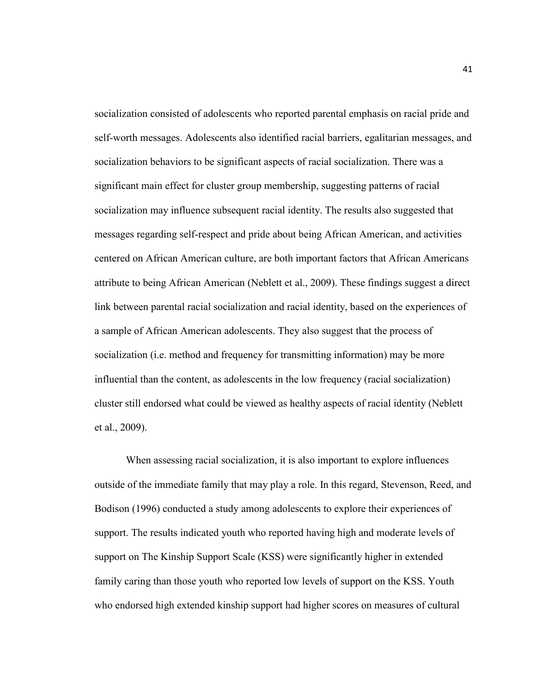socialization consisted of adolescents who reported parental emphasis on racial pride and self-worth messages. Adolescents also identified racial barriers, egalitarian messages, and socialization behaviors to be significant aspects of racial socialization. There was a significant main effect for cluster group membership, suggesting patterns of racial socialization may influence subsequent racial identity. The results also suggested that messages regarding self-respect and pride about being African American, and activities centered on African American culture, are both important factors that African Americans attribute to being African American (Neblett et al., 2009). These findings suggest a direct link between parental racial socialization and racial identity, based on the experiences of a sample of African American adolescents. They also suggest that the process of socialization (i.e. method and frequency for transmitting information) may be more influential than the content, as adolescents in the low frequency (racial socialization) cluster still endorsed what could be viewed as healthy aspects of racial identity (Neblett et al., 2009).

When assessing racial socialization, it is also important to explore influences outside of the immediate family that may play a role. In this regard, Stevenson, Reed, and Bodison (1996) conducted a study among adolescents to explore their experiences of support. The results indicated youth who reported having high and moderate levels of support on The Kinship Support Scale (KSS) were significantly higher in extended family caring than those youth who reported low levels of support on the KSS. Youth who endorsed high extended kinship support had higher scores on measures of cultural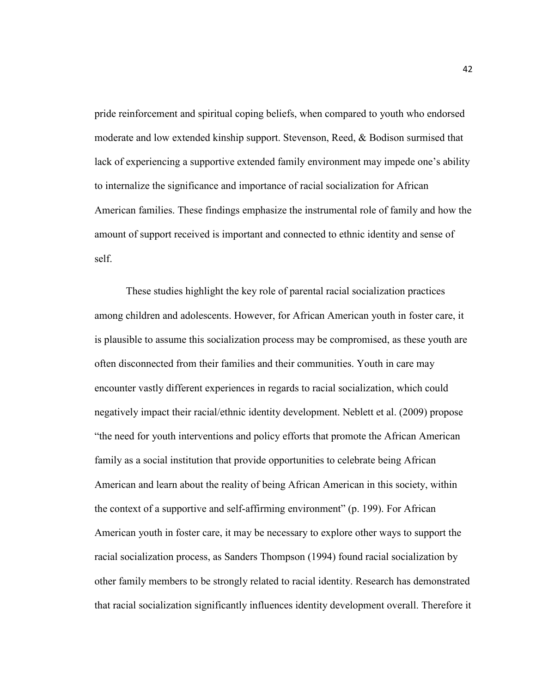pride reinforcement and spiritual coping beliefs, when compared to youth who endorsed moderate and low extended kinship support. Stevenson, Reed, & Bodison surmised that lack of experiencing a supportive extended family environment may impede one's ability to internalize the significance and importance of racial socialization for African American families. These findings emphasize the instrumental role of family and how the amount of support received is important and connected to ethnic identity and sense of self.

These studies highlight the key role of parental racial socialization practices among children and adolescents. However, for African American youth in foster care, it is plausible to assume this socialization process may be compromised, as these youth are often disconnected from their families and their communities. Youth in care may encounter vastly different experiences in regards to racial socialization, which could negatively impact their racial/ethnic identity development. Neblett et al. (2009) propose "the need for youth interventions and policy efforts that promote the African American family as a social institution that provide opportunities to celebrate being African American and learn about the reality of being African American in this society, within the context of a supportive and self-affirming environment" (p. 199). For African American youth in foster care, it may be necessary to explore other ways to support the racial socialization process, as Sanders Thompson (1994) found racial socialization by other family members to be strongly related to racial identity. Research has demonstrated that racial socialization significantly influences identity development overall. Therefore it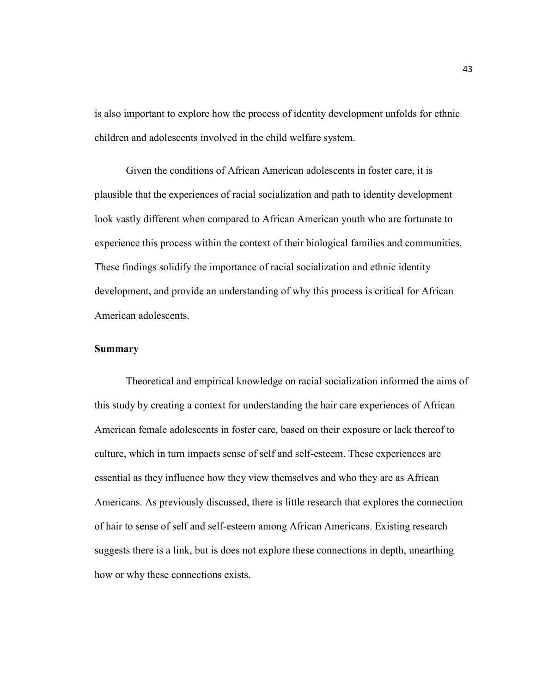is also important to explore how the process of identity development unfolds for ethnic children and adolescents involved in the child welfare system.

Given the conditions of African American adolescents in foster care, it is plausible that the experiences of racial socialization and path to identity development look vastly different when compared to African American youth who are fortunate to experience this process within the context of their biological families and communities. These findings solidify the importance of racial socialization and ethnic identity development, and provide an understanding of why this process is critical for African American adolescents.

#### **Summary**

Theoretical and empirical knowledge on racial socialization informed the aims of this study by creating a context for understanding the hair care experiences of African American female adolescents in foster care, based on their exposure or lack thereof to culture, which in turn impacts sense of self and self-esteem. These experiences are essential as they influence how they view themselves and who they are as African Americans. As previously discussed, there is little research that explores the connection of hair to sense of self and self-esteem among African Americans. Existing research suggests there is a link, but is does not explore these connections in depth, unearthing how or why these connections exists.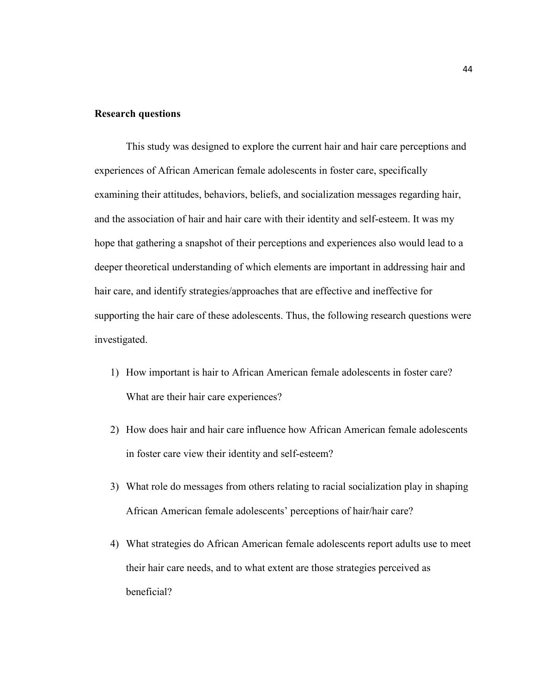# **Research questions**

This study was designed to explore the current hair and hair care perceptions and experiences of African American female adolescents in foster care, specifically examining their attitudes, behaviors, beliefs, and socialization messages regarding hair, and the association of hair and hair care with their identity and self-esteem. It was my hope that gathering a snapshot of their perceptions and experiences also would lead to a deeper theoretical understanding of which elements are important in addressing hair and hair care, and identify strategies/approaches that are effective and ineffective for supporting the hair care of these adolescents. Thus, the following research questions were investigated.

- 1) How important is hair to African American female adolescents in foster care? What are their hair care experiences?
- 2) How does hair and hair care influence how African American female adolescents in foster care view their identity and self-esteem?
- 3) What role do messages from others relating to racial socialization play in shaping African American female adolescents' perceptions of hair/hair care?
- 4) What strategies do African American female adolescents report adults use to meet their hair care needs, and to what extent are those strategies perceived as beneficial?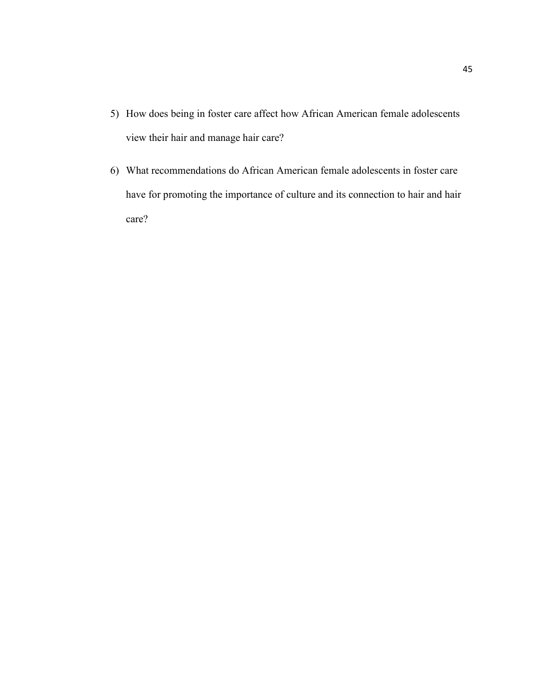- 5) How does being in foster care affect how African American female adolescents view their hair and manage hair care?
- 6) What recommendations do African American female adolescents in foster care have for promoting the importance of culture and its connection to hair and hair care?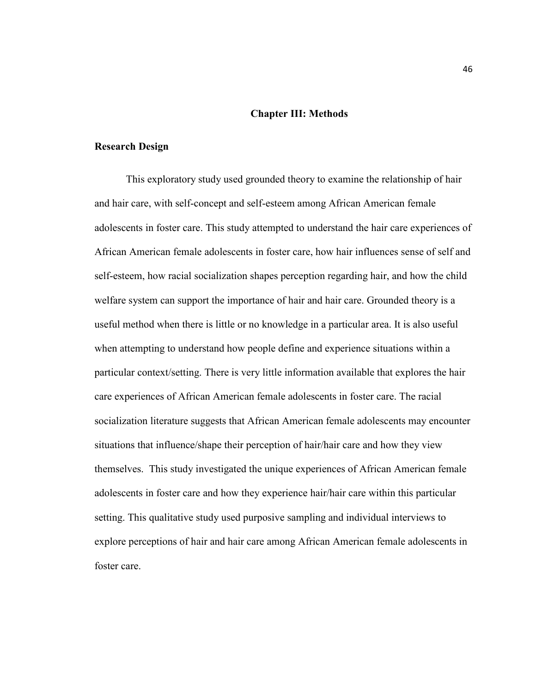# **Chapter III: Methods**

#### **Research Design**

This exploratory study used grounded theory to examine the relationship of hair and hair care, with self-concept and self-esteem among African American female adolescents in foster care. This study attempted to understand the hair care experiences of African American female adolescents in foster care, how hair influences sense of self and self-esteem, how racial socialization shapes perception regarding hair, and how the child welfare system can support the importance of hair and hair care. Grounded theory is a useful method when there is little or no knowledge in a particular area. It is also useful when attempting to understand how people define and experience situations within a particular context/setting. There is very little information available that explores the hair care experiences of African American female adolescents in foster care. The racial socialization literature suggests that African American female adolescents may encounter situations that influence/shape their perception of hair/hair care and how they view themselves. This study investigated the unique experiences of African American female adolescents in foster care and how they experience hair/hair care within this particular setting. This qualitative study used purposive sampling and individual interviews to explore perceptions of hair and hair care among African American female adolescents in foster care.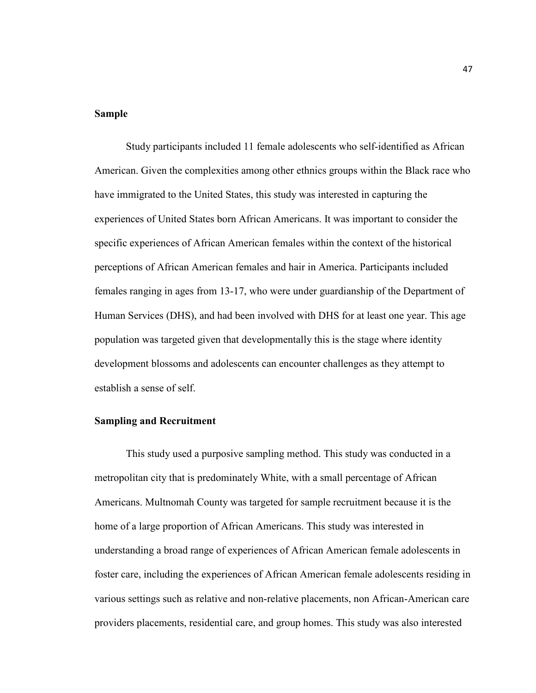# **Sample**

Study participants included 11 female adolescents who self-identified as African American. Given the complexities among other ethnics groups within the Black race who have immigrated to the United States, this study was interested in capturing the experiences of United States born African Americans. It was important to consider the specific experiences of African American females within the context of the historical perceptions of African American females and hair in America. Participants included females ranging in ages from 13-17, who were under guardianship of the Department of Human Services (DHS), and had been involved with DHS for at least one year. This age population was targeted given that developmentally this is the stage where identity development blossoms and adolescents can encounter challenges as they attempt to establish a sense of self.

## **Sampling and Recruitment**

This study used a purposive sampling method. This study was conducted in a metropolitan city that is predominately White, with a small percentage of African Americans. Multnomah County was targeted for sample recruitment because it is the home of a large proportion of African Americans. This study was interested in understanding a broad range of experiences of African American female adolescents in foster care, including the experiences of African American female adolescents residing in various settings such as relative and non-relative placements, non African-American care providers placements, residential care, and group homes. This study was also interested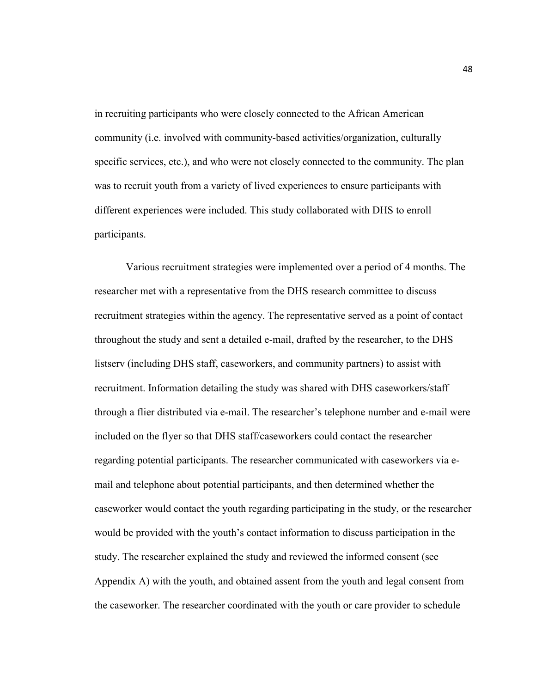in recruiting participants who were closely connected to the African American community (i.e. involved with community-based activities/organization, culturally specific services, etc.), and who were not closely connected to the community. The plan was to recruit youth from a variety of lived experiences to ensure participants with different experiences were included. This study collaborated with DHS to enroll participants.

Various recruitment strategies were implemented over a period of 4 months. The researcher met with a representative from the DHS research committee to discuss recruitment strategies within the agency. The representative served as a point of contact throughout the study and sent a detailed e-mail, drafted by the researcher, to the DHS listserv (including DHS staff, caseworkers, and community partners) to assist with recruitment. Information detailing the study was shared with DHS caseworkers/staff through a flier distributed via e-mail. The researcher's telephone number and e-mail were included on the flyer so that DHS staff/caseworkers could contact the researcher regarding potential participants. The researcher communicated with caseworkers via email and telephone about potential participants, and then determined whether the caseworker would contact the youth regarding participating in the study, or the researcher would be provided with the youth's contact information to discuss participation in the study. The researcher explained the study and reviewed the informed consent (see Appendix A) with the youth, and obtained assent from the youth and legal consent from the caseworker. The researcher coordinated with the youth or care provider to schedule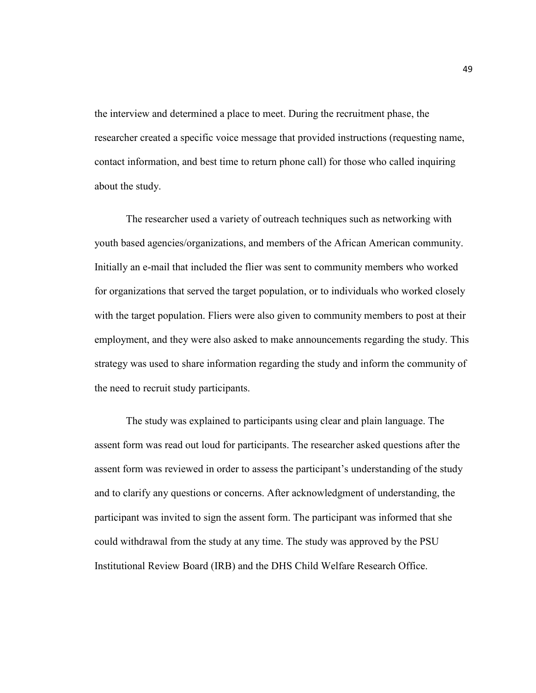the interview and determined a place to meet. During the recruitment phase, the researcher created a specific voice message that provided instructions (requesting name, contact information, and best time to return phone call) for those who called inquiring about the study.

 The researcher used a variety of outreach techniques such as networking with youth based agencies/organizations, and members of the African American community. Initially an e-mail that included the flier was sent to community members who worked for organizations that served the target population, or to individuals who worked closely with the target population. Fliers were also given to community members to post at their employment, and they were also asked to make announcements regarding the study. This strategy was used to share information regarding the study and inform the community of the need to recruit study participants.

The study was explained to participants using clear and plain language. The assent form was read out loud for participants. The researcher asked questions after the assent form was reviewed in order to assess the participant's understanding of the study and to clarify any questions or concerns. After acknowledgment of understanding, the participant was invited to sign the assent form. The participant was informed that she could withdrawal from the study at any time. The study was approved by the PSU Institutional Review Board (IRB) and the DHS Child Welfare Research Office.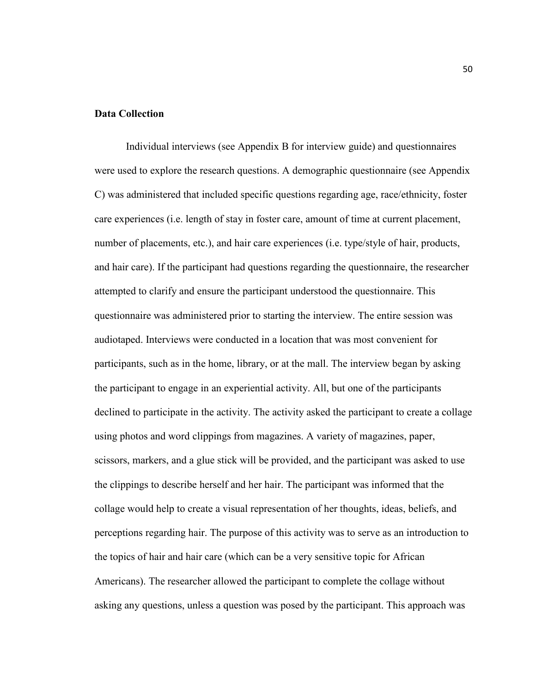# **Data Collection**

 Individual interviews (see Appendix B for interview guide) and questionnaires were used to explore the research questions. A demographic questionnaire (see Appendix C) was administered that included specific questions regarding age, race/ethnicity, foster care experiences (i.e. length of stay in foster care, amount of time at current placement, number of placements, etc.), and hair care experiences (i.e. type/style of hair, products, and hair care). If the participant had questions regarding the questionnaire, the researcher attempted to clarify and ensure the participant understood the questionnaire. This questionnaire was administered prior to starting the interview. The entire session was audiotaped. Interviews were conducted in a location that was most convenient for participants, such as in the home, library, or at the mall. The interview began by asking the participant to engage in an experiential activity. All, but one of the participants declined to participate in the activity. The activity asked the participant to create a collage using photos and word clippings from magazines. A variety of magazines, paper, scissors, markers, and a glue stick will be provided, and the participant was asked to use the clippings to describe herself and her hair. The participant was informed that the collage would help to create a visual representation of her thoughts, ideas, beliefs, and perceptions regarding hair. The purpose of this activity was to serve as an introduction to the topics of hair and hair care (which can be a very sensitive topic for African Americans). The researcher allowed the participant to complete the collage without asking any questions, unless a question was posed by the participant. This approach was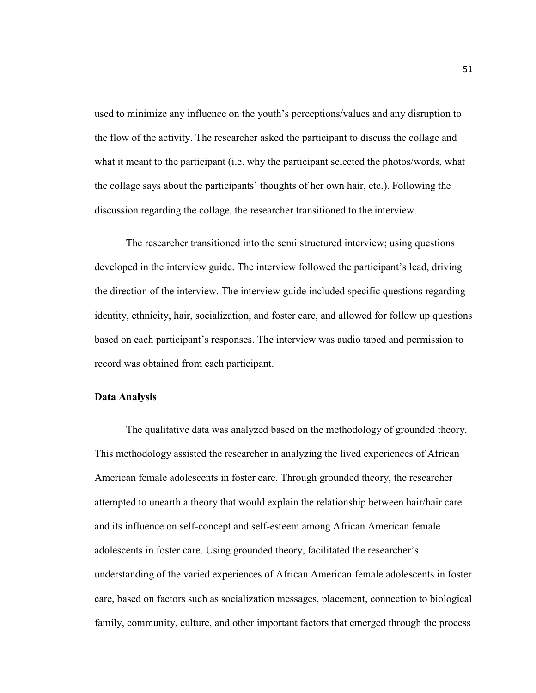used to minimize any influence on the youth's perceptions/values and any disruption to the flow of the activity. The researcher asked the participant to discuss the collage and what it meant to the participant (i.e. why the participant selected the photos/words, what the collage says about the participants' thoughts of her own hair, etc.). Following the discussion regarding the collage, the researcher transitioned to the interview.

 The researcher transitioned into the semi structured interview; using questions developed in the interview guide. The interview followed the participant's lead, driving the direction of the interview. The interview guide included specific questions regarding identity, ethnicity, hair, socialization, and foster care, and allowed for follow up questions based on each participant's responses. The interview was audio taped and permission to record was obtained from each participant.

## **Data Analysis**

The qualitative data was analyzed based on the methodology of grounded theory. This methodology assisted the researcher in analyzing the lived experiences of African American female adolescents in foster care. Through grounded theory, the researcher attempted to unearth a theory that would explain the relationship between hair/hair care and its influence on self-concept and self-esteem among African American female adolescents in foster care. Using grounded theory, facilitated the researcher's understanding of the varied experiences of African American female adolescents in foster care, based on factors such as socialization messages, placement, connection to biological family, community, culture, and other important factors that emerged through the process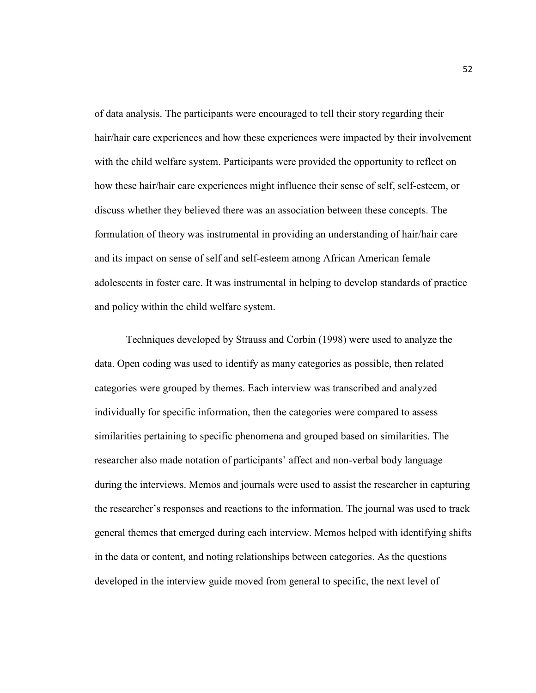of data analysis. The participants were encouraged to tell their story regarding their hair/hair care experiences and how these experiences were impacted by their involvement with the child welfare system. Participants were provided the opportunity to reflect on how these hair/hair care experiences might influence their sense of self, self-esteem, or discuss whether they believed there was an association between these concepts. The formulation of theory was instrumental in providing an understanding of hair/hair care and its impact on sense of self and self-esteem among African American female adolescents in foster care. It was instrumental in helping to develop standards of practice and policy within the child welfare system.

Techniques developed by Strauss and Corbin (1998) were used to analyze the data. Open coding was used to identify as many categories as possible, then related categories were grouped by themes. Each interview was transcribed and analyzed individually for specific information, then the categories were compared to assess similarities pertaining to specific phenomena and grouped based on similarities. The researcher also made notation of participants' affect and non-verbal body language during the interviews. Memos and journals were used to assist the researcher in capturing the researcher's responses and reactions to the information. The journal was used to track general themes that emerged during each interview. Memos helped with identifying shifts in the data or content, and noting relationships between categories. As the questions developed in the interview guide moved from general to specific, the next level of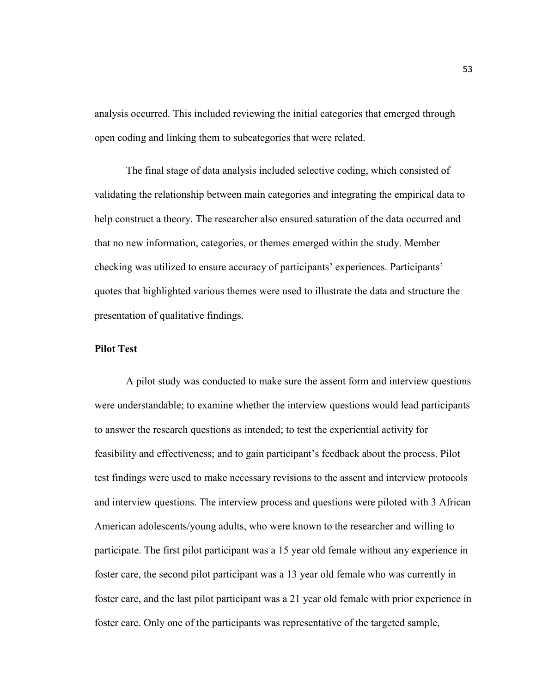analysis occurred. This included reviewing the initial categories that emerged through open coding and linking them to subcategories that were related.

The final stage of data analysis included selective coding, which consisted of validating the relationship between main categories and integrating the empirical data to help construct a theory. The researcher also ensured saturation of the data occurred and that no new information, categories, or themes emerged within the study. Member checking was utilized to ensure accuracy of participants' experiences. Participants' quotes that highlighted various themes were used to illustrate the data and structure the presentation of qualitative findings.

# **Pilot Test**

A pilot study was conducted to make sure the assent form and interview questions were understandable; to examine whether the interview questions would lead participants to answer the research questions as intended; to test the experiential activity for feasibility and effectiveness; and to gain participant's feedback about the process. Pilot test findings were used to make necessary revisions to the assent and interview protocols and interview questions. The interview process and questions were piloted with 3 African American adolescents/young adults, who were known to the researcher and willing to participate. The first pilot participant was a 15 year old female without any experience in foster care, the second pilot participant was a 13 year old female who was currently in foster care, and the last pilot participant was a 21 year old female with prior experience in foster care. Only one of the participants was representative of the targeted sample,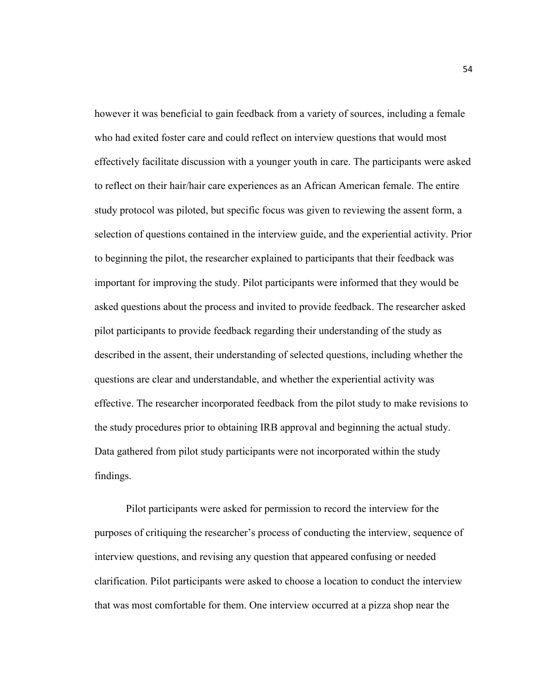however it was beneficial to gain feedback from a variety of sources, including a female who had exited foster care and could reflect on interview questions that would most effectively facilitate discussion with a younger youth in care. The participants were asked to reflect on their hair/hair care experiences as an African American female. The entire study protocol was piloted, but specific focus was given to reviewing the assent form, a selection of questions contained in the interview guide, and the experiential activity. Prior to beginning the pilot, the researcher explained to participants that their feedback was important for improving the study. Pilot participants were informed that they would be asked questions about the process and invited to provide feedback. The researcher asked pilot participants to provide feedback regarding their understanding of the study as described in the assent, their understanding of selected questions, including whether the questions are clear and understandable, and whether the experiential activity was effective. The researcher incorporated feedback from the pilot study to make revisions to the study procedures prior to obtaining IRB approval and beginning the actual study. Data gathered from pilot study participants were not incorporated within the study findings.

Pilot participants were asked for permission to record the interview for the purposes of critiquing the researcher's process of conducting the interview, sequence of interview questions, and revising any question that appeared confusing or needed clarification. Pilot participants were asked to choose a location to conduct the interview that was most comfortable for them. One interview occurred at a pizza shop near the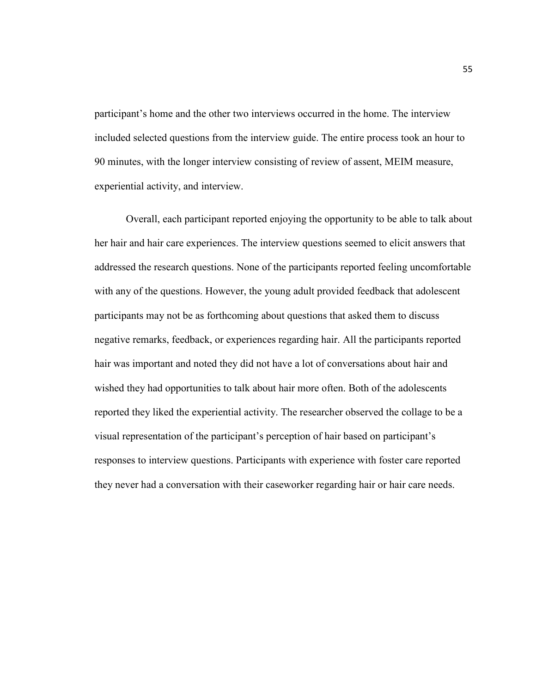participant's home and the other two interviews occurred in the home. The interview included selected questions from the interview guide. The entire process took an hour to 90 minutes, with the longer interview consisting of review of assent, MEIM measure, experiential activity, and interview.

Overall, each participant reported enjoying the opportunity to be able to talk about her hair and hair care experiences. The interview questions seemed to elicit answers that addressed the research questions. None of the participants reported feeling uncomfortable with any of the questions. However, the young adult provided feedback that adolescent participants may not be as forthcoming about questions that asked them to discuss negative remarks, feedback, or experiences regarding hair. All the participants reported hair was important and noted they did not have a lot of conversations about hair and wished they had opportunities to talk about hair more often. Both of the adolescents reported they liked the experiential activity. The researcher observed the collage to be a visual representation of the participant's perception of hair based on participant's responses to interview questions. Participants with experience with foster care reported they never had a conversation with their caseworker regarding hair or hair care needs.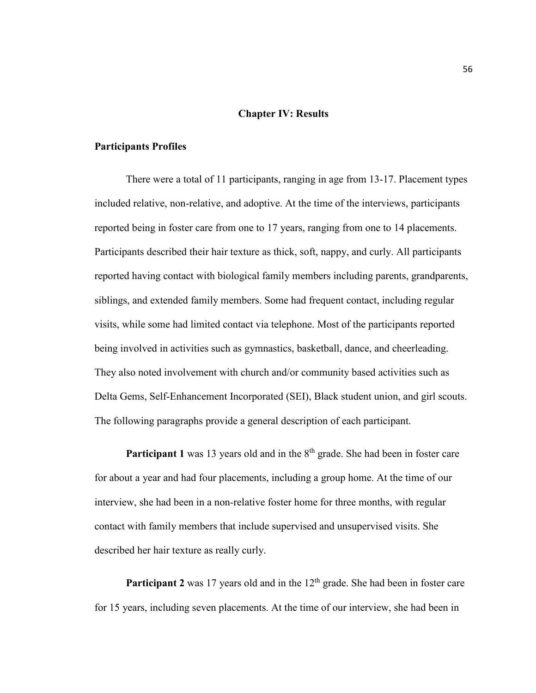### **Chapter IV: Results**

#### **Participants Profiles**

 There were a total of 11 participants, ranging in age from 13-17. Placement types included relative, non-relative, and adoptive. At the time of the interviews, participants reported being in foster care from one to 17 years, ranging from one to 14 placements. Participants described their hair texture as thick, soft, nappy, and curly. All participants reported having contact with biological family members including parents, grandparents, siblings, and extended family members. Some had frequent contact, including regular visits, while some had limited contact via telephone. Most of the participants reported being involved in activities such as gymnastics, basketball, dance, and cheerleading. They also noted involvement with church and/or community based activities such as Delta Gems, Self-Enhancement Incorporated (SEI), Black student union, and girl scouts. The following paragraphs provide a general description of each participant.

**Participant 1** was 13 years old and in the 8<sup>th</sup> grade. She had been in foster care for about a year and had four placements, including a group home. At the time of our interview, she had been in a non-relative foster home for three months, with regular contact with family members that include supervised and unsupervised visits. She described her hair texture as really curly.

**Participant 2** was 17 years old and in the 12<sup>th</sup> grade. She had been in foster care for 15 years, including seven placements. At the time of our interview, she had been in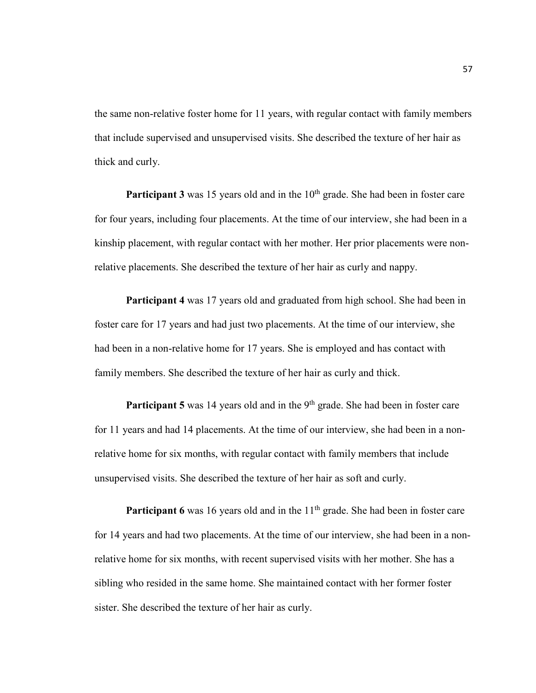the same non-relative foster home for 11 years, with regular contact with family members that include supervised and unsupervised visits. She described the texture of her hair as thick and curly.

**Participant 3** was 15 years old and in the 10<sup>th</sup> grade. She had been in foster care for four years, including four placements. At the time of our interview, she had been in a kinship placement, with regular contact with her mother. Her prior placements were nonrelative placements. She described the texture of her hair as curly and nappy.

**Participant 4** was 17 years old and graduated from high school. She had been in foster care for 17 years and had just two placements. At the time of our interview, she had been in a non-relative home for 17 years. She is employed and has contact with family members. She described the texture of her hair as curly and thick.

**Participant 5** was 14 years old and in the 9<sup>th</sup> grade. She had been in foster care for 11 years and had 14 placements. At the time of our interview, she had been in a nonrelative home for six months, with regular contact with family members that include unsupervised visits. She described the texture of her hair as soft and curly.

**Participant 6** was 16 years old and in the 11<sup>th</sup> grade. She had been in foster care for 14 years and had two placements. At the time of our interview, she had been in a nonrelative home for six months, with recent supervised visits with her mother. She has a sibling who resided in the same home. She maintained contact with her former foster sister. She described the texture of her hair as curly.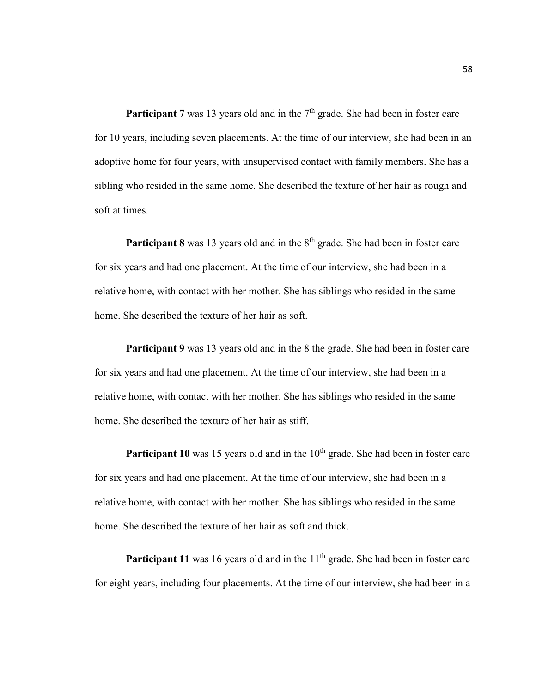**Participant 7** was 13 years old and in the  $7<sup>th</sup>$  grade. She had been in foster care for 10 years, including seven placements. At the time of our interview, she had been in an adoptive home for four years, with unsupervised contact with family members. She has a sibling who resided in the same home. She described the texture of her hair as rough and soft at times.

**Participant 8** was 13 years old and in the 8<sup>th</sup> grade. She had been in foster care for six years and had one placement. At the time of our interview, she had been in a relative home, with contact with her mother. She has siblings who resided in the same home. She described the texture of her hair as soft.

**Participant 9** was 13 years old and in the 8 the grade. She had been in foster care for six years and had one placement. At the time of our interview, she had been in a relative home, with contact with her mother. She has siblings who resided in the same home. She described the texture of her hair as stiff.

**Participant 10** was 15 years old and in the 10<sup>th</sup> grade. She had been in foster care for six years and had one placement. At the time of our interview, she had been in a relative home, with contact with her mother. She has siblings who resided in the same home. She described the texture of her hair as soft and thick.

**Participant 11** was 16 years old and in the 11<sup>th</sup> grade. She had been in foster care for eight years, including four placements. At the time of our interview, she had been in a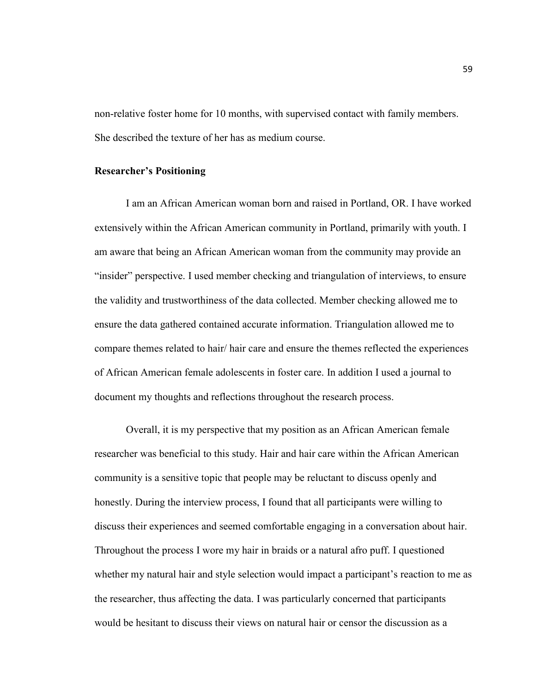non-relative foster home for 10 months, with supervised contact with family members. She described the texture of her has as medium course.

# **Researcher's Positioning**

I am an African American woman born and raised in Portland, OR. I have worked extensively within the African American community in Portland, primarily with youth. I am aware that being an African American woman from the community may provide an "insider" perspective. I used member checking and triangulation of interviews, to ensure the validity and trustworthiness of the data collected. Member checking allowed me to ensure the data gathered contained accurate information. Triangulation allowed me to compare themes related to hair/ hair care and ensure the themes reflected the experiences of African American female adolescents in foster care. In addition I used a journal to document my thoughts and reflections throughout the research process.

Overall, it is my perspective that my position as an African American female researcher was beneficial to this study. Hair and hair care within the African American community is a sensitive topic that people may be reluctant to discuss openly and honestly. During the interview process, I found that all participants were willing to discuss their experiences and seemed comfortable engaging in a conversation about hair. Throughout the process I wore my hair in braids or a natural afro puff. I questioned whether my natural hair and style selection would impact a participant's reaction to me as the researcher, thus affecting the data. I was particularly concerned that participants would be hesitant to discuss their views on natural hair or censor the discussion as a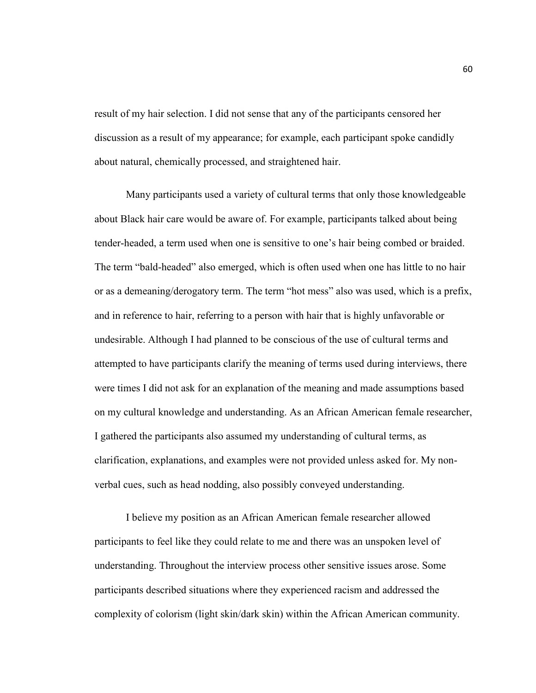result of my hair selection. I did not sense that any of the participants censored her discussion as a result of my appearance; for example, each participant spoke candidly about natural, chemically processed, and straightened hair.

 Many participants used a variety of cultural terms that only those knowledgeable about Black hair care would be aware of. For example, participants talked about being tender-headed, a term used when one is sensitive to one's hair being combed or braided. The term "bald-headed" also emerged, which is often used when one has little to no hair or as a demeaning/derogatory term. The term "hot mess" also was used, which is a prefix, and in reference to hair, referring to a person with hair that is highly unfavorable or undesirable. Although I had planned to be conscious of the use of cultural terms and attempted to have participants clarify the meaning of terms used during interviews, there were times I did not ask for an explanation of the meaning and made assumptions based on my cultural knowledge and understanding. As an African American female researcher, I gathered the participants also assumed my understanding of cultural terms, as clarification, explanations, and examples were not provided unless asked for. My nonverbal cues, such as head nodding, also possibly conveyed understanding.

 I believe my position as an African American female researcher allowed participants to feel like they could relate to me and there was an unspoken level of understanding. Throughout the interview process other sensitive issues arose. Some participants described situations where they experienced racism and addressed the complexity of colorism (light skin/dark skin) within the African American community.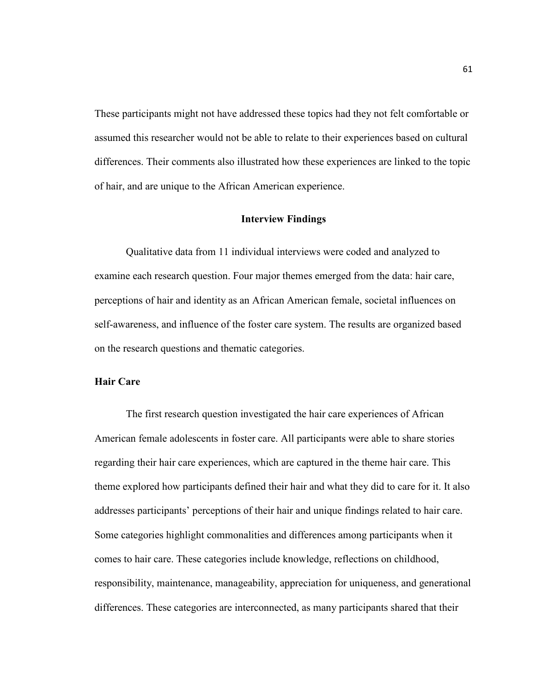These participants might not have addressed these topics had they not felt comfortable or assumed this researcher would not be able to relate to their experiences based on cultural differences. Their comments also illustrated how these experiences are linked to the topic of hair, and are unique to the African American experience.

#### **Interview Findings**

 Qualitative data from 11 individual interviews were coded and analyzed to examine each research question. Four major themes emerged from the data: hair care, perceptions of hair and identity as an African American female, societal influences on self-awareness, and influence of the foster care system. The results are organized based on the research questions and thematic categories.

# **Hair Care**

 The first research question investigated the hair care experiences of African American female adolescents in foster care. All participants were able to share stories regarding their hair care experiences, which are captured in the theme hair care. This theme explored how participants defined their hair and what they did to care for it. It also addresses participants' perceptions of their hair and unique findings related to hair care. Some categories highlight commonalities and differences among participants when it comes to hair care. These categories include knowledge, reflections on childhood, responsibility, maintenance, manageability, appreciation for uniqueness, and generational differences. These categories are interconnected, as many participants shared that their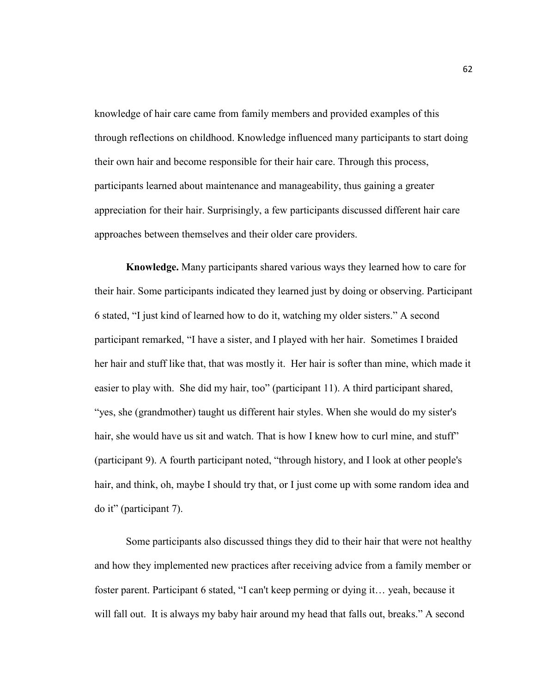knowledge of hair care came from family members and provided examples of this through reflections on childhood. Knowledge influenced many participants to start doing their own hair and become responsible for their hair care. Through this process, participants learned about maintenance and manageability, thus gaining a greater appreciation for their hair. Surprisingly, a few participants discussed different hair care approaches between themselves and their older care providers.

**Knowledge.** Many participants shared various ways they learned how to care for their hair. Some participants indicated they learned just by doing or observing. Participant 6 stated, "I just kind of learned how to do it, watching my older sisters." A second participant remarked, "I have a sister, and I played with her hair. Sometimes I braided her hair and stuff like that, that was mostly it. Her hair is softer than mine, which made it easier to play with. She did my hair, too" (participant 11). A third participant shared, "yes, she (grandmother) taught us different hair styles. When she would do my sister's hair, she would have us sit and watch. That is how I knew how to curl mine, and stuff" (participant 9). A fourth participant noted, "through history, and I look at other people's hair, and think, oh, maybe I should try that, or I just come up with some random idea and do it" (participant 7).

 Some participants also discussed things they did to their hair that were not healthy and how they implemented new practices after receiving advice from a family member or foster parent. Participant 6 stated, "I can't keep perming or dying it… yeah, because it will fall out. It is always my baby hair around my head that falls out, breaks." A second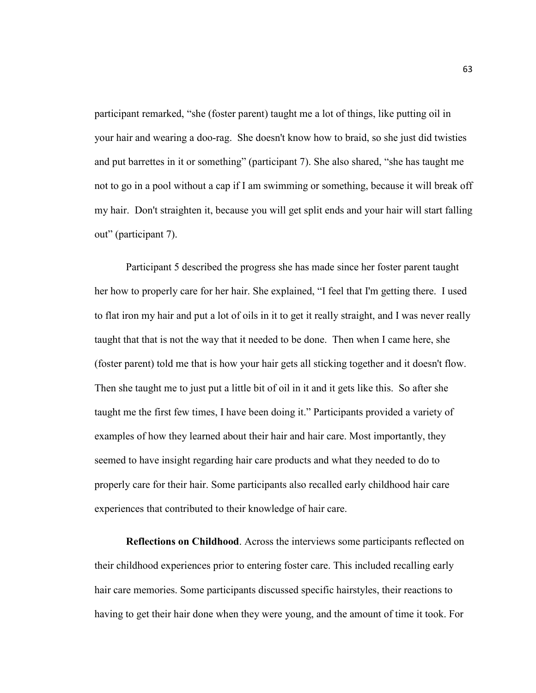participant remarked, "she (foster parent) taught me a lot of things, like putting oil in your hair and wearing a doo-rag. She doesn't know how to braid, so she just did twisties and put barrettes in it or something" (participant 7). She also shared, "she has taught me not to go in a pool without a cap if I am swimming or something, because it will break off my hair. Don't straighten it, because you will get split ends and your hair will start falling out" (participant 7).

 Participant 5 described the progress she has made since her foster parent taught her how to properly care for her hair. She explained, "I feel that I'm getting there. I used to flat iron my hair and put a lot of oils in it to get it really straight, and I was never really taught that that is not the way that it needed to be done. Then when I came here, she (foster parent) told me that is how your hair gets all sticking together and it doesn't flow. Then she taught me to just put a little bit of oil in it and it gets like this. So after she taught me the first few times, I have been doing it." Participants provided a variety of examples of how they learned about their hair and hair care. Most importantly, they seemed to have insight regarding hair care products and what they needed to do to properly care for their hair. Some participants also recalled early childhood hair care experiences that contributed to their knowledge of hair care.

**Reflections on Childhood**. Across the interviews some participants reflected on their childhood experiences prior to entering foster care. This included recalling early hair care memories. Some participants discussed specific hairstyles, their reactions to having to get their hair done when they were young, and the amount of time it took. For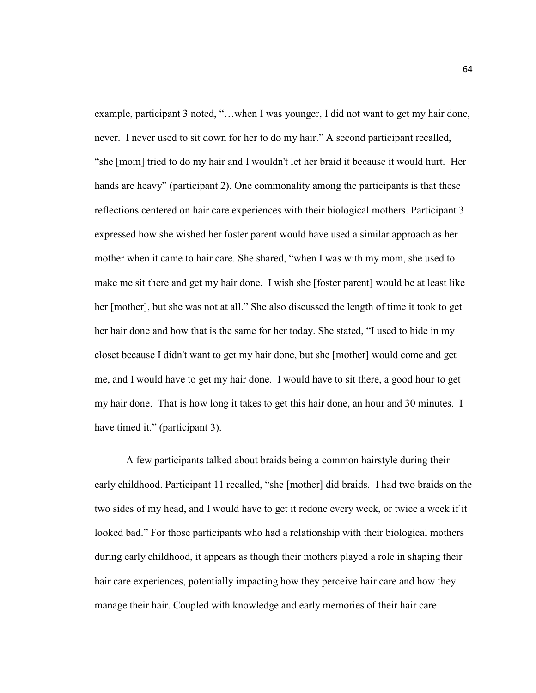example, participant 3 noted, "…when I was younger, I did not want to get my hair done, never. I never used to sit down for her to do my hair." A second participant recalled, "she [mom] tried to do my hair and I wouldn't let her braid it because it would hurt. Her hands are heavy" (participant 2). One commonality among the participants is that these reflections centered on hair care experiences with their biological mothers. Participant 3 expressed how she wished her foster parent would have used a similar approach as her mother when it came to hair care. She shared, "when I was with my mom, she used to make me sit there and get my hair done. I wish she [foster parent] would be at least like her [mother], but she was not at all." She also discussed the length of time it took to get her hair done and how that is the same for her today. She stated, "I used to hide in my closet because I didn't want to get my hair done, but she [mother] would come and get me, and I would have to get my hair done. I would have to sit there, a good hour to get my hair done. That is how long it takes to get this hair done, an hour and 30 minutes. I have timed it." (participant 3).

A few participants talked about braids being a common hairstyle during their early childhood. Participant 11 recalled, "she [mother] did braids. I had two braids on the two sides of my head, and I would have to get it redone every week, or twice a week if it looked bad." For those participants who had a relationship with their biological mothers during early childhood, it appears as though their mothers played a role in shaping their hair care experiences, potentially impacting how they perceive hair care and how they manage their hair. Coupled with knowledge and early memories of their hair care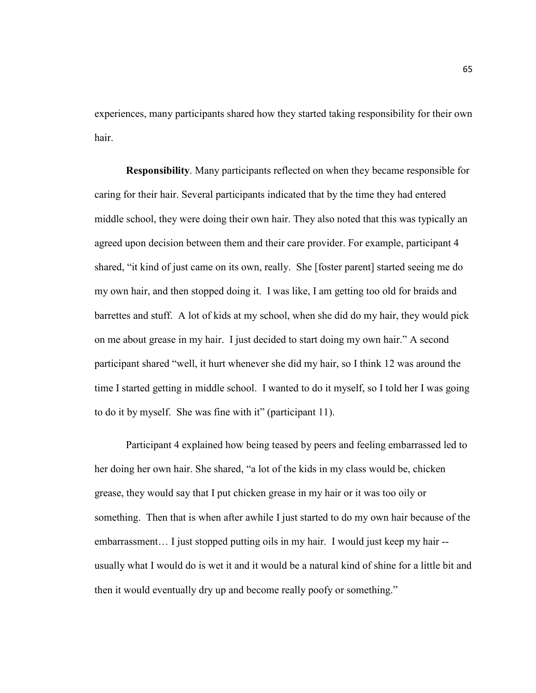experiences, many participants shared how they started taking responsibility for their own hair.

**Responsibility**. Many participants reflected on when they became responsible for caring for their hair. Several participants indicated that by the time they had entered middle school, they were doing their own hair. They also noted that this was typically an agreed upon decision between them and their care provider. For example, participant 4 shared, "it kind of just came on its own, really. She [foster parent] started seeing me do my own hair, and then stopped doing it. I was like, I am getting too old for braids and barrettes and stuff. A lot of kids at my school, when she did do my hair, they would pick on me about grease in my hair. I just decided to start doing my own hair." A second participant shared "well, it hurt whenever she did my hair, so I think 12 was around the time I started getting in middle school. I wanted to do it myself, so I told her I was going to do it by myself. She was fine with it" (participant 11).

Participant 4 explained how being teased by peers and feeling embarrassed led to her doing her own hair. She shared, "a lot of the kids in my class would be, chicken grease, they would say that I put chicken grease in my hair or it was too oily or something. Then that is when after awhile I just started to do my own hair because of the embarrassment… I just stopped putting oils in my hair. I would just keep my hair - usually what I would do is wet it and it would be a natural kind of shine for a little bit and then it would eventually dry up and become really poofy or something."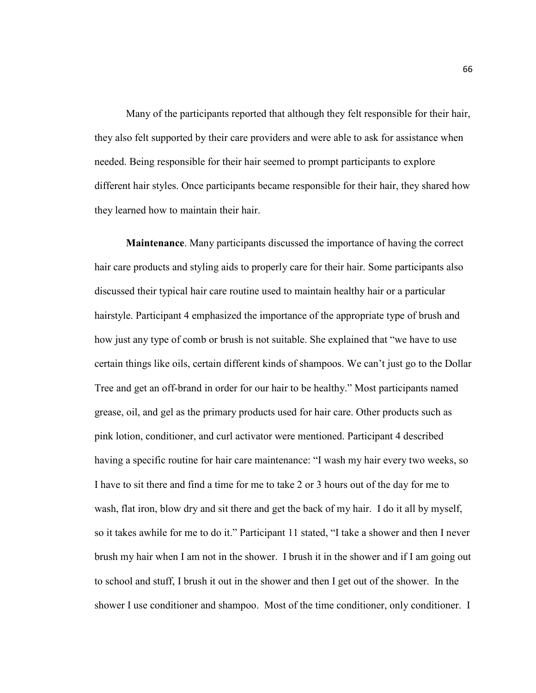Many of the participants reported that although they felt responsible for their hair, they also felt supported by their care providers and were able to ask for assistance when needed. Being responsible for their hair seemed to prompt participants to explore different hair styles. Once participants became responsible for their hair, they shared how they learned how to maintain their hair.

**Maintenance**. Many participants discussed the importance of having the correct hair care products and styling aids to properly care for their hair. Some participants also discussed their typical hair care routine used to maintain healthy hair or a particular hairstyle. Participant 4 emphasized the importance of the appropriate type of brush and how just any type of comb or brush is not suitable. She explained that "we have to use certain things like oils, certain different kinds of shampoos. We can't just go to the Dollar Tree and get an off-brand in order for our hair to be healthy." Most participants named grease, oil, and gel as the primary products used for hair care. Other products such as pink lotion, conditioner, and curl activator were mentioned. Participant 4 described having a specific routine for hair care maintenance: "I wash my hair every two weeks, so I have to sit there and find a time for me to take 2 or 3 hours out of the day for me to wash, flat iron, blow dry and sit there and get the back of my hair. I do it all by myself, so it takes awhile for me to do it." Participant 11 stated, "I take a shower and then I never brush my hair when I am not in the shower. I brush it in the shower and if I am going out to school and stuff, I brush it out in the shower and then I get out of the shower. In the shower I use conditioner and shampoo. Most of the time conditioner, only conditioner. I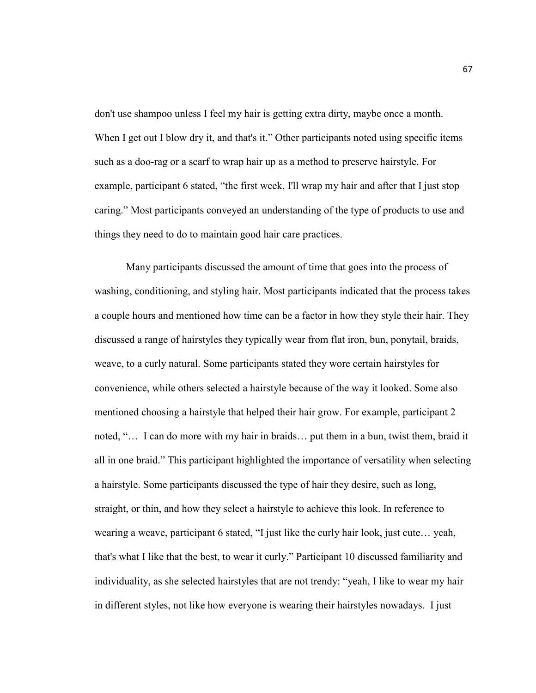don't use shampoo unless I feel my hair is getting extra dirty, maybe once a month. When I get out I blow dry it, and that's it." Other participants noted using specific items such as a doo-rag or a scarf to wrap hair up as a method to preserve hairstyle. For example, participant 6 stated, "the first week, I'll wrap my hair and after that I just stop caring." Most participants conveyed an understanding of the type of products to use and things they need to do to maintain good hair care practices.

 Many participants discussed the amount of time that goes into the process of washing, conditioning, and styling hair. Most participants indicated that the process takes a couple hours and mentioned how time can be a factor in how they style their hair. They discussed a range of hairstyles they typically wear from flat iron, bun, ponytail, braids, weave, to a curly natural. Some participants stated they wore certain hairstyles for convenience, while others selected a hairstyle because of the way it looked. Some also mentioned choosing a hairstyle that helped their hair grow. For example, participant 2 noted, "… I can do more with my hair in braids… put them in a bun, twist them, braid it all in one braid." This participant highlighted the importance of versatility when selecting a hairstyle. Some participants discussed the type of hair they desire, such as long, straight, or thin, and how they select a hairstyle to achieve this look. In reference to wearing a weave, participant 6 stated, "I just like the curly hair look, just cute… yeah, that's what I like that the best, to wear it curly." Participant 10 discussed familiarity and individuality, as she selected hairstyles that are not trendy: "yeah, I like to wear my hair in different styles, not like how everyone is wearing their hairstyles nowadays. I just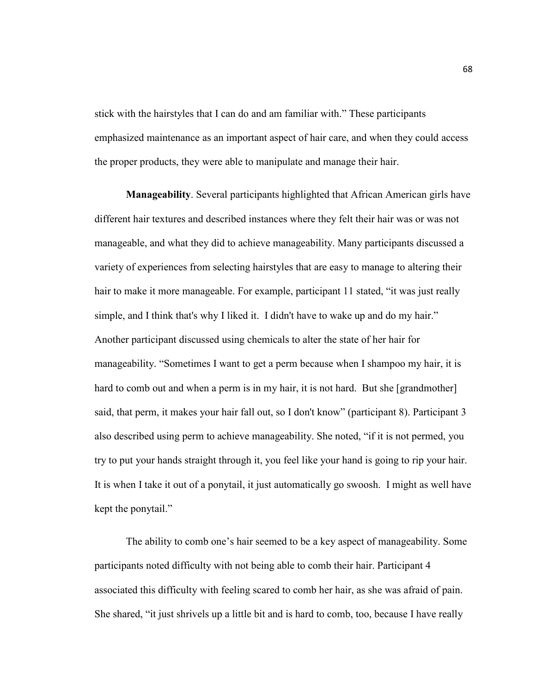stick with the hairstyles that I can do and am familiar with." These participants emphasized maintenance as an important aspect of hair care, and when they could access the proper products, they were able to manipulate and manage their hair.

**Manageability**. Several participants highlighted that African American girls have different hair textures and described instances where they felt their hair was or was not manageable, and what they did to achieve manageability. Many participants discussed a variety of experiences from selecting hairstyles that are easy to manage to altering their hair to make it more manageable. For example, participant 11 stated, "it was just really simple, and I think that's why I liked it. I didn't have to wake up and do my hair." Another participant discussed using chemicals to alter the state of her hair for manageability. "Sometimes I want to get a perm because when I shampoo my hair, it is hard to comb out and when a perm is in my hair, it is not hard. But she [grandmother] said, that perm, it makes your hair fall out, so I don't know" (participant 8). Participant 3 also described using perm to achieve manageability. She noted, "if it is not permed, you try to put your hands straight through it, you feel like your hand is going to rip your hair. It is when I take it out of a ponytail, it just automatically go swoosh. I might as well have kept the ponytail."

The ability to comb one's hair seemed to be a key aspect of manageability. Some participants noted difficulty with not being able to comb their hair. Participant 4 associated this difficulty with feeling scared to comb her hair, as she was afraid of pain. She shared, "it just shrivels up a little bit and is hard to comb, too, because I have really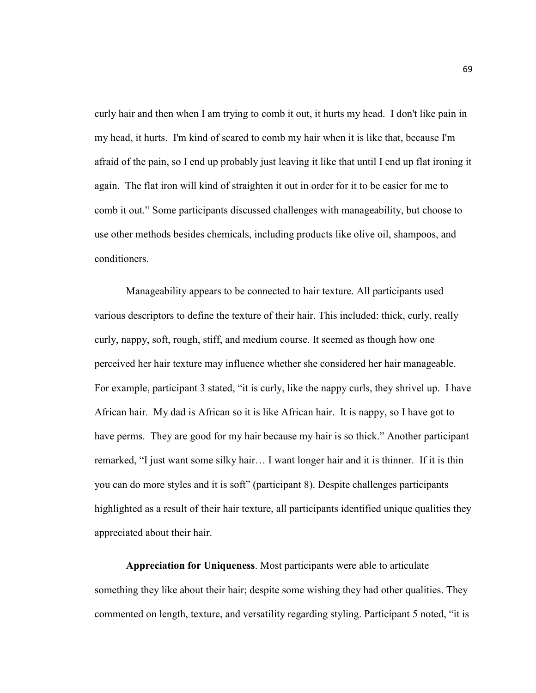curly hair and then when I am trying to comb it out, it hurts my head. I don't like pain in my head, it hurts. I'm kind of scared to comb my hair when it is like that, because I'm afraid of the pain, so I end up probably just leaving it like that until I end up flat ironing it again. The flat iron will kind of straighten it out in order for it to be easier for me to comb it out." Some participants discussed challenges with manageability, but choose to use other methods besides chemicals, including products like olive oil, shampoos, and conditioners.

 Manageability appears to be connected to hair texture. All participants used various descriptors to define the texture of their hair. This included: thick, curly, really curly, nappy, soft, rough, stiff, and medium course. It seemed as though how one perceived her hair texture may influence whether she considered her hair manageable. For example, participant 3 stated, "it is curly, like the nappy curls, they shrivel up. I have African hair. My dad is African so it is like African hair. It is nappy, so I have got to have perms. They are good for my hair because my hair is so thick." Another participant remarked, "I just want some silky hair… I want longer hair and it is thinner. If it is thin you can do more styles and it is soft" (participant 8). Despite challenges participants highlighted as a result of their hair texture, all participants identified unique qualities they appreciated about their hair.

**Appreciation for Uniqueness**. Most participants were able to articulate something they like about their hair; despite some wishing they had other qualities. They commented on length, texture, and versatility regarding styling. Participant 5 noted, "it is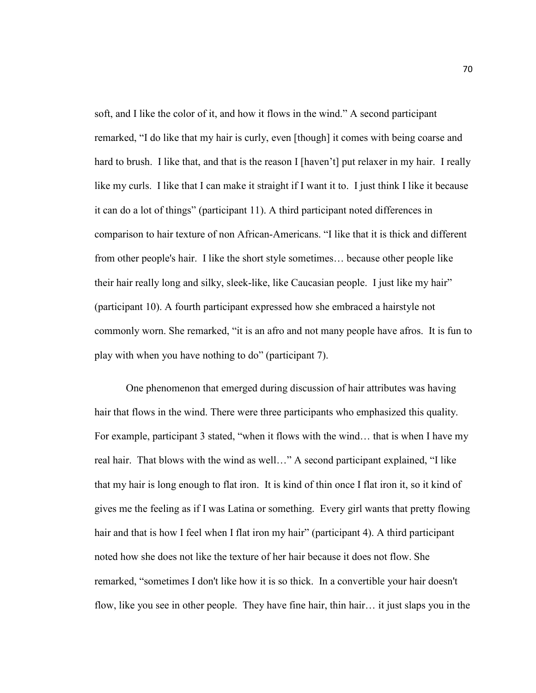soft, and I like the color of it, and how it flows in the wind." A second participant remarked, "I do like that my hair is curly, even [though] it comes with being coarse and hard to brush. I like that, and that is the reason I [haven't] put relaxer in my hair. I really like my curls. I like that I can make it straight if I want it to. I just think I like it because it can do a lot of things" (participant 11). A third participant noted differences in comparison to hair texture of non African-Americans. "I like that it is thick and different from other people's hair. I like the short style sometimes… because other people like their hair really long and silky, sleek-like, like Caucasian people. I just like my hair" (participant 10). A fourth participant expressed how she embraced a hairstyle not commonly worn. She remarked, "it is an afro and not many people have afros. It is fun to play with when you have nothing to do" (participant 7).

 One phenomenon that emerged during discussion of hair attributes was having hair that flows in the wind. There were three participants who emphasized this quality. For example, participant 3 stated, "when it flows with the wind… that is when I have my real hair. That blows with the wind as well…" A second participant explained, "I like that my hair is long enough to flat iron. It is kind of thin once I flat iron it, so it kind of gives me the feeling as if I was Latina or something. Every girl wants that pretty flowing hair and that is how I feel when I flat iron my hair" (participant 4). A third participant noted how she does not like the texture of her hair because it does not flow. She remarked, "sometimes I don't like how it is so thick. In a convertible your hair doesn't flow, like you see in other people. They have fine hair, thin hair… it just slaps you in the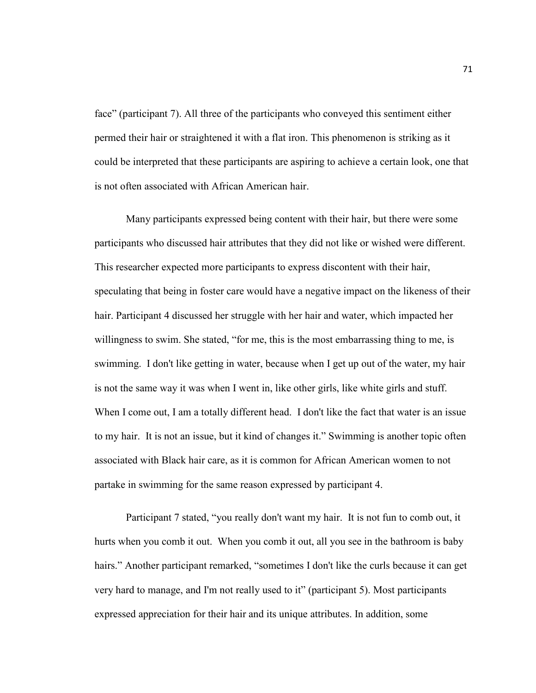face" (participant 7). All three of the participants who conveyed this sentiment either permed their hair or straightened it with a flat iron. This phenomenon is striking as it could be interpreted that these participants are aspiring to achieve a certain look, one that is not often associated with African American hair.

Many participants expressed being content with their hair, but there were some participants who discussed hair attributes that they did not like or wished were different. This researcher expected more participants to express discontent with their hair, speculating that being in foster care would have a negative impact on the likeness of their hair. Participant 4 discussed her struggle with her hair and water, which impacted her willingness to swim. She stated, "for me, this is the most embarrassing thing to me, is swimming. I don't like getting in water, because when I get up out of the water, my hair is not the same way it was when I went in, like other girls, like white girls and stuff. When I come out, I am a totally different head. I don't like the fact that water is an issue to my hair. It is not an issue, but it kind of changes it." Swimming is another topic often associated with Black hair care, as it is common for African American women to not partake in swimming for the same reason expressed by participant 4.

Participant 7 stated, "you really don't want my hair. It is not fun to comb out, it hurts when you comb it out. When you comb it out, all you see in the bathroom is baby hairs." Another participant remarked, "sometimes I don't like the curls because it can get very hard to manage, and I'm not really used to it" (participant 5). Most participants expressed appreciation for their hair and its unique attributes. In addition, some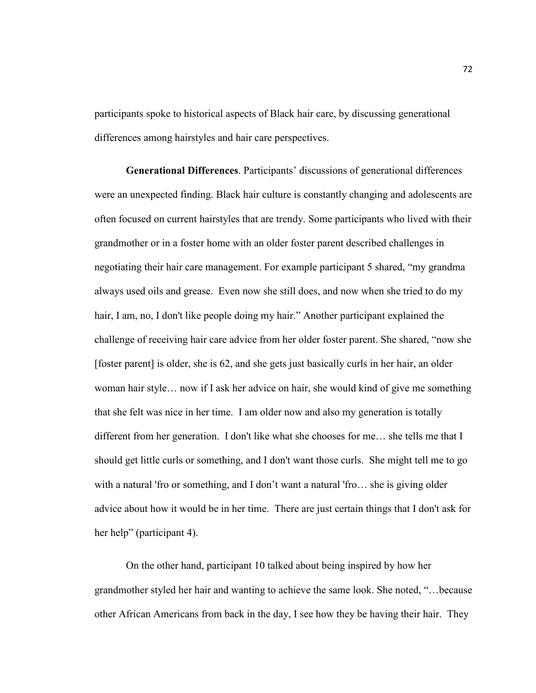participants spoke to historical aspects of Black hair care, by discussing generational differences among hairstyles and hair care perspectives.

**Generational Differences**. Participants' discussions of generational differences were an unexpected finding. Black hair culture is constantly changing and adolescents are often focused on current hairstyles that are trendy. Some participants who lived with their grandmother or in a foster home with an older foster parent described challenges in negotiating their hair care management. For example participant 5 shared, "my grandma always used oils and grease. Even now she still does, and now when she tried to do my hair, I am, no, I don't like people doing my hair." Another participant explained the challenge of receiving hair care advice from her older foster parent. She shared, "now she [foster parent] is older, she is 62, and she gets just basically curls in her hair, an older woman hair style… now if I ask her advice on hair, she would kind of give me something that she felt was nice in her time. I am older now and also my generation is totally different from her generation. I don't like what she chooses for me… she tells me that I should get little curls or something, and I don't want those curls. She might tell me to go with a natural 'fro or something, and I don't want a natural 'fro… she is giving older advice about how it would be in her time. There are just certain things that I don't ask for her help" (participant 4).

On the other hand, participant 10 talked about being inspired by how her grandmother styled her hair and wanting to achieve the same look. She noted, "…because other African Americans from back in the day, I see how they be having their hair. They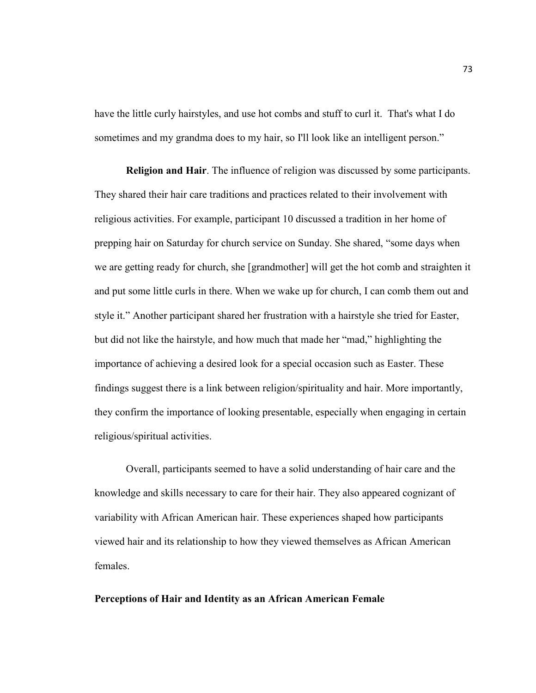have the little curly hairstyles, and use hot combs and stuff to curl it. That's what I do sometimes and my grandma does to my hair, so I'll look like an intelligent person."

**Religion and Hair**. The influence of religion was discussed by some participants. They shared their hair care traditions and practices related to their involvement with religious activities. For example, participant 10 discussed a tradition in her home of prepping hair on Saturday for church service on Sunday. She shared, "some days when we are getting ready for church, she [grandmother] will get the hot comb and straighten it and put some little curls in there. When we wake up for church, I can comb them out and style it." Another participant shared her frustration with a hairstyle she tried for Easter, but did not like the hairstyle, and how much that made her "mad," highlighting the importance of achieving a desired look for a special occasion such as Easter. These findings suggest there is a link between religion/spirituality and hair. More importantly, they confirm the importance of looking presentable, especially when engaging in certain religious/spiritual activities.

Overall, participants seemed to have a solid understanding of hair care and the knowledge and skills necessary to care for their hair. They also appeared cognizant of variability with African American hair. These experiences shaped how participants viewed hair and its relationship to how they viewed themselves as African American females.

# **Perceptions of Hair and Identity as an African American Female**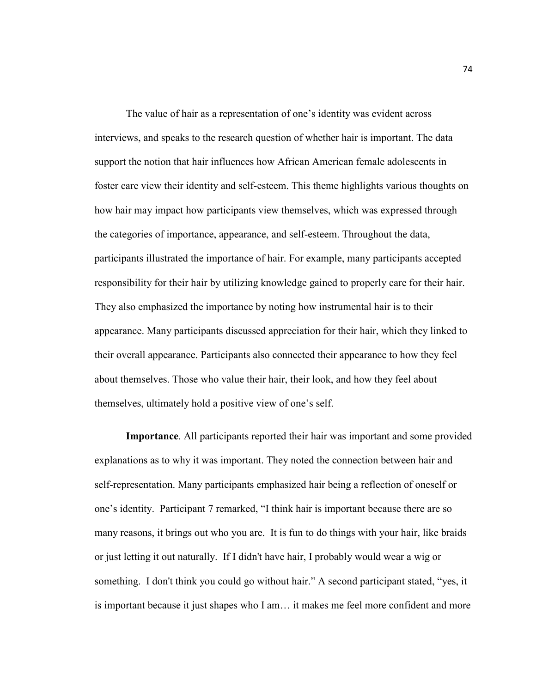The value of hair as a representation of one's identity was evident across interviews, and speaks to the research question of whether hair is important. The data support the notion that hair influences how African American female adolescents in foster care view their identity and self-esteem. This theme highlights various thoughts on how hair may impact how participants view themselves, which was expressed through the categories of importance, appearance, and self-esteem. Throughout the data, participants illustrated the importance of hair. For example, many participants accepted responsibility for their hair by utilizing knowledge gained to properly care for their hair. They also emphasized the importance by noting how instrumental hair is to their appearance. Many participants discussed appreciation for their hair, which they linked to their overall appearance. Participants also connected their appearance to how they feel about themselves. Those who value their hair, their look, and how they feel about themselves, ultimately hold a positive view of one's self.

**Importance**. All participants reported their hair was important and some provided explanations as to why it was important. They noted the connection between hair and self-representation. Many participants emphasized hair being a reflection of oneself or one's identity. Participant 7 remarked, "I think hair is important because there are so many reasons, it brings out who you are. It is fun to do things with your hair, like braids or just letting it out naturally. If I didn't have hair, I probably would wear a wig or something. I don't think you could go without hair." A second participant stated, "yes, it is important because it just shapes who I am… it makes me feel more confident and more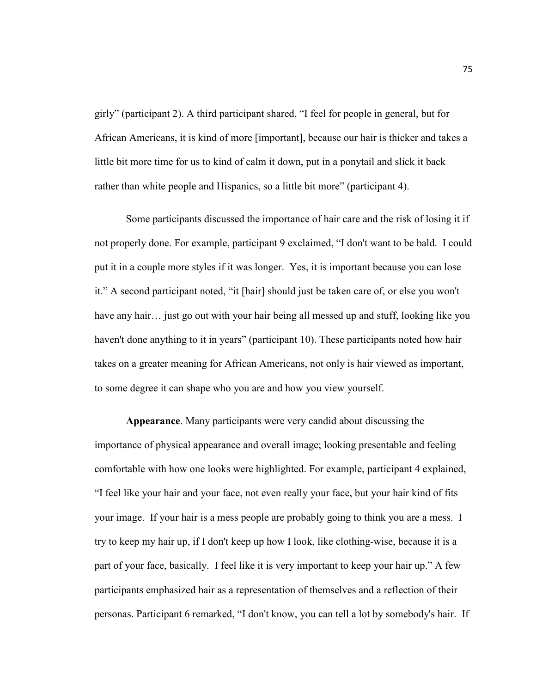girly" (participant 2). A third participant shared, "I feel for people in general, but for African Americans, it is kind of more [important], because our hair is thicker and takes a little bit more time for us to kind of calm it down, put in a ponytail and slick it back rather than white people and Hispanics, so a little bit more" (participant 4).

 Some participants discussed the importance of hair care and the risk of losing it if not properly done. For example, participant 9 exclaimed, "I don't want to be bald. I could put it in a couple more styles if it was longer. Yes, it is important because you can lose it." A second participant noted, "it [hair] should just be taken care of, or else you won't have any hair… just go out with your hair being all messed up and stuff, looking like you haven't done anything to it in years" (participant 10). These participants noted how hair takes on a greater meaning for African Americans, not only is hair viewed as important, to some degree it can shape who you are and how you view yourself.

**Appearance**. Many participants were very candid about discussing the importance of physical appearance and overall image; looking presentable and feeling comfortable with how one looks were highlighted. For example, participant 4 explained, "I feel like your hair and your face, not even really your face, but your hair kind of fits your image. If your hair is a mess people are probably going to think you are a mess. I try to keep my hair up, if I don't keep up how I look, like clothing-wise, because it is a part of your face, basically. I feel like it is very important to keep your hair up." A few participants emphasized hair as a representation of themselves and a reflection of their personas. Participant 6 remarked, "I don't know, you can tell a lot by somebody's hair. If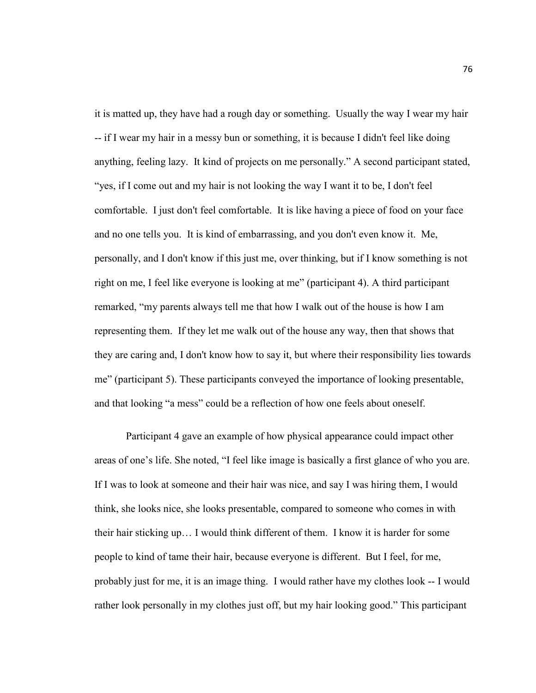it is matted up, they have had a rough day or something. Usually the way I wear my hair -- if I wear my hair in a messy bun or something, it is because I didn't feel like doing anything, feeling lazy. It kind of projects on me personally." A second participant stated, "yes, if I come out and my hair is not looking the way I want it to be, I don't feel comfortable. I just don't feel comfortable. It is like having a piece of food on your face and no one tells you. It is kind of embarrassing, and you don't even know it. Me, personally, and I don't know if this just me, over thinking, but if I know something is not right on me, I feel like everyone is looking at me" (participant 4). A third participant remarked, "my parents always tell me that how I walk out of the house is how I am representing them. If they let me walk out of the house any way, then that shows that they are caring and, I don't know how to say it, but where their responsibility lies towards me" (participant 5). These participants conveyed the importance of looking presentable, and that looking "a mess" could be a reflection of how one feels about oneself.

Participant 4 gave an example of how physical appearance could impact other areas of one's life. She noted, "I feel like image is basically a first glance of who you are. If I was to look at someone and their hair was nice, and say I was hiring them, I would think, she looks nice, she looks presentable, compared to someone who comes in with their hair sticking up… I would think different of them. I know it is harder for some people to kind of tame their hair, because everyone is different. But I feel, for me, probably just for me, it is an image thing. I would rather have my clothes look -- I would rather look personally in my clothes just off, but my hair looking good." This participant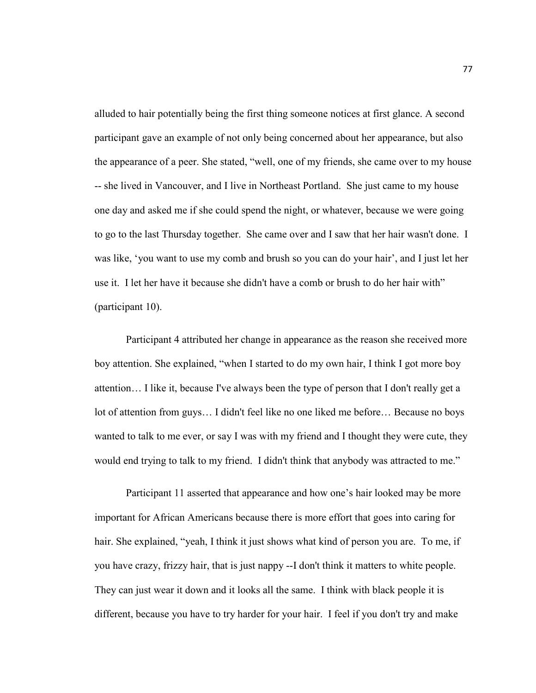alluded to hair potentially being the first thing someone notices at first glance. A second participant gave an example of not only being concerned about her appearance, but also the appearance of a peer. She stated, "well, one of my friends, she came over to my house -- she lived in Vancouver, and I live in Northeast Portland. She just came to my house one day and asked me if she could spend the night, or whatever, because we were going to go to the last Thursday together. She came over and I saw that her hair wasn't done. I was like, 'you want to use my comb and brush so you can do your hair', and I just let her use it. I let her have it because she didn't have a comb or brush to do her hair with" (participant 10).

 Participant 4 attributed her change in appearance as the reason she received more boy attention. She explained, "when I started to do my own hair, I think I got more boy attention… I like it, because I've always been the type of person that I don't really get a lot of attention from guys… I didn't feel like no one liked me before… Because no boys wanted to talk to me ever, or say I was with my friend and I thought they were cute, they would end trying to talk to my friend. I didn't think that anybody was attracted to me."

 Participant 11 asserted that appearance and how one's hair looked may be more important for African Americans because there is more effort that goes into caring for hair. She explained, "yeah, I think it just shows what kind of person you are. To me, if you have crazy, frizzy hair, that is just nappy --I don't think it matters to white people. They can just wear it down and it looks all the same. I think with black people it is different, because you have to try harder for your hair. I feel if you don't try and make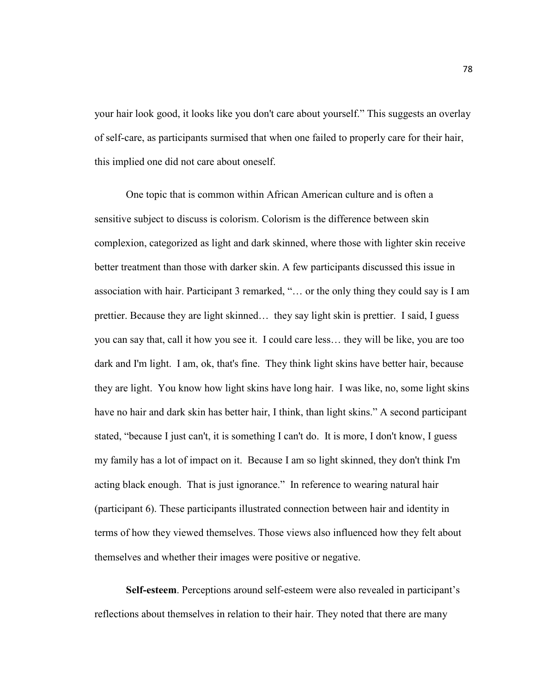your hair look good, it looks like you don't care about yourself." This suggests an overlay of self-care, as participants surmised that when one failed to properly care for their hair, this implied one did not care about oneself.

 One topic that is common within African American culture and is often a sensitive subject to discuss is colorism. Colorism is the difference between skin complexion, categorized as light and dark skinned, where those with lighter skin receive better treatment than those with darker skin. A few participants discussed this issue in association with hair. Participant 3 remarked, "… or the only thing they could say is I am prettier. Because they are light skinned… they say light skin is prettier. I said, I guess you can say that, call it how you see it. I could care less… they will be like, you are too dark and I'm light. I am, ok, that's fine. They think light skins have better hair, because they are light. You know how light skins have long hair. I was like, no, some light skins have no hair and dark skin has better hair, I think, than light skins." A second participant stated, "because I just can't, it is something I can't do. It is more, I don't know, I guess my family has a lot of impact on it. Because I am so light skinned, they don't think I'm acting black enough. That is just ignorance." In reference to wearing natural hair (participant 6). These participants illustrated connection between hair and identity in terms of how they viewed themselves. Those views also influenced how they felt about themselves and whether their images were positive or negative.

**Self-esteem**. Perceptions around self-esteem were also revealed in participant's reflections about themselves in relation to their hair. They noted that there are many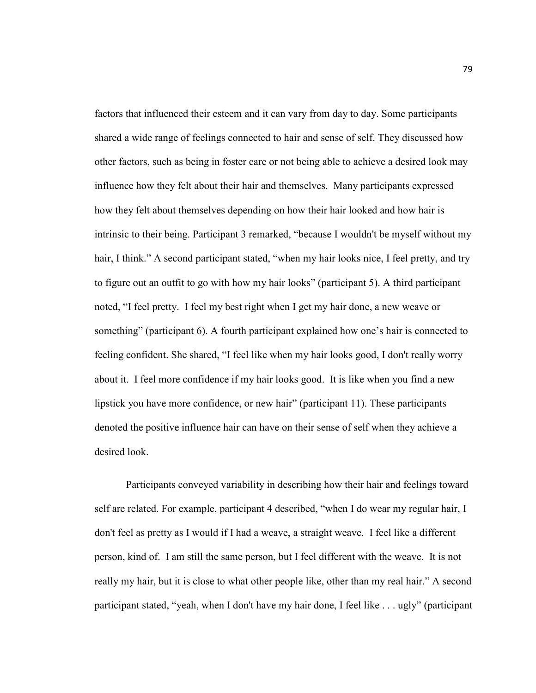factors that influenced their esteem and it can vary from day to day. Some participants shared a wide range of feelings connected to hair and sense of self. They discussed how other factors, such as being in foster care or not being able to achieve a desired look may influence how they felt about their hair and themselves. Many participants expressed how they felt about themselves depending on how their hair looked and how hair is intrinsic to their being. Participant 3 remarked, "because I wouldn't be myself without my hair, I think." A second participant stated, "when my hair looks nice, I feel pretty, and try to figure out an outfit to go with how my hair looks" (participant 5). A third participant noted, "I feel pretty. I feel my best right when I get my hair done, a new weave or something" (participant 6). A fourth participant explained how one's hair is connected to feeling confident. She shared, "I feel like when my hair looks good, I don't really worry about it. I feel more confidence if my hair looks good. It is like when you find a new lipstick you have more confidence, or new hair" (participant 11). These participants denoted the positive influence hair can have on their sense of self when they achieve a desired look.

 Participants conveyed variability in describing how their hair and feelings toward self are related. For example, participant 4 described, "when I do wear my regular hair, I don't feel as pretty as I would if I had a weave, a straight weave. I feel like a different person, kind of. I am still the same person, but I feel different with the weave. It is not really my hair, but it is close to what other people like, other than my real hair." A second participant stated, "yeah, when I don't have my hair done, I feel like . . . ugly" (participant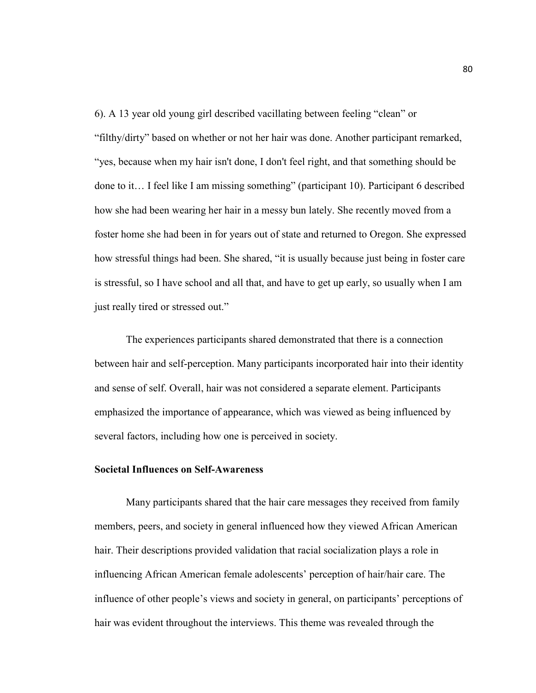6). A 13 year old young girl described vacillating between feeling "clean" or "filthy/dirty" based on whether or not her hair was done. Another participant remarked, "yes, because when my hair isn't done, I don't feel right, and that something should be done to it… I feel like I am missing something" (participant 10). Participant 6 described how she had been wearing her hair in a messy bun lately. She recently moved from a foster home she had been in for years out of state and returned to Oregon. She expressed how stressful things had been. She shared, "it is usually because just being in foster care is stressful, so I have school and all that, and have to get up early, so usually when I am just really tired or stressed out."

The experiences participants shared demonstrated that there is a connection between hair and self-perception. Many participants incorporated hair into their identity and sense of self. Overall, hair was not considered a separate element. Participants emphasized the importance of appearance, which was viewed as being influenced by several factors, including how one is perceived in society.

### **Societal Influences on Self-Awareness**

Many participants shared that the hair care messages they received from family members, peers, and society in general influenced how they viewed African American hair. Their descriptions provided validation that racial socialization plays a role in influencing African American female adolescents' perception of hair/hair care. The influence of other people's views and society in general, on participants' perceptions of hair was evident throughout the interviews. This theme was revealed through the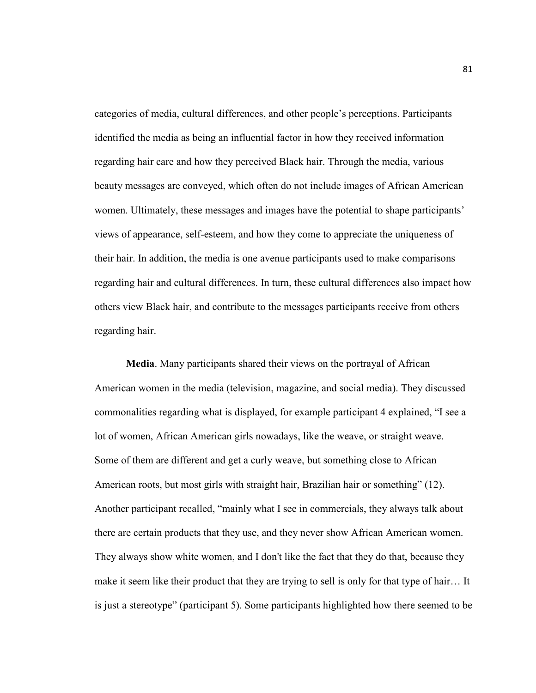categories of media, cultural differences, and other people's perceptions. Participants identified the media as being an influential factor in how they received information regarding hair care and how they perceived Black hair. Through the media, various beauty messages are conveyed, which often do not include images of African American women. Ultimately, these messages and images have the potential to shape participants' views of appearance, self-esteem, and how they come to appreciate the uniqueness of their hair. In addition, the media is one avenue participants used to make comparisons regarding hair and cultural differences. In turn, these cultural differences also impact how others view Black hair, and contribute to the messages participants receive from others regarding hair.

**Media**. Many participants shared their views on the portrayal of African American women in the media (television, magazine, and social media). They discussed commonalities regarding what is displayed, for example participant 4 explained, "I see a lot of women, African American girls nowadays, like the weave, or straight weave. Some of them are different and get a curly weave, but something close to African American roots, but most girls with straight hair, Brazilian hair or something" (12). Another participant recalled, "mainly what I see in commercials, they always talk about there are certain products that they use, and they never show African American women. They always show white women, and I don't like the fact that they do that, because they make it seem like their product that they are trying to sell is only for that type of hair… It is just a stereotype" (participant 5). Some participants highlighted how there seemed to be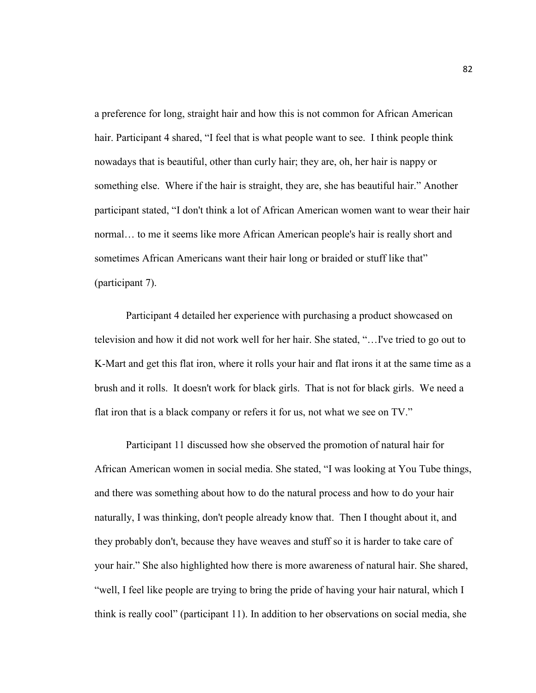a preference for long, straight hair and how this is not common for African American hair. Participant 4 shared, "I feel that is what people want to see. I think people think nowadays that is beautiful, other than curly hair; they are, oh, her hair is nappy or something else. Where if the hair is straight, they are, she has beautiful hair." Another participant stated, "I don't think a lot of African American women want to wear their hair normal… to me it seems like more African American people's hair is really short and sometimes African Americans want their hair long or braided or stuff like that" (participant 7).

 Participant 4 detailed her experience with purchasing a product showcased on television and how it did not work well for her hair. She stated, "…I've tried to go out to K-Mart and get this flat iron, where it rolls your hair and flat irons it at the same time as a brush and it rolls. It doesn't work for black girls. That is not for black girls. We need a flat iron that is a black company or refers it for us, not what we see on TV."

 Participant 11 discussed how she observed the promotion of natural hair for African American women in social media. She stated, "I was looking at You Tube things, and there was something about how to do the natural process and how to do your hair naturally, I was thinking, don't people already know that. Then I thought about it, and they probably don't, because they have weaves and stuff so it is harder to take care of your hair." She also highlighted how there is more awareness of natural hair. She shared, "well, I feel like people are trying to bring the pride of having your hair natural, which I think is really cool" (participant 11). In addition to her observations on social media, she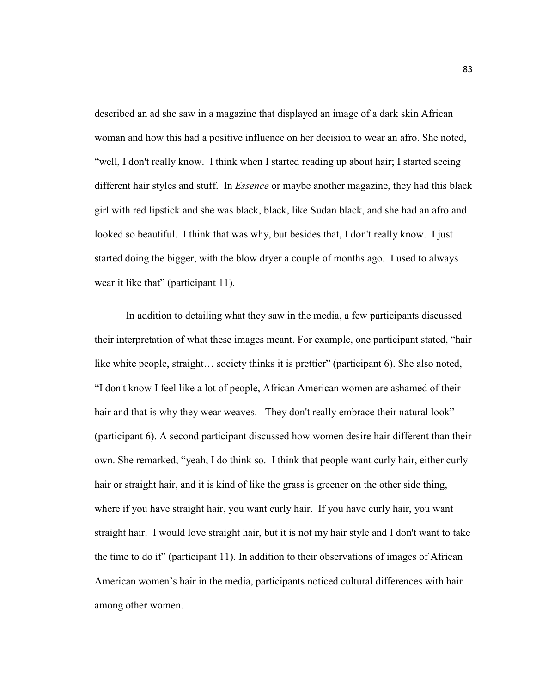described an ad she saw in a magazine that displayed an image of a dark skin African woman and how this had a positive influence on her decision to wear an afro. She noted, "well, I don't really know. I think when I started reading up about hair; I started seeing different hair styles and stuff. In *Essence* or maybe another magazine, they had this black girl with red lipstick and she was black, black, like Sudan black, and she had an afro and looked so beautiful. I think that was why, but besides that, I don't really know. I just started doing the bigger, with the blow dryer a couple of months ago. I used to always wear it like that" (participant 11).

 In addition to detailing what they saw in the media, a few participants discussed their interpretation of what these images meant. For example, one participant stated, "hair like white people, straight… society thinks it is prettier" (participant 6). She also noted, "I don't know I feel like a lot of people, African American women are ashamed of their hair and that is why they wear weaves. They don't really embrace their natural look" (participant 6). A second participant discussed how women desire hair different than their own. She remarked, "yeah, I do think so. I think that people want curly hair, either curly hair or straight hair, and it is kind of like the grass is greener on the other side thing, where if you have straight hair, you want curly hair. If you have curly hair, you want straight hair. I would love straight hair, but it is not my hair style and I don't want to take the time to do it" (participant 11). In addition to their observations of images of African American women's hair in the media, participants noticed cultural differences with hair among other women.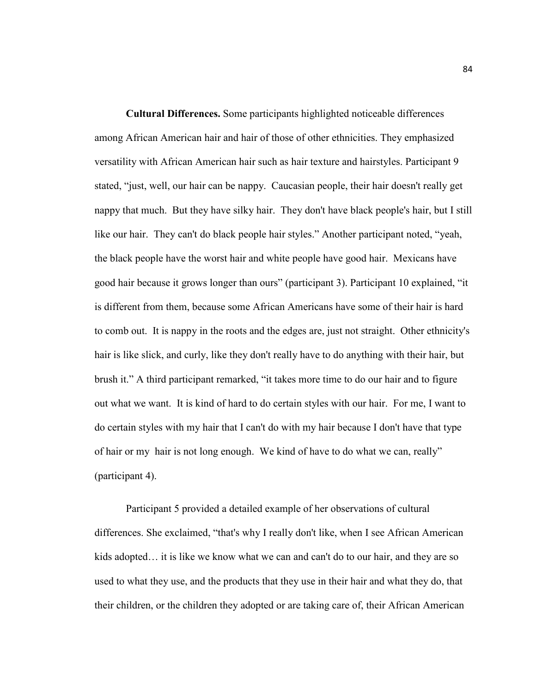**Cultural Differences.** Some participants highlighted noticeable differences among African American hair and hair of those of other ethnicities. They emphasized versatility with African American hair such as hair texture and hairstyles. Participant 9 stated, "just, well, our hair can be nappy. Caucasian people, their hair doesn't really get nappy that much. But they have silky hair. They don't have black people's hair, but I still like our hair. They can't do black people hair styles." Another participant noted, "yeah, the black people have the worst hair and white people have good hair. Mexicans have good hair because it grows longer than ours" (participant 3). Participant 10 explained, "it is different from them, because some African Americans have some of their hair is hard to comb out. It is nappy in the roots and the edges are, just not straight. Other ethnicity's hair is like slick, and curly, like they don't really have to do anything with their hair, but brush it." A third participant remarked, "it takes more time to do our hair and to figure out what we want. It is kind of hard to do certain styles with our hair. For me, I want to do certain styles with my hair that I can't do with my hair because I don't have that type of hair or my hair is not long enough. We kind of have to do what we can, really" (participant 4).

Participant 5 provided a detailed example of her observations of cultural differences. She exclaimed, "that's why I really don't like, when I see African American kids adopted… it is like we know what we can and can't do to our hair, and they are so used to what they use, and the products that they use in their hair and what they do, that their children, or the children they adopted or are taking care of, their African American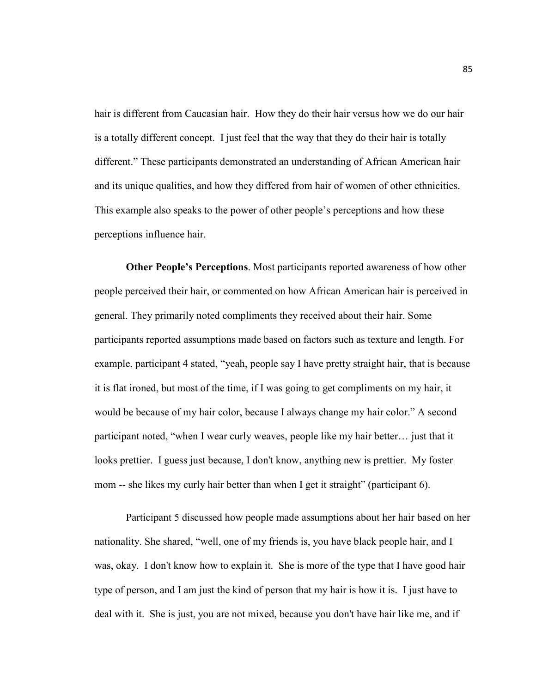hair is different from Caucasian hair. How they do their hair versus how we do our hair is a totally different concept. I just feel that the way that they do their hair is totally different." These participants demonstrated an understanding of African American hair and its unique qualities, and how they differed from hair of women of other ethnicities. This example also speaks to the power of other people's perceptions and how these perceptions influence hair.

**Other People's Perceptions**. Most participants reported awareness of how other people perceived their hair, or commented on how African American hair is perceived in general. They primarily noted compliments they received about their hair. Some participants reported assumptions made based on factors such as texture and length. For example, participant 4 stated, "yeah, people say I have pretty straight hair, that is because it is flat ironed, but most of the time, if I was going to get compliments on my hair, it would be because of my hair color, because I always change my hair color." A second participant noted, "when I wear curly weaves, people like my hair better… just that it looks prettier. I guess just because, I don't know, anything new is prettier. My foster mom -- she likes my curly hair better than when I get it straight" (participant 6).

 Participant 5 discussed how people made assumptions about her hair based on her nationality. She shared, "well, one of my friends is, you have black people hair, and I was, okay. I don't know how to explain it. She is more of the type that I have good hair type of person, and I am just the kind of person that my hair is how it is. I just have to deal with it. She is just, you are not mixed, because you don't have hair like me, and if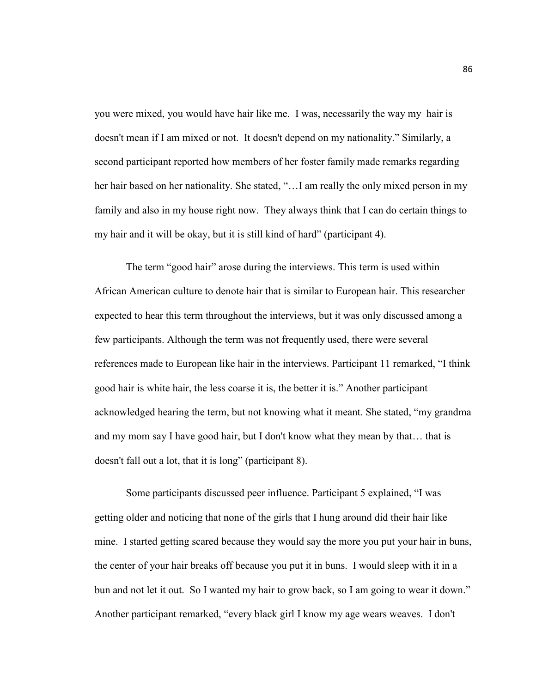you were mixed, you would have hair like me. I was, necessarily the way my hair is doesn't mean if I am mixed or not. It doesn't depend on my nationality." Similarly, a second participant reported how members of her foster family made remarks regarding her hair based on her nationality. She stated, "... I am really the only mixed person in my family and also in my house right now. They always think that I can do certain things to my hair and it will be okay, but it is still kind of hard" (participant 4).

 The term "good hair" arose during the interviews. This term is used within African American culture to denote hair that is similar to European hair. This researcher expected to hear this term throughout the interviews, but it was only discussed among a few participants. Although the term was not frequently used, there were several references made to European like hair in the interviews. Participant 11 remarked, "I think good hair is white hair, the less coarse it is, the better it is." Another participant acknowledged hearing the term, but not knowing what it meant. She stated, "my grandma and my mom say I have good hair, but I don't know what they mean by that… that is doesn't fall out a lot, that it is long" (participant 8).

 Some participants discussed peer influence. Participant 5 explained, "I was getting older and noticing that none of the girls that I hung around did their hair like mine. I started getting scared because they would say the more you put your hair in buns, the center of your hair breaks off because you put it in buns. I would sleep with it in a bun and not let it out. So I wanted my hair to grow back, so I am going to wear it down." Another participant remarked, "every black girl I know my age wears weaves. I don't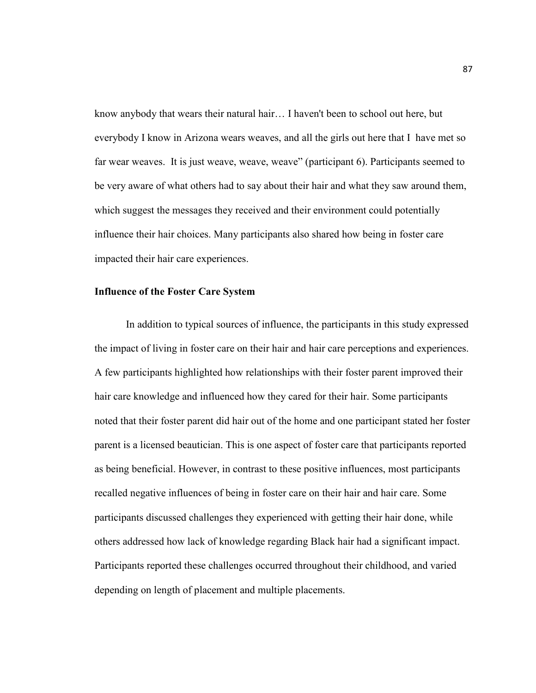know anybody that wears their natural hair… I haven't been to school out here, but everybody I know in Arizona wears weaves, and all the girls out here that I have met so far wear weaves. It is just weave, weave, weave" (participant 6). Participants seemed to be very aware of what others had to say about their hair and what they saw around them, which suggest the messages they received and their environment could potentially influence their hair choices. Many participants also shared how being in foster care impacted their hair care experiences.

### **Influence of the Foster Care System**

In addition to typical sources of influence, the participants in this study expressed the impact of living in foster care on their hair and hair care perceptions and experiences. A few participants highlighted how relationships with their foster parent improved their hair care knowledge and influenced how they cared for their hair. Some participants noted that their foster parent did hair out of the home and one participant stated her foster parent is a licensed beautician. This is one aspect of foster care that participants reported as being beneficial. However, in contrast to these positive influences, most participants recalled negative influences of being in foster care on their hair and hair care. Some participants discussed challenges they experienced with getting their hair done, while others addressed how lack of knowledge regarding Black hair had a significant impact. Participants reported these challenges occurred throughout their childhood, and varied depending on length of placement and multiple placements.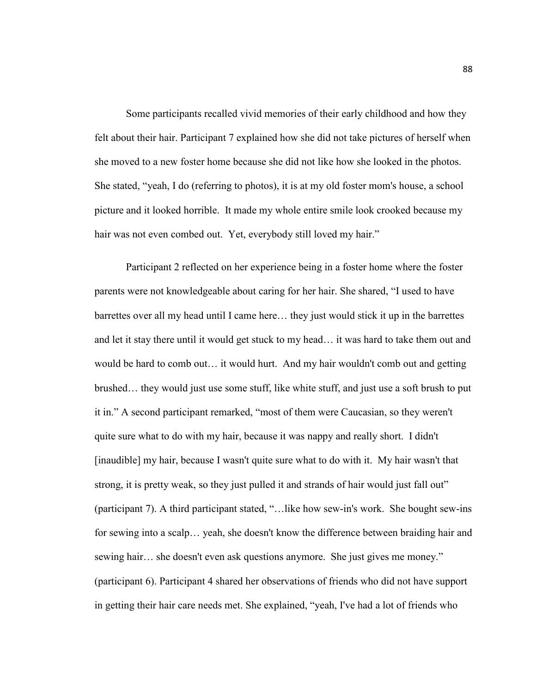Some participants recalled vivid memories of their early childhood and how they felt about their hair. Participant 7 explained how she did not take pictures of herself when she moved to a new foster home because she did not like how she looked in the photos. She stated, "yeah, I do (referring to photos), it is at my old foster mom's house, a school picture and it looked horrible. It made my whole entire smile look crooked because my hair was not even combed out. Yet, everybody still loved my hair."

Participant 2 reflected on her experience being in a foster home where the foster parents were not knowledgeable about caring for her hair. She shared, "I used to have barrettes over all my head until I came here… they just would stick it up in the barrettes and let it stay there until it would get stuck to my head… it was hard to take them out and would be hard to comb out… it would hurt. And my hair wouldn't comb out and getting brushed… they would just use some stuff, like white stuff, and just use a soft brush to put it in." A second participant remarked, "most of them were Caucasian, so they weren't quite sure what to do with my hair, because it was nappy and really short. I didn't [inaudible] my hair, because I wasn't quite sure what to do with it. My hair wasn't that strong, it is pretty weak, so they just pulled it and strands of hair would just fall out" (participant 7). A third participant stated, "…like how sew-in's work. She bought sew-ins for sewing into a scalp… yeah, she doesn't know the difference between braiding hair and sewing hair… she doesn't even ask questions anymore. She just gives me money." (participant 6). Participant 4 shared her observations of friends who did not have support in getting their hair care needs met. She explained, "yeah, I've had a lot of friends who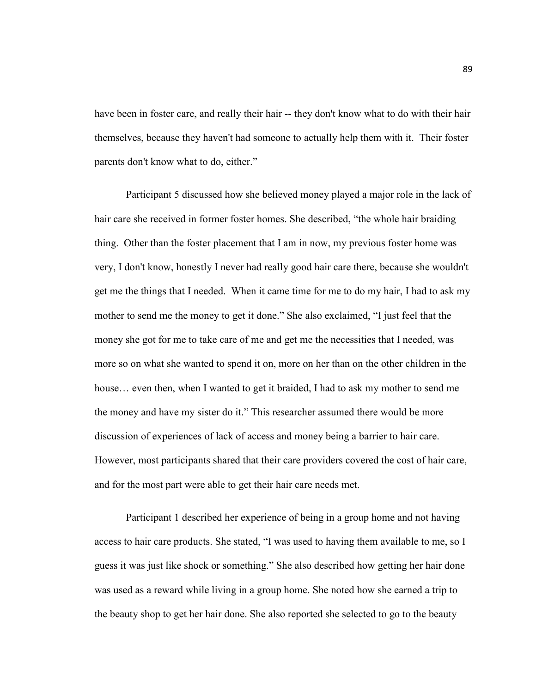have been in foster care, and really their hair -- they don't know what to do with their hair themselves, because they haven't had someone to actually help them with it. Their foster parents don't know what to do, either."

 Participant 5 discussed how she believed money played a major role in the lack of hair care she received in former foster homes. She described, "the whole hair braiding thing. Other than the foster placement that I am in now, my previous foster home was very, I don't know, honestly I never had really good hair care there, because she wouldn't get me the things that I needed. When it came time for me to do my hair, I had to ask my mother to send me the money to get it done." She also exclaimed, "I just feel that the money she got for me to take care of me and get me the necessities that I needed, was more so on what she wanted to spend it on, more on her than on the other children in the house... even then, when I wanted to get it braided, I had to ask my mother to send me the money and have my sister do it." This researcher assumed there would be more discussion of experiences of lack of access and money being a barrier to hair care. However, most participants shared that their care providers covered the cost of hair care, and for the most part were able to get their hair care needs met.

 Participant 1 described her experience of being in a group home and not having access to hair care products. She stated, "I was used to having them available to me, so I guess it was just like shock or something." She also described how getting her hair done was used as a reward while living in a group home. She noted how she earned a trip to the beauty shop to get her hair done. She also reported she selected to go to the beauty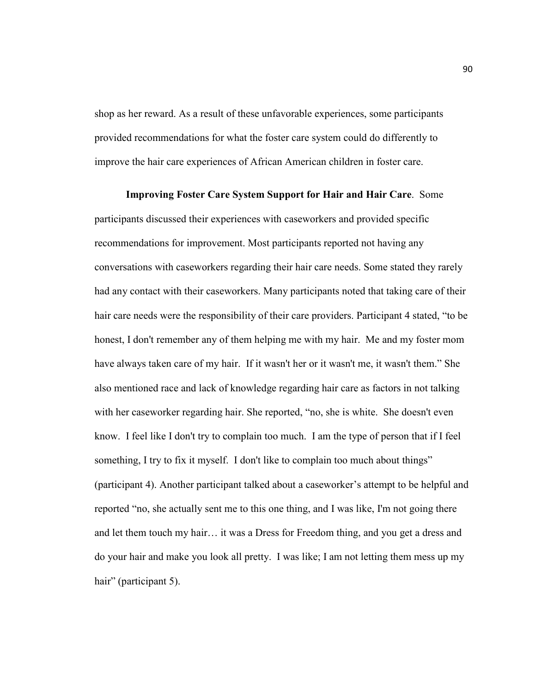shop as her reward. As a result of these unfavorable experiences, some participants provided recommendations for what the foster care system could do differently to improve the hair care experiences of African American children in foster care.

**Improving Foster Care System Support for Hair and Hair Care**. Some participants discussed their experiences with caseworkers and provided specific recommendations for improvement. Most participants reported not having any conversations with caseworkers regarding their hair care needs. Some stated they rarely had any contact with their caseworkers. Many participants noted that taking care of their hair care needs were the responsibility of their care providers. Participant 4 stated, "to be honest, I don't remember any of them helping me with my hair. Me and my foster mom have always taken care of my hair. If it wasn't her or it wasn't me, it wasn't them." She also mentioned race and lack of knowledge regarding hair care as factors in not talking with her caseworker regarding hair. She reported, "no, she is white. She doesn't even know. I feel like I don't try to complain too much. I am the type of person that if I feel something, I try to fix it myself. I don't like to complain too much about things" (participant 4). Another participant talked about a caseworker's attempt to be helpful and reported "no, she actually sent me to this one thing, and I was like, I'm not going there and let them touch my hair… it was a Dress for Freedom thing, and you get a dress and do your hair and make you look all pretty. I was like; I am not letting them mess up my hair" (participant 5).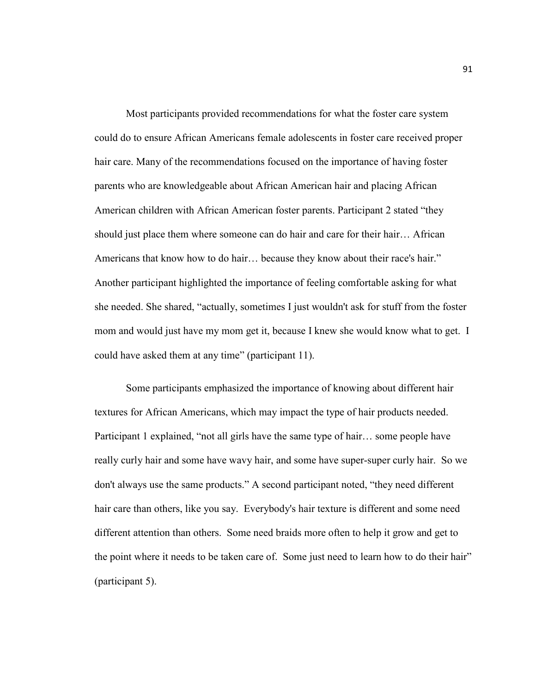Most participants provided recommendations for what the foster care system could do to ensure African Americans female adolescents in foster care received proper hair care. Many of the recommendations focused on the importance of having foster parents who are knowledgeable about African American hair and placing African American children with African American foster parents. Participant 2 stated "they should just place them where someone can do hair and care for their hair… African Americans that know how to do hair… because they know about their race's hair." Another participant highlighted the importance of feeling comfortable asking for what she needed. She shared, "actually, sometimes I just wouldn't ask for stuff from the foster mom and would just have my mom get it, because I knew she would know what to get. I could have asked them at any time" (participant 11).

 Some participants emphasized the importance of knowing about different hair textures for African Americans, which may impact the type of hair products needed. Participant 1 explained, "not all girls have the same type of hair… some people have really curly hair and some have wavy hair, and some have super-super curly hair. So we don't always use the same products." A second participant noted, "they need different hair care than others, like you say. Everybody's hair texture is different and some need different attention than others. Some need braids more often to help it grow and get to the point where it needs to be taken care of. Some just need to learn how to do their hair" (participant 5).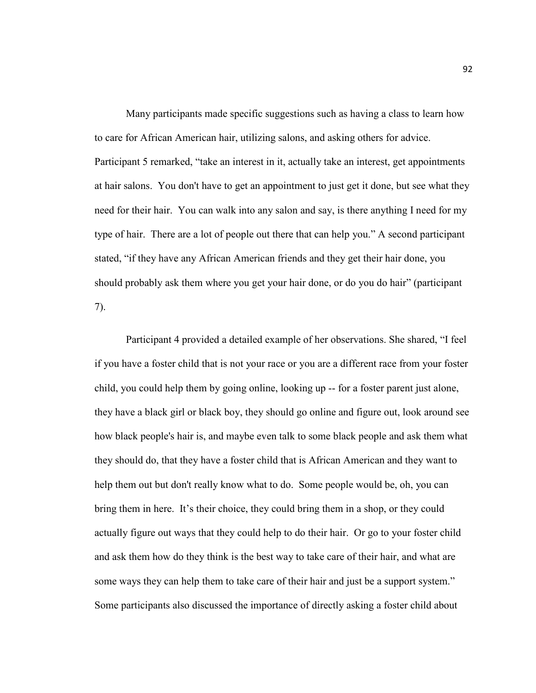Many participants made specific suggestions such as having a class to learn how to care for African American hair, utilizing salons, and asking others for advice. Participant 5 remarked, "take an interest in it, actually take an interest, get appointments at hair salons. You don't have to get an appointment to just get it done, but see what they need for their hair. You can walk into any salon and say, is there anything I need for my type of hair. There are a lot of people out there that can help you." A second participant stated, "if they have any African American friends and they get their hair done, you should probably ask them where you get your hair done, or do you do hair" (participant 7).

 Participant 4 provided a detailed example of her observations. She shared, "I feel if you have a foster child that is not your race or you are a different race from your foster child, you could help them by going online, looking up -- for a foster parent just alone, they have a black girl or black boy, they should go online and figure out, look around see how black people's hair is, and maybe even talk to some black people and ask them what they should do, that they have a foster child that is African American and they want to help them out but don't really know what to do. Some people would be, oh, you can bring them in here. It's their choice, they could bring them in a shop, or they could actually figure out ways that they could help to do their hair. Or go to your foster child and ask them how do they think is the best way to take care of their hair, and what are some ways they can help them to take care of their hair and just be a support system." Some participants also discussed the importance of directly asking a foster child about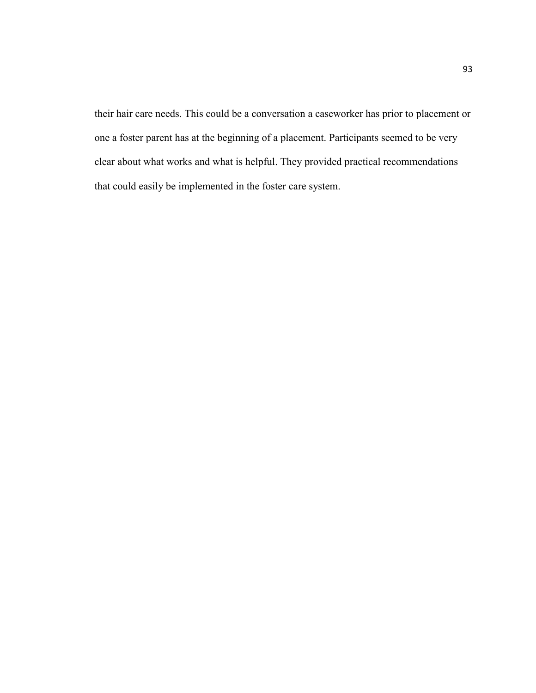their hair care needs. This could be a conversation a caseworker has prior to placement or one a foster parent has at the beginning of a placement. Participants seemed to be very clear about what works and what is helpful. They provided practical recommendations that could easily be implemented in the foster care system.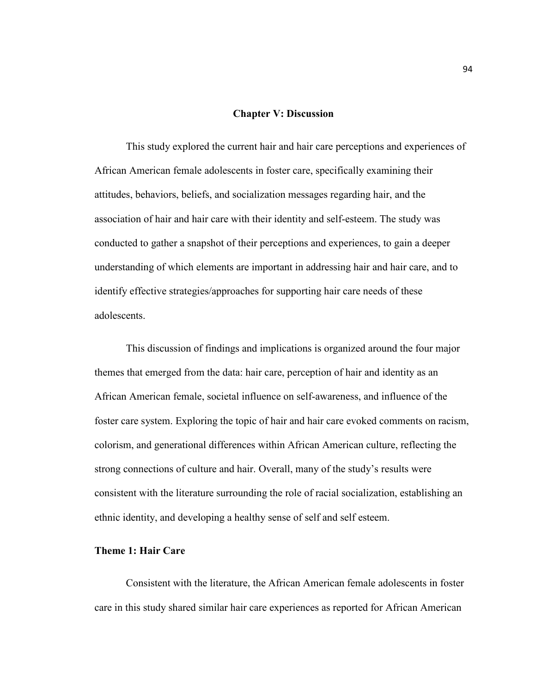#### **Chapter V: Discussion**

 This study explored the current hair and hair care perceptions and experiences of African American female adolescents in foster care, specifically examining their attitudes, behaviors, beliefs, and socialization messages regarding hair, and the association of hair and hair care with their identity and self-esteem. The study was conducted to gather a snapshot of their perceptions and experiences, to gain a deeper understanding of which elements are important in addressing hair and hair care, and to identify effective strategies/approaches for supporting hair care needs of these adolescents.

 This discussion of findings and implications is organized around the four major themes that emerged from the data: hair care, perception of hair and identity as an African American female, societal influence on self-awareness, and influence of the foster care system. Exploring the topic of hair and hair care evoked comments on racism, colorism, and generational differences within African American culture, reflecting the strong connections of culture and hair. Overall, many of the study's results were consistent with the literature surrounding the role of racial socialization, establishing an ethnic identity, and developing a healthy sense of self and self esteem.

# **Theme 1: Hair Care**

 Consistent with the literature, the African American female adolescents in foster care in this study shared similar hair care experiences as reported for African American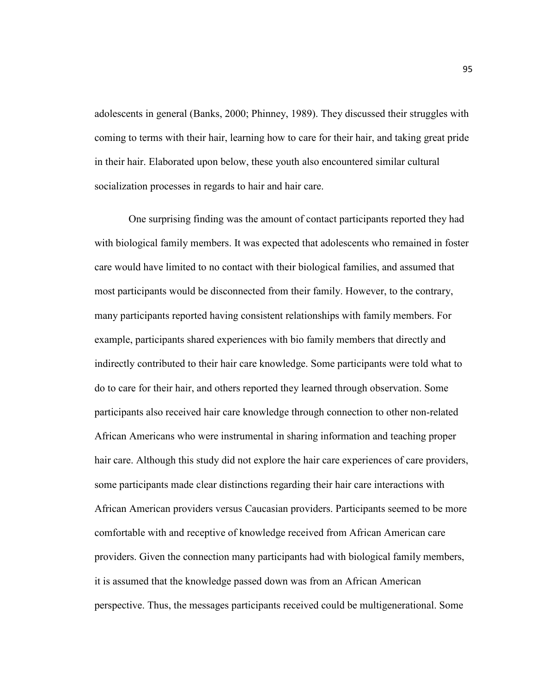adolescents in general (Banks, 2000; Phinney, 1989). They discussed their struggles with coming to terms with their hair, learning how to care for their hair, and taking great pride in their hair. Elaborated upon below, these youth also encountered similar cultural socialization processes in regards to hair and hair care.

 One surprising finding was the amount of contact participants reported they had with biological family members. It was expected that adolescents who remained in foster care would have limited to no contact with their biological families, and assumed that most participants would be disconnected from their family. However, to the contrary, many participants reported having consistent relationships with family members. For example, participants shared experiences with bio family members that directly and indirectly contributed to their hair care knowledge. Some participants were told what to do to care for their hair, and others reported they learned through observation. Some participants also received hair care knowledge through connection to other non-related African Americans who were instrumental in sharing information and teaching proper hair care. Although this study did not explore the hair care experiences of care providers, some participants made clear distinctions regarding their hair care interactions with African American providers versus Caucasian providers. Participants seemed to be more comfortable with and receptive of knowledge received from African American care providers. Given the connection many participants had with biological family members, it is assumed that the knowledge passed down was from an African American perspective. Thus, the messages participants received could be multigenerational. Some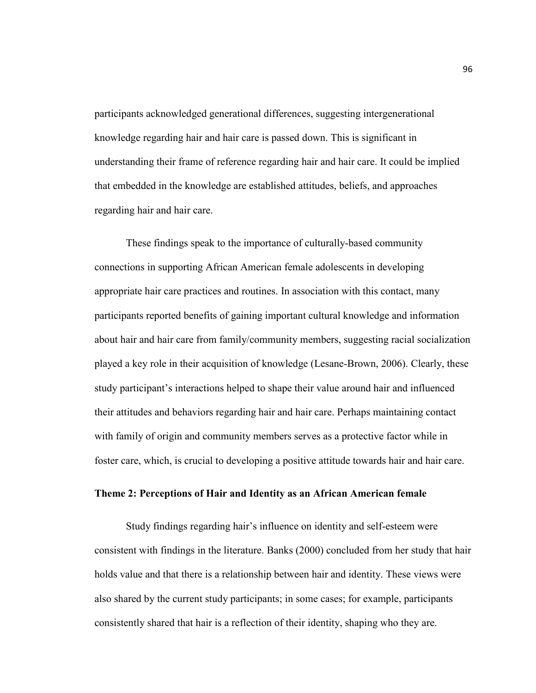participants acknowledged generational differences, suggesting intergenerational knowledge regarding hair and hair care is passed down. This is significant in understanding their frame of reference regarding hair and hair care. It could be implied that embedded in the knowledge are established attitudes, beliefs, and approaches regarding hair and hair care.

These findings speak to the importance of culturally-based community connections in supporting African American female adolescents in developing appropriate hair care practices and routines. In association with this contact, many participants reported benefits of gaining important cultural knowledge and information about hair and hair care from family/community members, suggesting racial socialization played a key role in their acquisition of knowledge (Lesane-Brown, 2006). Clearly, these study participant's interactions helped to shape their value around hair and influenced their attitudes and behaviors regarding hair and hair care. Perhaps maintaining contact with family of origin and community members serves as a protective factor while in foster care, which, is crucial to developing a positive attitude towards hair and hair care.

# **Theme 2: Perceptions of Hair and Identity as an African American female**

 Study findings regarding hair's influence on identity and self-esteem were consistent with findings in the literature. Banks (2000) concluded from her study that hair holds value and that there is a relationship between hair and identity. These views were also shared by the current study participants; in some cases; for example, participants consistently shared that hair is a reflection of their identity, shaping who they are.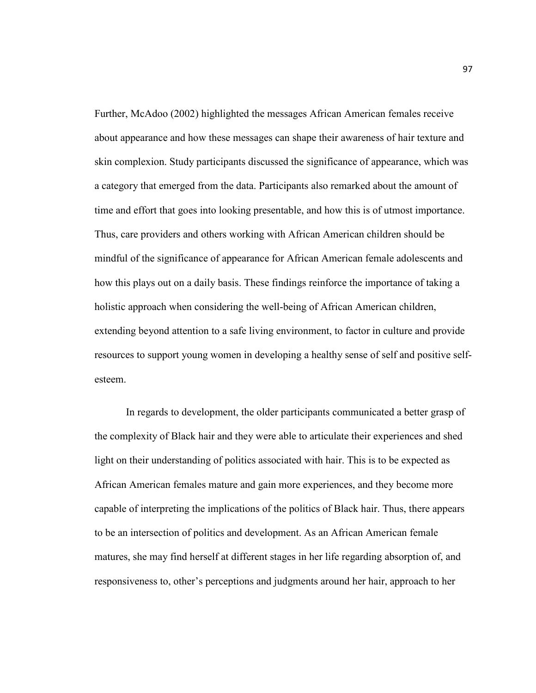Further, McAdoo (2002) highlighted the messages African American females receive about appearance and how these messages can shape their awareness of hair texture and skin complexion. Study participants discussed the significance of appearance, which was a category that emerged from the data. Participants also remarked about the amount of time and effort that goes into looking presentable, and how this is of utmost importance. Thus, care providers and others working with African American children should be mindful of the significance of appearance for African American female adolescents and how this plays out on a daily basis. These findings reinforce the importance of taking a holistic approach when considering the well-being of African American children, extending beyond attention to a safe living environment, to factor in culture and provide resources to support young women in developing a healthy sense of self and positive selfesteem.

 In regards to development, the older participants communicated a better grasp of the complexity of Black hair and they were able to articulate their experiences and shed light on their understanding of politics associated with hair. This is to be expected as African American females mature and gain more experiences, and they become more capable of interpreting the implications of the politics of Black hair. Thus, there appears to be an intersection of politics and development. As an African American female matures, she may find herself at different stages in her life regarding absorption of, and responsiveness to, other's perceptions and judgments around her hair, approach to her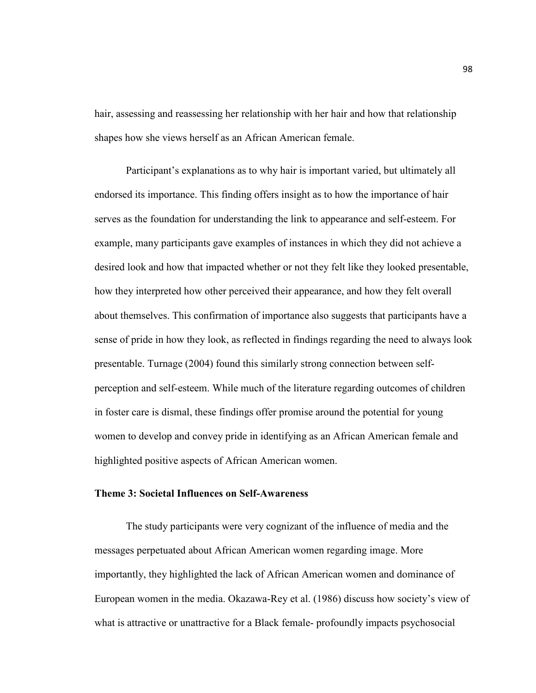hair, assessing and reassessing her relationship with her hair and how that relationship shapes how she views herself as an African American female.

 Participant's explanations as to why hair is important varied, but ultimately all endorsed its importance. This finding offers insight as to how the importance of hair serves as the foundation for understanding the link to appearance and self-esteem. For example, many participants gave examples of instances in which they did not achieve a desired look and how that impacted whether or not they felt like they looked presentable, how they interpreted how other perceived their appearance, and how they felt overall about themselves. This confirmation of importance also suggests that participants have a sense of pride in how they look, as reflected in findings regarding the need to always look presentable. Turnage (2004) found this similarly strong connection between selfperception and self-esteem. While much of the literature regarding outcomes of children in foster care is dismal, these findings offer promise around the potential for young women to develop and convey pride in identifying as an African American female and highlighted positive aspects of African American women.

### **Theme 3: Societal Influences on Self-Awareness**

 The study participants were very cognizant of the influence of media and the messages perpetuated about African American women regarding image. More importantly, they highlighted the lack of African American women and dominance of European women in the media. Okazawa-Rey et al. (1986) discuss how society's view of what is attractive or unattractive for a Black female- profoundly impacts psychosocial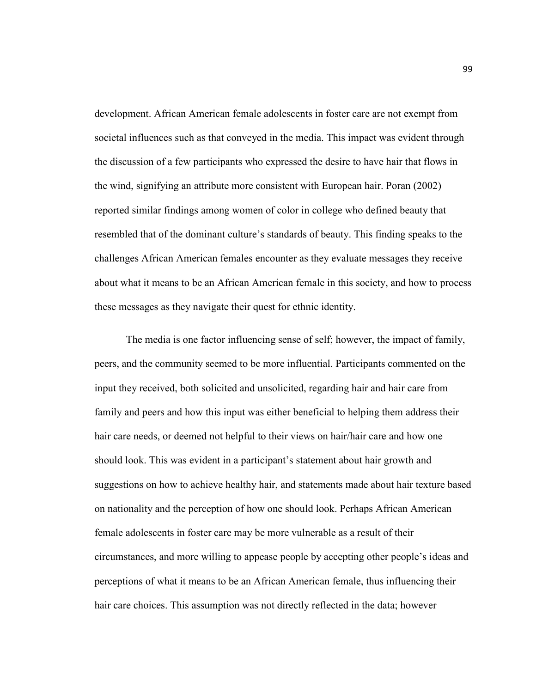development. African American female adolescents in foster care are not exempt from societal influences such as that conveyed in the media. This impact was evident through the discussion of a few participants who expressed the desire to have hair that flows in the wind, signifying an attribute more consistent with European hair. Poran (2002) reported similar findings among women of color in college who defined beauty that resembled that of the dominant culture's standards of beauty. This finding speaks to the challenges African American females encounter as they evaluate messages they receive about what it means to be an African American female in this society, and how to process these messages as they navigate their quest for ethnic identity.

The media is one factor influencing sense of self; however, the impact of family, peers, and the community seemed to be more influential. Participants commented on the input they received, both solicited and unsolicited, regarding hair and hair care from family and peers and how this input was either beneficial to helping them address their hair care needs, or deemed not helpful to their views on hair/hair care and how one should look. This was evident in a participant's statement about hair growth and suggestions on how to achieve healthy hair, and statements made about hair texture based on nationality and the perception of how one should look. Perhaps African American female adolescents in foster care may be more vulnerable as a result of their circumstances, and more willing to appease people by accepting other people's ideas and perceptions of what it means to be an African American female, thus influencing their hair care choices. This assumption was not directly reflected in the data; however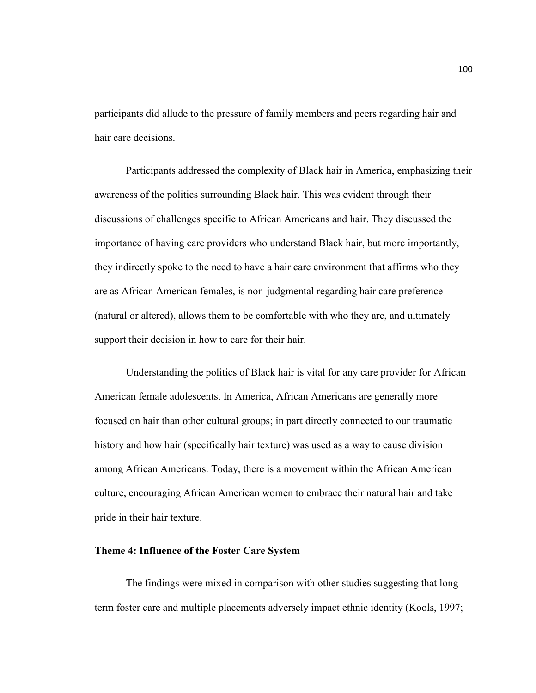participants did allude to the pressure of family members and peers regarding hair and hair care decisions.

Participants addressed the complexity of Black hair in America, emphasizing their awareness of the politics surrounding Black hair. This was evident through their discussions of challenges specific to African Americans and hair. They discussed the importance of having care providers who understand Black hair, but more importantly, they indirectly spoke to the need to have a hair care environment that affirms who they are as African American females, is non-judgmental regarding hair care preference (natural or altered), allows them to be comfortable with who they are, and ultimately support their decision in how to care for their hair.

Understanding the politics of Black hair is vital for any care provider for African American female adolescents. In America, African Americans are generally more focused on hair than other cultural groups; in part directly connected to our traumatic history and how hair (specifically hair texture) was used as a way to cause division among African Americans. Today, there is a movement within the African American culture, encouraging African American women to embrace their natural hair and take pride in their hair texture.

# **Theme 4: Influence of the Foster Care System**

The findings were mixed in comparison with other studies suggesting that longterm foster care and multiple placements adversely impact ethnic identity (Kools, 1997;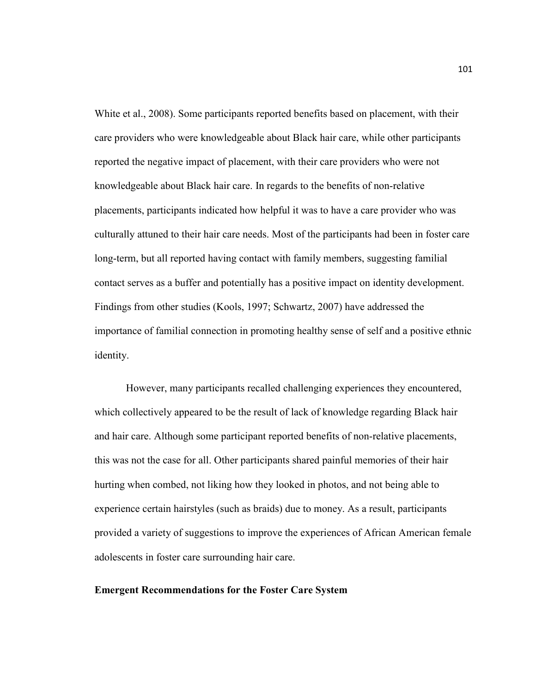White et al., 2008). Some participants reported benefits based on placement, with their care providers who were knowledgeable about Black hair care, while other participants reported the negative impact of placement, with their care providers who were not knowledgeable about Black hair care. In regards to the benefits of non-relative placements, participants indicated how helpful it was to have a care provider who was culturally attuned to their hair care needs. Most of the participants had been in foster care long-term, but all reported having contact with family members, suggesting familial contact serves as a buffer and potentially has a positive impact on identity development. Findings from other studies (Kools, 1997; Schwartz, 2007) have addressed the importance of familial connection in promoting healthy sense of self and a positive ethnic identity.

However, many participants recalled challenging experiences they encountered, which collectively appeared to be the result of lack of knowledge regarding Black hair and hair care. Although some participant reported benefits of non-relative placements, this was not the case for all. Other participants shared painful memories of their hair hurting when combed, not liking how they looked in photos, and not being able to experience certain hairstyles (such as braids) due to money. As a result, participants provided a variety of suggestions to improve the experiences of African American female adolescents in foster care surrounding hair care.

#### **Emergent Recommendations for the Foster Care System**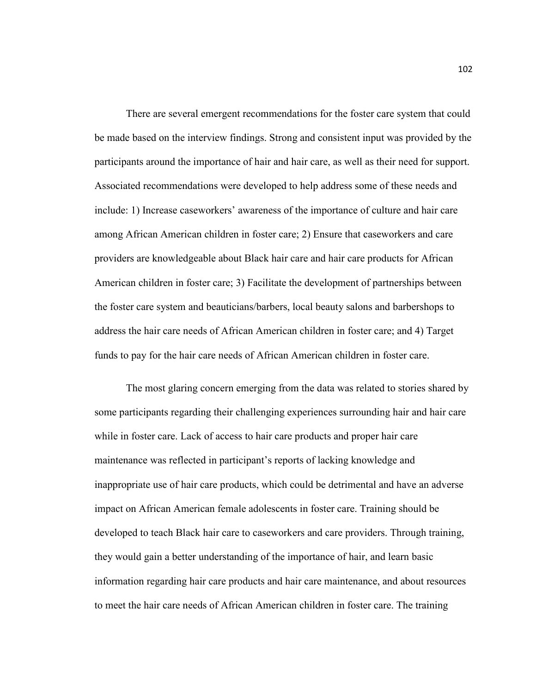There are several emergent recommendations for the foster care system that could be made based on the interview findings. Strong and consistent input was provided by the participants around the importance of hair and hair care, as well as their need for support. Associated recommendations were developed to help address some of these needs and include: 1) Increase caseworkers' awareness of the importance of culture and hair care among African American children in foster care; 2) Ensure that caseworkers and care providers are knowledgeable about Black hair care and hair care products for African American children in foster care; 3) Facilitate the development of partnerships between the foster care system and beauticians/barbers, local beauty salons and barbershops to address the hair care needs of African American children in foster care; and 4) Target funds to pay for the hair care needs of African American children in foster care.

The most glaring concern emerging from the data was related to stories shared by some participants regarding their challenging experiences surrounding hair and hair care while in foster care. Lack of access to hair care products and proper hair care maintenance was reflected in participant's reports of lacking knowledge and inappropriate use of hair care products, which could be detrimental and have an adverse impact on African American female adolescents in foster care. Training should be developed to teach Black hair care to caseworkers and care providers. Through training, they would gain a better understanding of the importance of hair, and learn basic information regarding hair care products and hair care maintenance, and about resources to meet the hair care needs of African American children in foster care. The training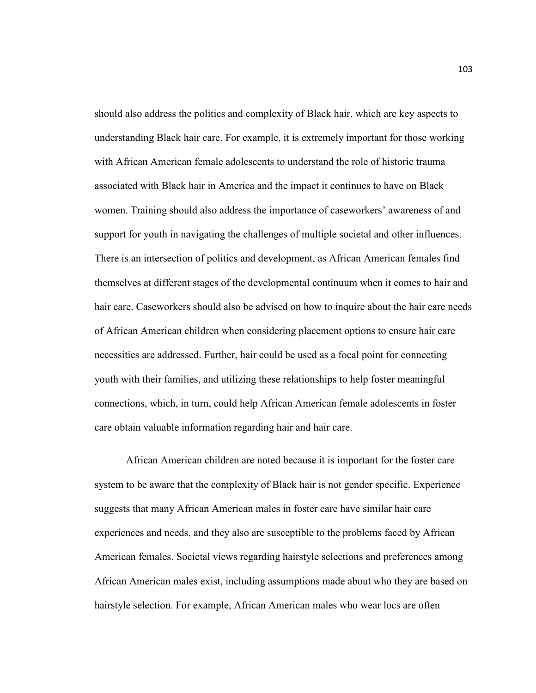should also address the politics and complexity of Black hair, which are key aspects to understanding Black hair care. For example, it is extremely important for those working with African American female adolescents to understand the role of historic trauma associated with Black hair in America and the impact it continues to have on Black women. Training should also address the importance of caseworkers' awareness of and support for youth in navigating the challenges of multiple societal and other influences. There is an intersection of politics and development, as African American females find themselves at different stages of the developmental continuum when it comes to hair and hair care. Caseworkers should also be advised on how to inquire about the hair care needs of African American children when considering placement options to ensure hair care necessities are addressed. Further, hair could be used as a focal point for connecting youth with their families, and utilizing these relationships to help foster meaningful connections, which, in turn, could help African American female adolescents in foster care obtain valuable information regarding hair and hair care.

African American children are noted because it is important for the foster care system to be aware that the complexity of Black hair is not gender specific. Experience suggests that many African American males in foster care have similar hair care experiences and needs, and they also are susceptible to the problems faced by African American females. Societal views regarding hairstyle selections and preferences among African American males exist, including assumptions made about who they are based on hairstyle selection. For example, African American males who wear locs are often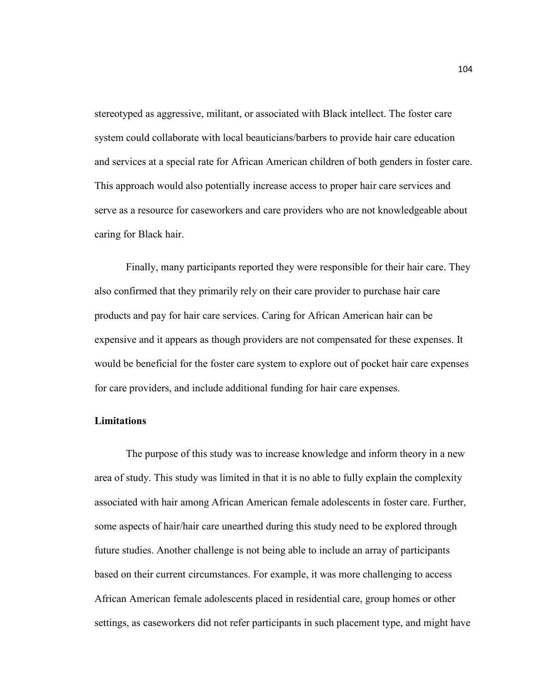stereotyped as aggressive, militant, or associated with Black intellect. The foster care system could collaborate with local beauticians/barbers to provide hair care education and services at a special rate for African American children of both genders in foster care. This approach would also potentially increase access to proper hair care services and serve as a resource for caseworkers and care providers who are not knowledgeable about caring for Black hair.

Finally, many participants reported they were responsible for their hair care. They also confirmed that they primarily rely on their care provider to purchase hair care products and pay for hair care services. Caring for African American hair can be expensive and it appears as though providers are not compensated for these expenses. It would be beneficial for the foster care system to explore out of pocket hair care expenses for care providers, and include additional funding for hair care expenses.

### **Limitations**

The purpose of this study was to increase knowledge and inform theory in a new area of study. This study was limited in that it is no able to fully explain the complexity associated with hair among African American female adolescents in foster care. Further, some aspects of hair/hair care unearthed during this study need to be explored through future studies. Another challenge is not being able to include an array of participants based on their current circumstances. For example, it was more challenging to access African American female adolescents placed in residential care, group homes or other settings, as caseworkers did not refer participants in such placement type, and might have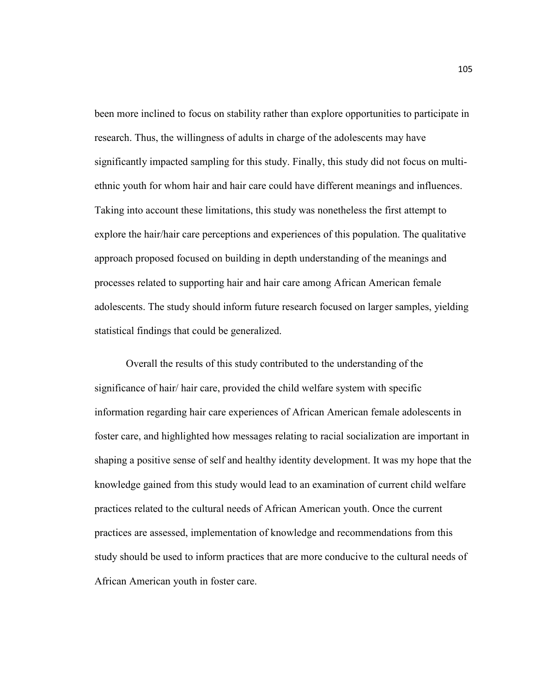been more inclined to focus on stability rather than explore opportunities to participate in research. Thus, the willingness of adults in charge of the adolescents may have significantly impacted sampling for this study. Finally, this study did not focus on multiethnic youth for whom hair and hair care could have different meanings and influences. Taking into account these limitations, this study was nonetheless the first attempt to explore the hair/hair care perceptions and experiences of this population. The qualitative approach proposed focused on building in depth understanding of the meanings and processes related to supporting hair and hair care among African American female adolescents. The study should inform future research focused on larger samples, yielding statistical findings that could be generalized.

Overall the results of this study contributed to the understanding of the significance of hair/ hair care, provided the child welfare system with specific information regarding hair care experiences of African American female adolescents in foster care, and highlighted how messages relating to racial socialization are important in shaping a positive sense of self and healthy identity development. It was my hope that the knowledge gained from this study would lead to an examination of current child welfare practices related to the cultural needs of African American youth. Once the current practices are assessed, implementation of knowledge and recommendations from this study should be used to inform practices that are more conducive to the cultural needs of African American youth in foster care.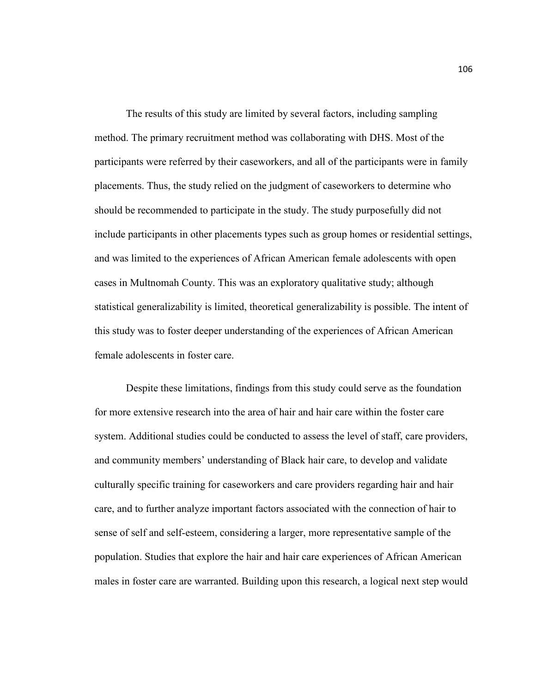The results of this study are limited by several factors, including sampling method. The primary recruitment method was collaborating with DHS. Most of the participants were referred by their caseworkers, and all of the participants were in family placements. Thus, the study relied on the judgment of caseworkers to determine who should be recommended to participate in the study. The study purposefully did not include participants in other placements types such as group homes or residential settings, and was limited to the experiences of African American female adolescents with open cases in Multnomah County. This was an exploratory qualitative study; although statistical generalizability is limited, theoretical generalizability is possible. The intent of this study was to foster deeper understanding of the experiences of African American female adolescents in foster care.

 Despite these limitations, findings from this study could serve as the foundation for more extensive research into the area of hair and hair care within the foster care system. Additional studies could be conducted to assess the level of staff, care providers, and community members' understanding of Black hair care, to develop and validate culturally specific training for caseworkers and care providers regarding hair and hair care, and to further analyze important factors associated with the connection of hair to sense of self and self-esteem, considering a larger, more representative sample of the population. Studies that explore the hair and hair care experiences of African American males in foster care are warranted. Building upon this research, a logical next step would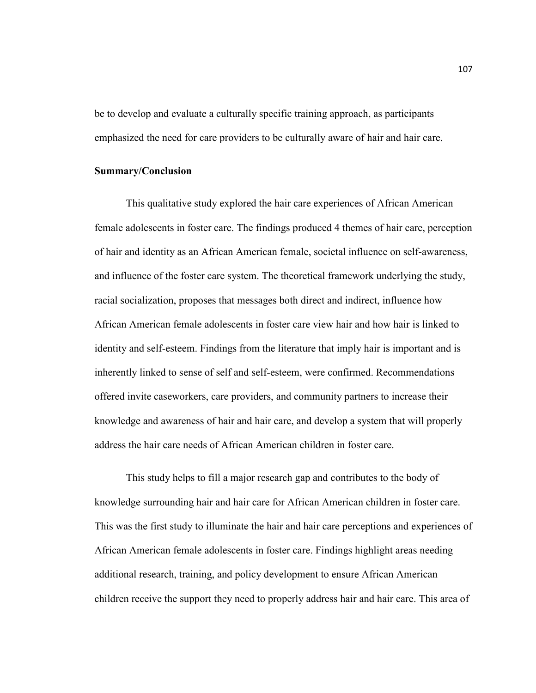be to develop and evaluate a culturally specific training approach, as participants emphasized the need for care providers to be culturally aware of hair and hair care.

#### **Summary/Conclusion**

 This qualitative study explored the hair care experiences of African American female adolescents in foster care. The findings produced 4 themes of hair care, perception of hair and identity as an African American female, societal influence on self-awareness, and influence of the foster care system. The theoretical framework underlying the study, racial socialization, proposes that messages both direct and indirect, influence how African American female adolescents in foster care view hair and how hair is linked to identity and self-esteem. Findings from the literature that imply hair is important and is inherently linked to sense of self and self-esteem, were confirmed. Recommendations offered invite caseworkers, care providers, and community partners to increase their knowledge and awareness of hair and hair care, and develop a system that will properly address the hair care needs of African American children in foster care.

 This study helps to fill a major research gap and contributes to the body of knowledge surrounding hair and hair care for African American children in foster care. This was the first study to illuminate the hair and hair care perceptions and experiences of African American female adolescents in foster care. Findings highlight areas needing additional research, training, and policy development to ensure African American children receive the support they need to properly address hair and hair care. This area of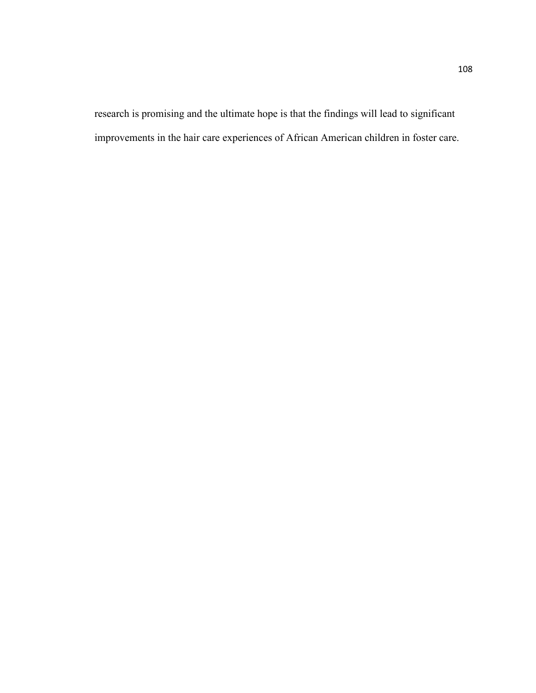research is promising and the ultimate hope is that the findings will lead to significant improvements in the hair care experiences of African American children in foster care.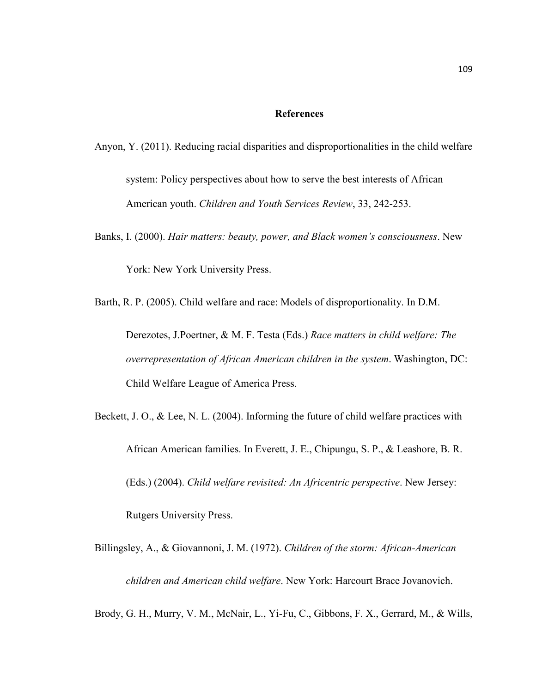#### **References**

- Anyon, Y. (2011). Reducing racial disparities and disproportionalities in the child welfare system: Policy perspectives about how to serve the best interests of African American youth. *Children and Youth Services Review*, 33, 242-253.
- Banks, I. (2000). *Hair matters: beauty, power, and Black women's consciousness*. New

York: New York University Press.

Barth, R. P. (2005). Child welfare and race: Models of disproportionality. In D.M.

Derezotes, J.Poertner, & M. F. Testa (Eds.) *Race matters in child welfare: The overrepresentation of African American children in the system*. Washington, DC: Child Welfare League of America Press.

Beckett, J. O., & Lee, N. L. (2004). Informing the future of child welfare practices with African American families. In Everett, J. E., Chipungu, S. P., & Leashore, B. R. (Eds.) (2004). *Child welfare revisited: An Africentric perspective*. New Jersey: Rutgers University Press.

Billingsley, A., & Giovannoni, J. M. (1972). *Children of the storm: African-American children and American child welfare*. New York: Harcourt Brace Jovanovich.

Brody, G. H., Murry, V. M., McNair, L., Yi-Fu, C., Gibbons, F. X., Gerrard, M., & Wills,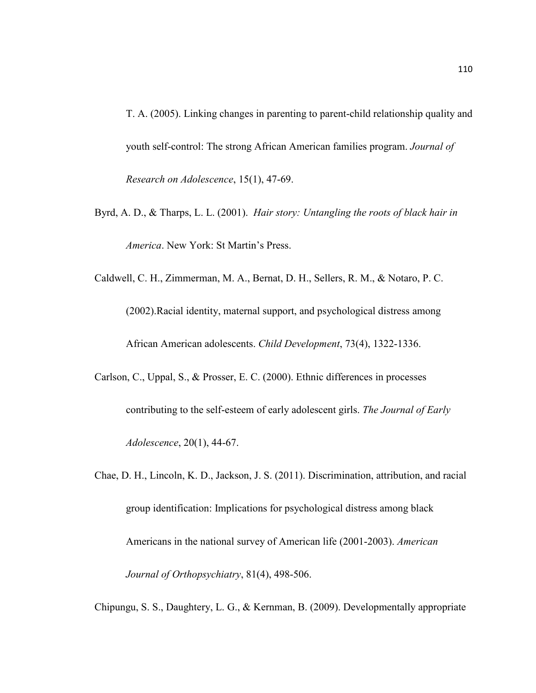T. A. (2005). Linking changes in parenting to parent-child relationship quality and youth self-control: The strong African American families program. *Journal of Research on Adolescence*, 15(1), 47-69.

Byrd, A. D., & Tharps, L. L. (2001). *Hair story: Untangling the roots of black hair in America*. New York: St Martin's Press.

Caldwell, C. H., Zimmerman, M. A., Bernat, D. H., Sellers, R. M., & Notaro, P. C.

(2002).Racial identity, maternal support, and psychological distress among African American adolescents. *Child Development*, 73(4), 1322-1336.

Carlson, C., Uppal, S., & Prosser, E. C. (2000). Ethnic differences in processes contributing to the self-esteem of early adolescent girls. *The Journal of Early Adolescence*, 20(1), 44-67.

Chae, D. H., Lincoln, K. D., Jackson, J. S. (2011). Discrimination, attribution, and racial group identification: Implications for psychological distress among black Americans in the national survey of American life (2001-2003). *American Journal of Orthopsychiatry*, 81(4), 498-506.

Chipungu, S. S., Daughtery, L. G., & Kernman, B. (2009). Developmentally appropriate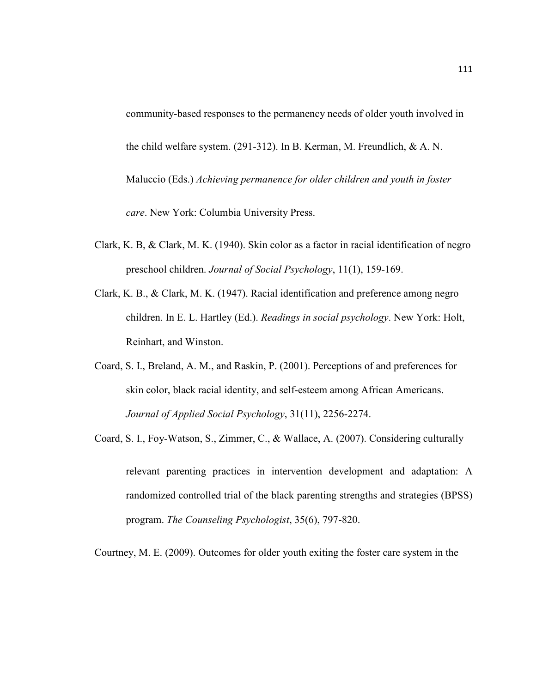community-based responses to the permanency needs of older youth involved in the child welfare system. (291-312). In B. Kerman, M. Freundlich, & A. N. Maluccio (Eds.) *Achieving permanence for older children and youth in foster care*. New York: Columbia University Press.

- Clark, K. B, & Clark, M. K. (1940). Skin color as a factor in racial identification of negro preschool children. *Journal of Social Psychology*, 11(1), 159-169.
- Clark, K. B., & Clark, M. K. (1947). Racial identification and preference among negro children. In E. L. Hartley (Ed.). *Readings in social psychology*. New York: Holt, Reinhart, and Winston.
- Coard, S. I., Breland, A. M., and Raskin, P. (2001). Perceptions of and preferences for skin color, black racial identity, and self-esteem among African Americans. *Journal of Applied Social Psychology*, 31(11), 2256-2274.
- Coard, S. I., Foy-Watson, S., Zimmer, C., & Wallace, A. (2007). Considering culturally relevant parenting practices in intervention development and adaptation: A randomized controlled trial of the black parenting strengths and strategies (BPSS) program. *The Counseling Psychologist*, 35(6), 797-820.

Courtney, M. E. (2009). Outcomes for older youth exiting the foster care system in the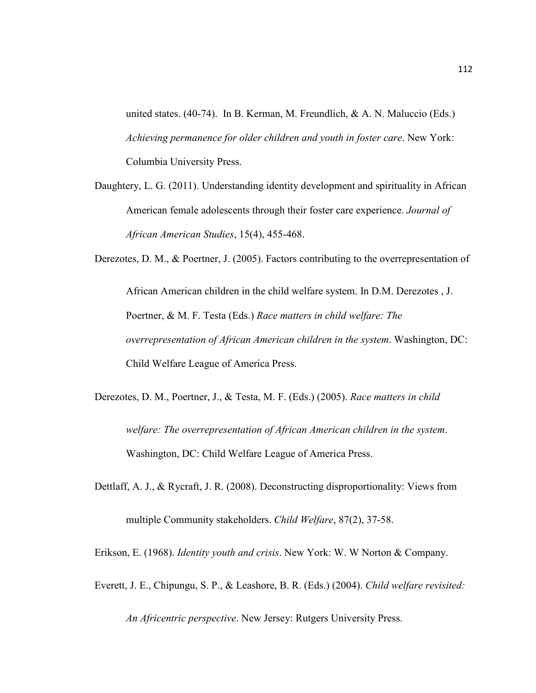united states. (40-74). In B. Kerman, M. Freundlich, & A. N. Maluccio (Eds.) *Achieving permanence for older children and youth in foster care*. New York: Columbia University Press.

Daughtery, L. G. (2011). Understanding identity development and spirituality in African American female adolescents through their foster care experience. *Journal of African American Studies*, 15(4), 455-468.

Derezotes, D. M., & Poertner, J. (2005). Factors contributing to the overrepresentation of

African American children in the child welfare system. In D.M. Derezotes , J. Poertner, & M. F. Testa (Eds.) *Race matters in child welfare: The overrepresentation of African American children in the system*. Washington, DC: Child Welfare League of America Press.

- Derezotes, D. M., Poertner, J., & Testa, M. F. (Eds.) (2005). *Race matters in child welfare: The overrepresentation of African American children in the system*. Washington, DC: Child Welfare League of America Press.
- Dettlaff, A. J., & Rycraft, J. R. (2008). Deconstructing disproportionality: Views from multiple Community stakeholders. *Child Welfare*, 87(2), 37-58.

Erikson, E. (1968). *Identity youth and crisis*. New York: W. W Norton & Company.

Everett, J. E., Chipungu, S. P., & Leashore, B. R. (Eds.) (2004). *Child welfare revisited:* 

*An Africentric perspective*. New Jersey: Rutgers University Press.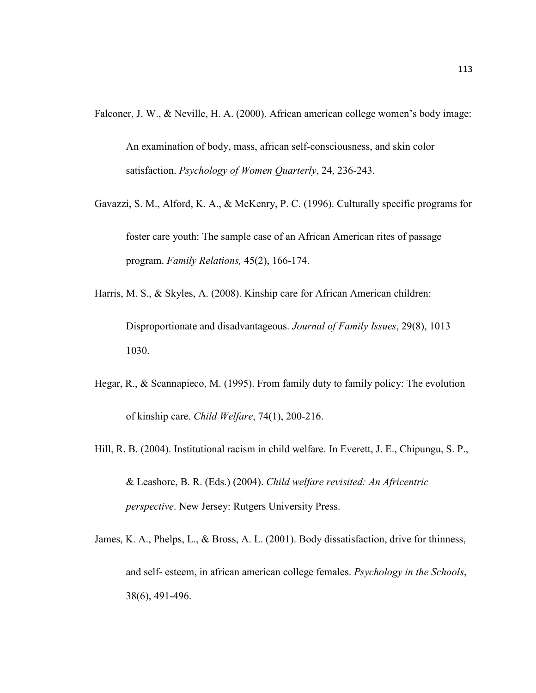Falconer, J. W., & Neville, H. A. (2000). African american college women's body image:

An examination of body, mass, african self-consciousness, and skin color satisfaction. *Psychology of Women Quarterly*, 24, 236-243.

Gavazzi, S. M., Alford, K. A., & McKenry, P. C. (1996). Culturally specific programs for foster care youth: The sample case of an African American rites of passage program. *Family Relations,* 45(2), 166-174.

Harris, M. S., & Skyles, A. (2008). Kinship care for African American children: Disproportionate and disadvantageous. *Journal of Family Issues*, 29(8), 1013 1030.

- Hegar, R., & Scannapieco, M. (1995). From family duty to family policy: The evolution of kinship care. *Child Welfare*, 74(1), 200-216.
- Hill, R. B. (2004). Institutional racism in child welfare. In Everett, J. E., Chipungu, S. P., & Leashore, B. R. (Eds.) (2004). *Child welfare revisited: An Africentric perspective*. New Jersey: Rutgers University Press.
- James, K. A., Phelps, L., & Bross, A. L. (2001). Body dissatisfaction, drive for thinness, and self- esteem, in african american college females. *Psychology in the Schools*, 38(6), 491-496.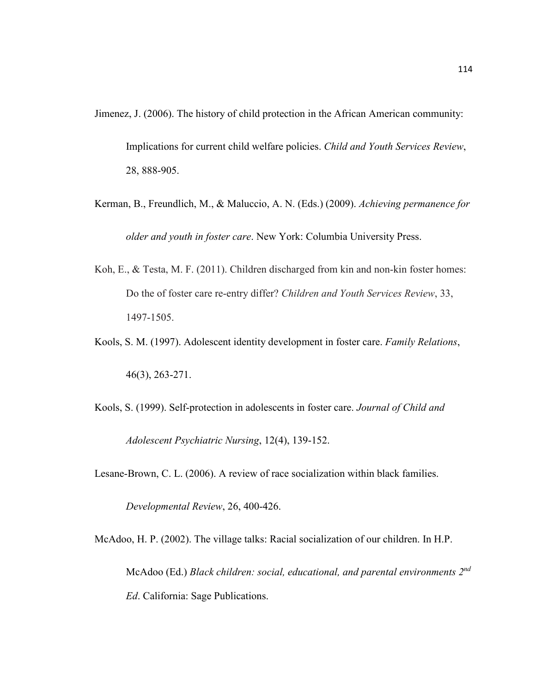Jimenez, J. (2006). The history of child protection in the African American community: Implications for current child welfare policies. *Child and Youth Services Review*, 28, 888-905.

- Kerman, B., Freundlich, M., & Maluccio, A. N. (Eds.) (2009). *Achieving permanence for older and youth in foster care*. New York: Columbia University Press.
- Koh, E., & Testa, M. F. (2011). Children discharged from kin and non-kin foster homes: Do the of foster care re-entry differ? *Children and Youth Services Review*, 33, 1497-1505.
- Kools, S. M. (1997). Adolescent identity development in foster care. *Family Relations*, 46(3), 263-271.
- Kools, S. (1999). Self-protection in adolescents in foster care. *Journal of Child and Adolescent Psychiatric Nursing*, 12(4), 139-152.

Lesane-Brown, C. L. (2006). A review of race socialization within black families.

*Developmental Review*, 26, 400-426.

McAdoo, H. P. (2002). The village talks: Racial socialization of our children. In H.P. McAdoo (Ed.) *Black children: social, educational, and parental environments 2nd Ed*. California: Sage Publications.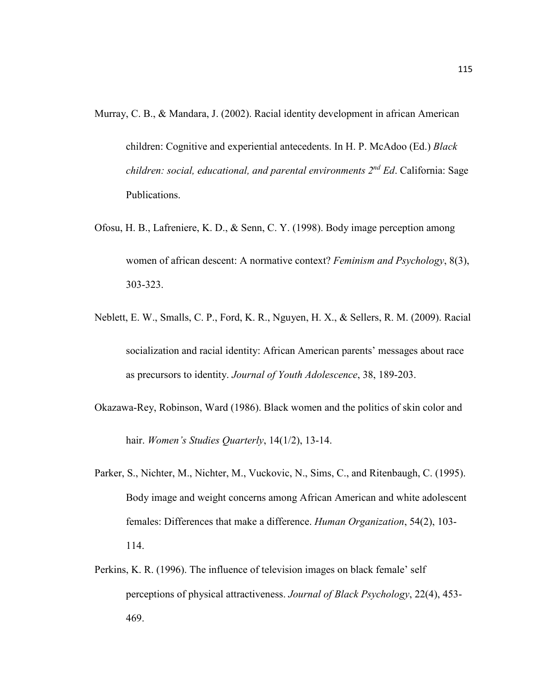Murray, C. B., & Mandara, J. (2002). Racial identity development in african American

children: Cognitive and experiential antecedents. In H. P. McAdoo (Ed.) *Black children: social, educational, and parental environments 2nd Ed*. California: Sage Publications.

- Ofosu, H. B., Lafreniere, K. D., & Senn, C. Y. (1998). Body image perception among women of african descent: A normative context? *Feminism and Psychology*, 8(3), 303-323.
- Neblett, E. W., Smalls, C. P., Ford, K. R., Nguyen, H. X., & Sellers, R. M. (2009). Racial socialization and racial identity: African American parents' messages about race as precursors to identity. *Journal of Youth Adolescence*, 38, 189-203.
- Okazawa-Rey, Robinson, Ward (1986). Black women and the politics of skin color and hair. *Women's Studies Quarterly*, 14(1/2), 13-14.
- Parker, S., Nichter, M., Nichter, M., Vuckovic, N., Sims, C., and Ritenbaugh, C. (1995). Body image and weight concerns among African American and white adolescent females: Differences that make a difference. *Human Organization*, 54(2), 103- 114.
- Perkins, K. R. (1996). The influence of television images on black female' self perceptions of physical attractiveness. *Journal of Black Psychology*, 22(4), 453- 469.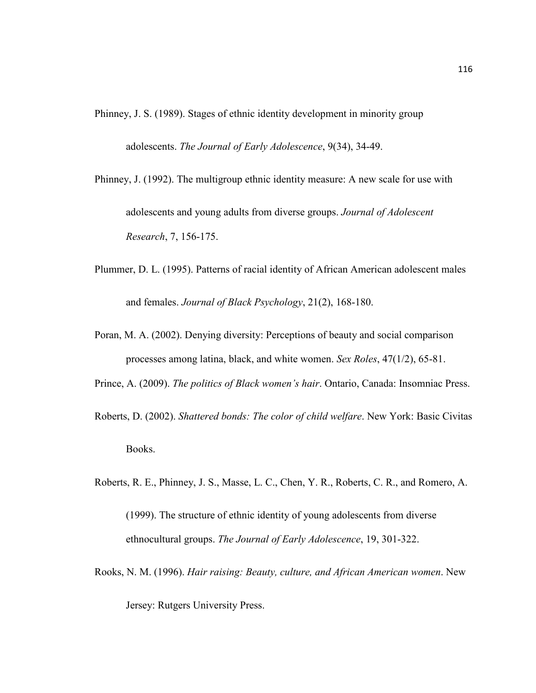Phinney, J. S. (1989). Stages of ethnic identity development in minority group

adolescents. *The Journal of Early Adolescence*, 9(34), 34-49.

- Phinney, J. (1992). The multigroup ethnic identity measure: A new scale for use with adolescents and young adults from diverse groups. *Journal of Adolescent Research*, 7, 156-175.
- Plummer, D. L. (1995). Patterns of racial identity of African American adolescent males and females. *Journal of Black Psychology*, 21(2), 168-180.
- Poran, M. A. (2002). Denying diversity: Perceptions of beauty and social comparison processes among latina, black, and white women. *Sex Roles*, 47(1/2), 65-81.
- Prince, A. (2009). *The politics of Black women's hair*. Ontario, Canada: Insomniac Press.
- Roberts, D. (2002). *Shattered bonds: The color of child welfare*. New York: Basic Civitas Books.
- Roberts, R. E., Phinney, J. S., Masse, L. C., Chen, Y. R., Roberts, C. R., and Romero, A.
	- (1999). The structure of ethnic identity of young adolescents from diverse ethnocultural groups. *The Journal of Early Adolescence*, 19, 301-322.
- Rooks, N. M. (1996). *Hair raising: Beauty, culture, and African American women*. New

Jersey: Rutgers University Press.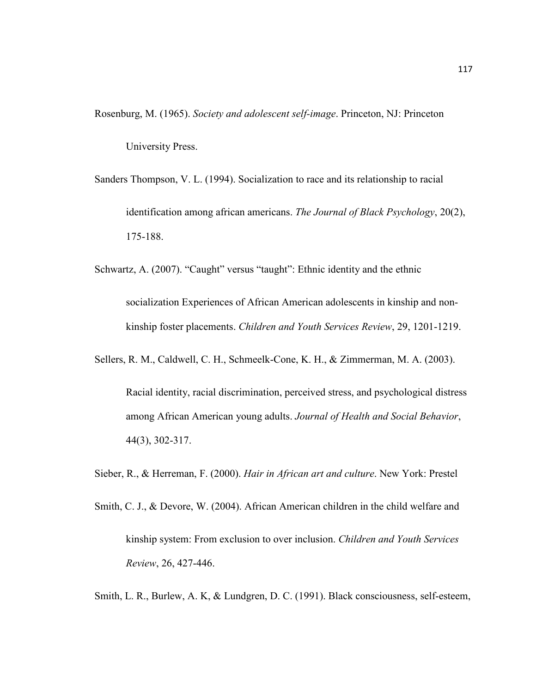Rosenburg, M. (1965). *Society and adolescent self-image*. Princeton, NJ: Princeton University Press.

Sanders Thompson, V. L. (1994). Socialization to race and its relationship to racial identification among african americans. *The Journal of Black Psychology*, 20(2), 175-188.

Schwartz, A. (2007). "Caught" versus "taught": Ethnic identity and the ethnic socialization Experiences of African American adolescents in kinship and nonkinship foster placements. *Children and Youth Services Review*, 29, 1201-1219.

Sellers, R. M., Caldwell, C. H., Schmeelk-Cone, K. H., & Zimmerman, M. A. (2003).

Racial identity, racial discrimination, perceived stress, and psychological distress among African American young adults. *Journal of Health and Social Behavior*, 44(3), 302-317.

Sieber, R., & Herreman, F. (2000). *Hair in African art and culture*. New York: Prestel

Smith, C. J., & Devore, W. (2004). African American children in the child welfare and kinship system: From exclusion to over inclusion. *Children and Youth Services Review*, 26, 427-446.

Smith, L. R., Burlew, A. K, & Lundgren, D. C. (1991). Black consciousness, self-esteem,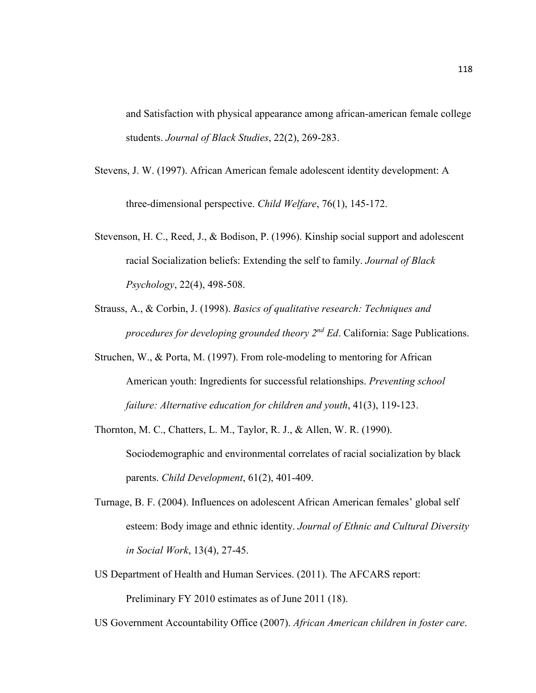and Satisfaction with physical appearance among african-american female college students. *Journal of Black Studies*, 22(2), 269-283.

- Stevens, J. W. (1997). African American female adolescent identity development: A three-dimensional perspective. *Child Welfare*, 76(1), 145-172.
- Stevenson, H. C., Reed, J., & Bodison, P. (1996). Kinship social support and adolescent racial Socialization beliefs: Extending the self to family. *Journal of Black Psychology*, 22(4), 498-508.
- Strauss, A., & Corbin, J. (1998). *Basics of qualitative research: Techniques and procedures for developing grounded theory 2nd Ed*. California: Sage Publications.
- Struchen, W., & Porta, M. (1997). From role-modeling to mentoring for African American youth: Ingredients for successful relationships. *Preventing school failure: Alternative education for children and youth*, 41(3), 119-123.
- Thornton, M. C., Chatters, L. M., Taylor, R. J., & Allen, W. R. (1990). Sociodemographic and environmental correlates of racial socialization by black parents. *Child Development*, 61(2), 401-409.
- Turnage, B. F. (2004). Influences on adolescent African American females' global self esteem: Body image and ethnic identity. *Journal of Ethnic and Cultural Diversity in Social Work*, 13(4), 27-45.
- US Department of Health and Human Services. (2011). The AFCARS report: Preliminary FY 2010 estimates as of June 2011 (18).
- US Government Accountability Office (2007). *African American children in foster care*.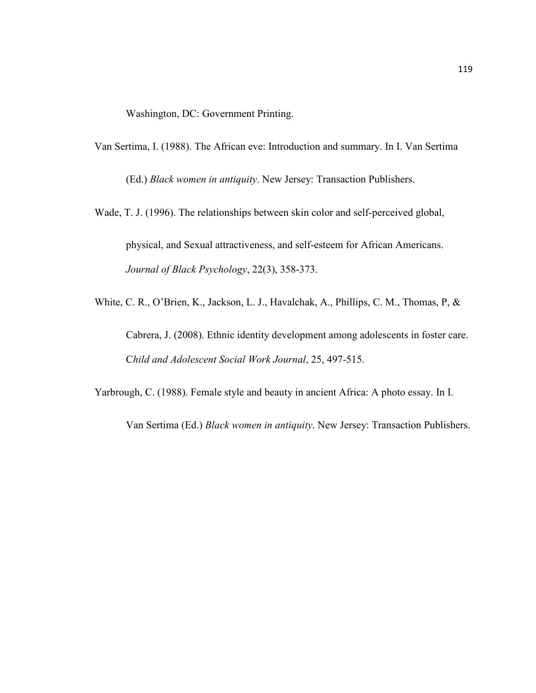Washington, DC: Government Printing.

Van Sertima, I. (1988). The African eve: Introduction and summary. In I. Van Sertima

(Ed.) *Black women in antiquity*. New Jersey: Transaction Publishers.

Wade, T. J. (1996). The relationships between skin color and self-perceived global,

physical, and Sexual attractiveness, and self-esteem for African Americans. *Journal of Black Psychology*, 22(3), 358-373.

White, C. R., O'Brien, K., Jackson, L. J., Havalchak, A., Phillips, C. M., Thomas, P, &

Cabrera, J. (2008). Ethnic identity development among adolescents in foster care. C*hild and Adolescent Social Work Journal*, 25, 497-515.

Yarbrough, C. (1988). Female style and beauty in ancient Africa: A photo essay. In I.

Van Sertima (Ed.) *Black women in antiquity*. New Jersey: Transaction Publishers.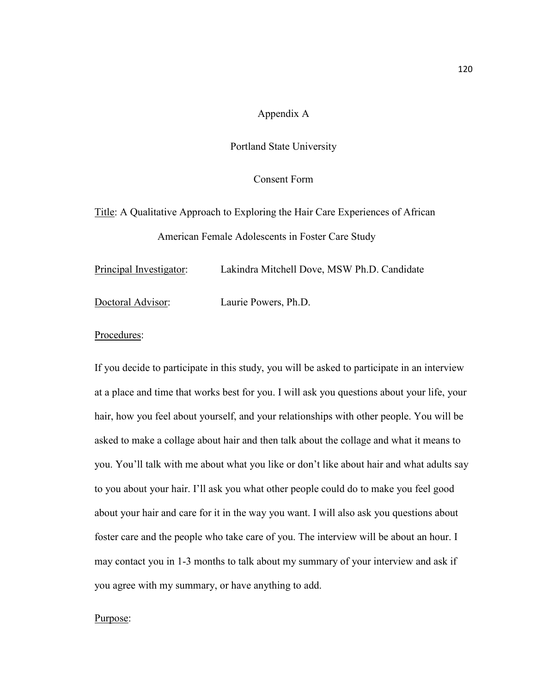### Appendix A

#### Portland State University

# Consent Form

Title: A Qualitative Approach to Exploring the Hair Care Experiences of African American Female Adolescents in Foster Care Study

Principal Investigator: Lakindra Mitchell Dove, MSW Ph.D. Candidate Doctoral Advisor: Laurie Powers, Ph.D.

#### Procedures:

If you decide to participate in this study, you will be asked to participate in an interview at a place and time that works best for you. I will ask you questions about your life, your hair, how you feel about yourself, and your relationships with other people. You will be asked to make a collage about hair and then talk about the collage and what it means to you. You'll talk with me about what you like or don't like about hair and what adults say to you about your hair. I'll ask you what other people could do to make you feel good about your hair and care for it in the way you want. I will also ask you questions about foster care and the people who take care of you. The interview will be about an hour. I may contact you in 1-3 months to talk about my summary of your interview and ask if you agree with my summary, or have anything to add.

#### Purpose: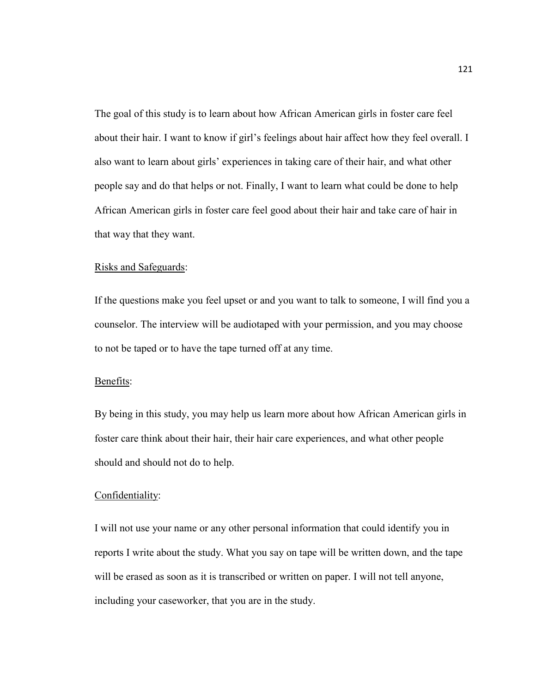The goal of this study is to learn about how African American girls in foster care feel about their hair. I want to know if girl's feelings about hair affect how they feel overall. I also want to learn about girls' experiences in taking care of their hair, and what other people say and do that helps or not. Finally, I want to learn what could be done to help African American girls in foster care feel good about their hair and take care of hair in that way that they want.

#### Risks and Safeguards:

If the questions make you feel upset or and you want to talk to someone, I will find you a counselor. The interview will be audiotaped with your permission, and you may choose to not be taped or to have the tape turned off at any time.

#### Benefits:

By being in this study, you may help us learn more about how African American girls in foster care think about their hair, their hair care experiences, and what other people should and should not do to help.

#### Confidentiality:

I will not use your name or any other personal information that could identify you in reports I write about the study. What you say on tape will be written down, and the tape will be erased as soon as it is transcribed or written on paper. I will not tell anyone, including your caseworker, that you are in the study.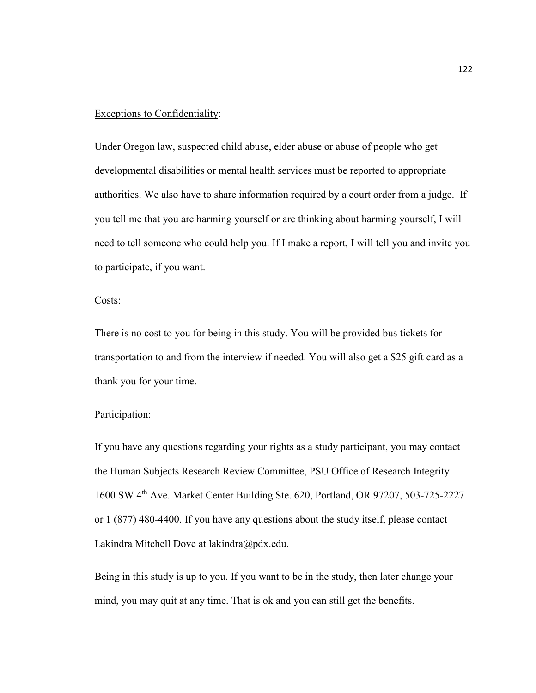#### Exceptions to Confidentiality:

Under Oregon law, suspected child abuse, elder abuse or abuse of people who get developmental disabilities or mental health services must be reported to appropriate authorities. We also have to share information required by a court order from a judge. If you tell me that you are harming yourself or are thinking about harming yourself, I will need to tell someone who could help you. If I make a report, I will tell you and invite you to participate, if you want.

#### Costs:

There is no cost to you for being in this study. You will be provided bus tickets for transportation to and from the interview if needed. You will also get a \$25 gift card as a thank you for your time.

#### Participation:

If you have any questions regarding your rights as a study participant, you may contact the Human Subjects Research Review Committee, PSU Office of Research Integrity 1600 SW 4th Ave. Market Center Building Ste. 620, Portland, OR 97207, 503-725-2227 or 1 (877) 480-4400. If you have any questions about the study itself, please contact Lakindra Mitchell Dove at lakindra@pdx.edu.

Being in this study is up to you. If you want to be in the study, then later change your mind, you may quit at any time. That is ok and you can still get the benefits.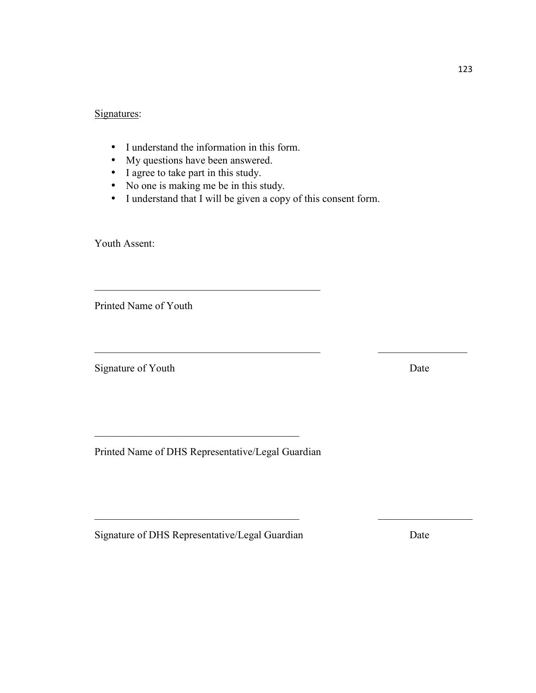# Signatures:

- I understand the information in this form.
- My questions have been answered.
- I agree to take part in this study.
- No one is making me be in this study.

\_\_\_\_\_\_\_\_\_\_\_\_\_\_\_\_\_\_\_\_\_\_\_\_\_\_\_\_\_\_\_\_\_\_\_\_\_\_\_\_\_\_\_

• I understand that I will be given a copy of this consent form.

 $\_$  , and the contribution of the contribution of  $\mathcal{L}_\mathcal{A}$  , and the contribution of  $\mathcal{L}_\mathcal{A}$ 

 $\_$  , and the set of the set of the set of the set of the set of the set of the set of the set of the set of the set of the set of the set of the set of the set of the set of the set of the set of the set of the set of th

Youth Assent:

Printed Name of Youth

Signature of Youth Date

Printed Name of DHS Representative/Legal Guardian

 $\_$  . The contribution of the contribution of  $\mathcal{L}_\mathbf{z}$ 

Signature of DHS Representative/Legal Guardian Date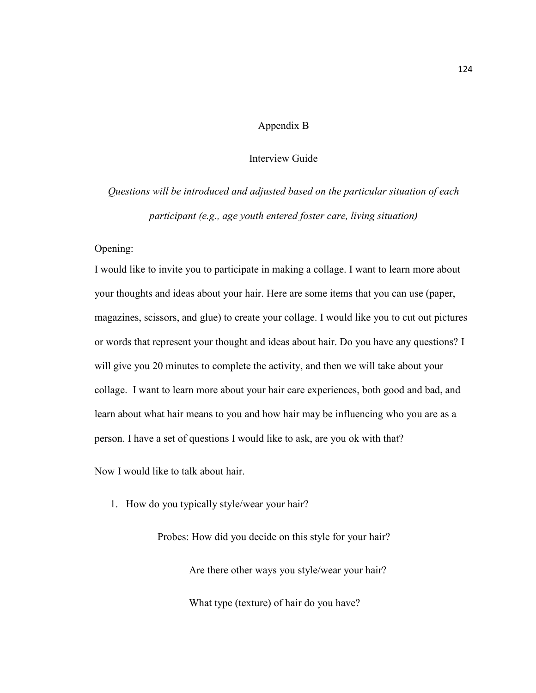# Appendix B

# Interview Guide

*Questions will be introduced and adjusted based on the particular situation of each participant (e.g., age youth entered foster care, living situation)* 

Opening:

I would like to invite you to participate in making a collage. I want to learn more about your thoughts and ideas about your hair. Here are some items that you can use (paper, magazines, scissors, and glue) to create your collage. I would like you to cut out pictures or words that represent your thought and ideas about hair. Do you have any questions? I will give you 20 minutes to complete the activity, and then we will take about your collage. I want to learn more about your hair care experiences, both good and bad, and learn about what hair means to you and how hair may be influencing who you are as a person. I have a set of questions I would like to ask, are you ok with that?

Now I would like to talk about hair.

1. How do you typically style/wear your hair?

Probes: How did you decide on this style for your hair? Are there other ways you style/wear your hair? What type (texture) of hair do you have?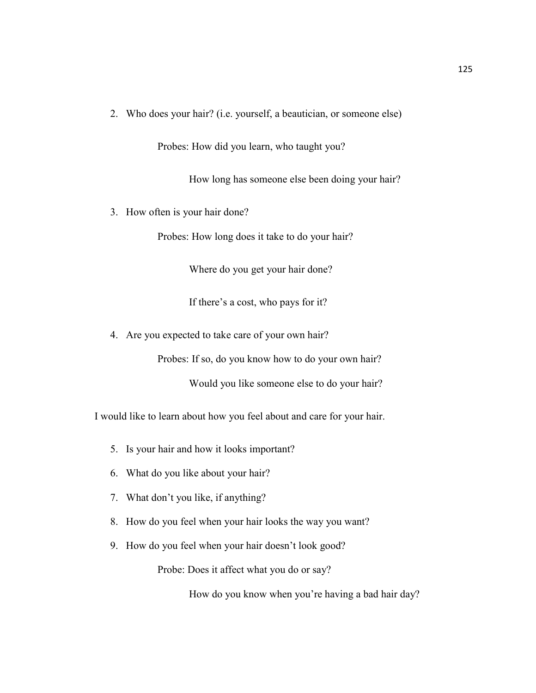2. Who does your hair? (i.e. yourself, a beautician, or someone else)

Probes: How did you learn, who taught you?

How long has someone else been doing your hair?

3. How often is your hair done?

Probes: How long does it take to do your hair?

Where do you get your hair done?

If there's a cost, who pays for it?

4. Are you expected to take care of your own hair?

Probes: If so, do you know how to do your own hair?

Would you like someone else to do your hair?

I would like to learn about how you feel about and care for your hair.

- 5. Is your hair and how it looks important?
- 6. What do you like about your hair?
- 7. What don't you like, if anything?
- 8. How do you feel when your hair looks the way you want?
- 9. How do you feel when your hair doesn't look good?

Probe: Does it affect what you do or say?

How do you know when you're having a bad hair day?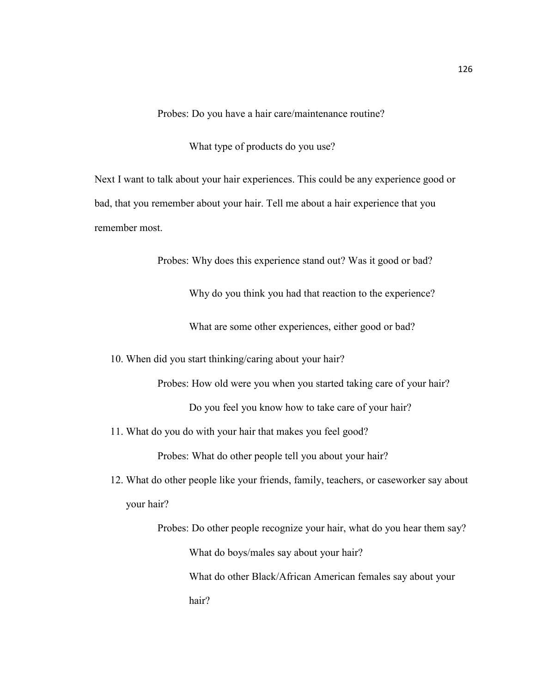Probes: Do you have a hair care/maintenance routine?

What type of products do you use?

Next I want to talk about your hair experiences. This could be any experience good or bad, that you remember about your hair. Tell me about a hair experience that you remember most.

Probes: Why does this experience stand out? Was it good or bad?

Why do you think you had that reaction to the experience?

What are some other experiences, either good or bad?

10. When did you start thinking/caring about your hair?

Probes: How old were you when you started taking care of your hair?

Do you feel you know how to take care of your hair?

11. What do you do with your hair that makes you feel good?

Probes: What do other people tell you about your hair?

12. What do other people like your friends, family, teachers, or caseworker say about your hair?

Probes: Do other people recognize your hair, what do you hear them say? What do boys/males say about your hair? What do other Black/African American females say about your hair?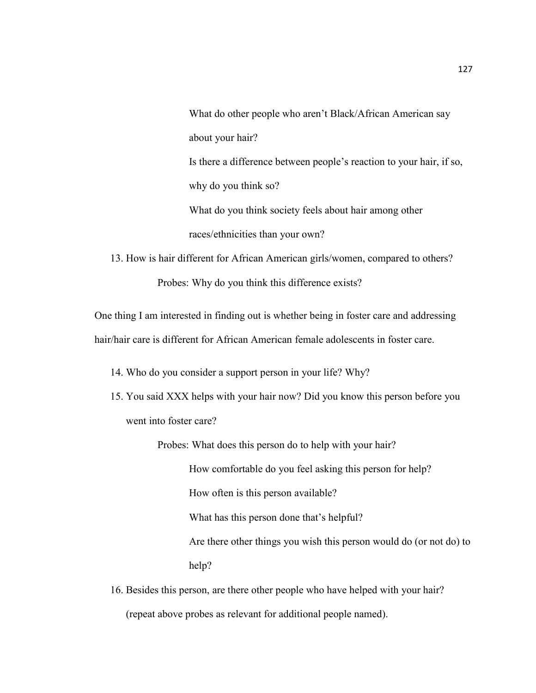What do other people who aren't Black/African American say about your hair? Is there a difference between people's reaction to your hair, if so, why do you think so? What do you think society feels about hair among other races/ethnicities than your own?

13. How is hair different for African American girls/women, compared to others? Probes: Why do you think this difference exists?

One thing I am interested in finding out is whether being in foster care and addressing hair/hair care is different for African American female adolescents in foster care.

14. Who do you consider a support person in your life? Why?

15. You said XXX helps with your hair now? Did you know this person before you went into foster care?

Probes: What does this person do to help with your hair?

How comfortable do you feel asking this person for help?

How often is this person available?

What has this person done that's helpful?

Are there other things you wish this person would do (or not do) to help?

16. Besides this person, are there other people who have helped with your hair? (repeat above probes as relevant for additional people named).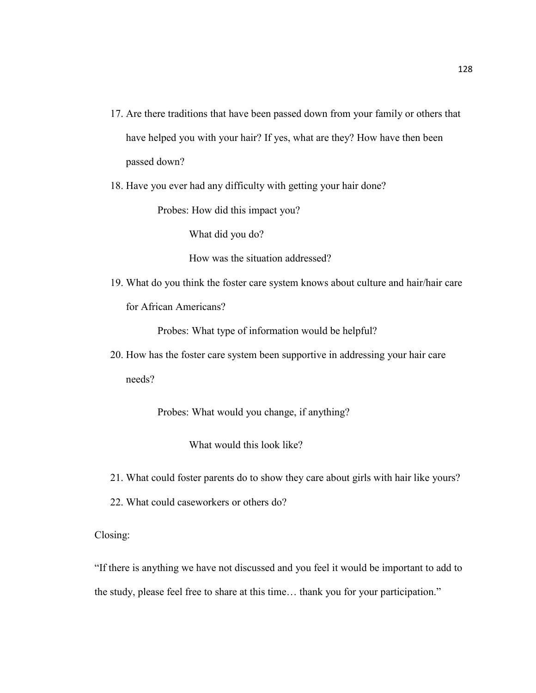- 17. Are there traditions that have been passed down from your family or others that have helped you with your hair? If yes, what are they? How have then been passed down?
- 18. Have you ever had any difficulty with getting your hair done?

Probes: How did this impact you?

What did you do?

How was the situation addressed?

19. What do you think the foster care system knows about culture and hair/hair care for African Americans?

Probes: What type of information would be helpful?

20. How has the foster care system been supportive in addressing your hair care needs?

Probes: What would you change, if anything?

What would this look like?

- 21. What could foster parents do to show they care about girls with hair like yours?
- 22. What could caseworkers or others do?

Closing:

"If there is anything we have not discussed and you feel it would be important to add to the study, please feel free to share at this time… thank you for your participation."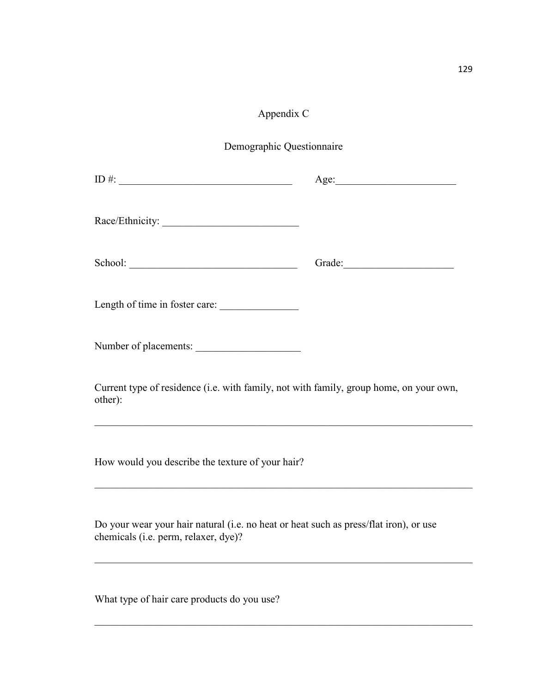# Appendix C

| Demographic Questionnaire |
|---------------------------|
|                           |

| $ID \#:$                                                                                                                                                                                                                   |  |  |
|----------------------------------------------------------------------------------------------------------------------------------------------------------------------------------------------------------------------------|--|--|
| Race/Ethnicity:                                                                                                                                                                                                            |  |  |
|                                                                                                                                                                                                                            |  |  |
| Length of time in foster care:                                                                                                                                                                                             |  |  |
| Number of placements:                                                                                                                                                                                                      |  |  |
| Current type of residence (i.e. with family, not with family, group home, on your own,<br>other):<br><u> 1999 - Jan James James James James James James James James James James James James James James James James Ja</u> |  |  |
| How would you describe the texture of your hair?                                                                                                                                                                           |  |  |
| Do your wear your hair natural (i.e. no heat or heat such as press/flat iron), or use<br>chemicals (i.e. perm, relaxer, dye)?                                                                                              |  |  |

 $\_$  , and the set of the set of the set of the set of the set of the set of the set of the set of the set of the set of the set of the set of the set of the set of the set of the set of the set of the set of the set of th

What type of hair care products do you use?